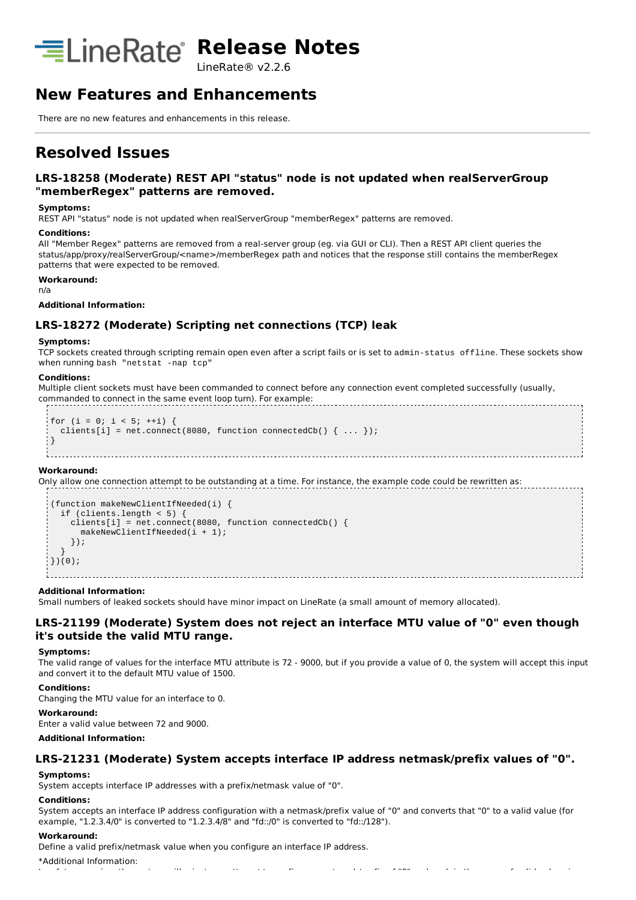

LineRate® v2.2.6

# **New Features and Enhancements**

There are no new features and enhancements in this release.

# **Resolved Issues**

## **LRS-18258 (Moderate) REST API "status" node is not updated when realServerGroup "memberRegex" patterns are removed.**

#### **Symptoms:**

REST API "status" node is not updated when realServerGroup "memberRegex" patterns are removed.

### **Conditions:**

All "Member Regex" patterns are removed from a real-server group (eg. via GUI or CLI). Then a REST API client queries the status/app/proxy/realServerGroup/<name>/memberRegex path and notices that the response still contains the memberRegex patterns that were expected to be removed.

**Workaround:**

n/a

### **Additional Information:**

## **LRS-18272 (Moderate) Scripting net connections (TCP) leak**

### **Symptoms:**

TCP sockets created through scripting remain open even after a script fails or is set to admin-status offline. These sockets show when running bash "netstat -nap tcp"

#### **Conditions:**

Multiple client sockets must have been commanded to connect before any connection event completed successfully (usually, commanded to connect in the same event loop turn). For example:

```
for (i = 0; i < 5; ++i) {
  clients[i] = net.connect(8080, function connectedCb() { \dots });
}
```
#### **Workaround:**

Only allow one connection attempt to be outstanding at a time. For instance, the example code could be rewritten as:

```
(function makeNewClientIfNeeded(i) {
  if (clients.length < 5) {
    clients[i] = net.connect(8080, function connectedCb() {
       makeNewClientIfNeeded(i + 1);
    });
  }
\{ } )(0) ;
```
### **Additional Information:**

Small numbers of leaked sockets should have minor impact on LineRate (a small amount of memory allocated).

## **LRS-21199 (Moderate) System does not reject an interface MTU value of "0" even though it's outside the valid MTU range.**

#### **Symptoms:**

The valid range of values for the interface MTU attribute is 72 - 9000, but if you provide a value of 0, the system will accept this input and convert it to the default MTU value of 1500.

#### **Conditions:**

Changing the MTU value for an interface to 0.

#### **Workaround:**

Enter a valid value between 72 and 9000.

#### **Additional Information:**

### **LRS-21231 (Moderate) System accepts interface IP address netmask/prefix values of "0".**

#### **Symptoms:**

System accepts interface IP addresses with a prefix/netmask value of "0".

#### **Conditions:**

System accepts an interface IP address configuration with a netmask/prefix value of "0" and converts that "0" to a valid value (for example, "1.2.3.4/0" is converted to "1.2.3.4/8" and "fd::/0" is converted to "fd::/128").

In a future version, the system will reject any attempt to configure a netmask/prefix of "0" and explain the range of valid values in

#### **Workaround:**

Define a valid prefix/netmask value when you configure an interface IP address.

\*Additional Information: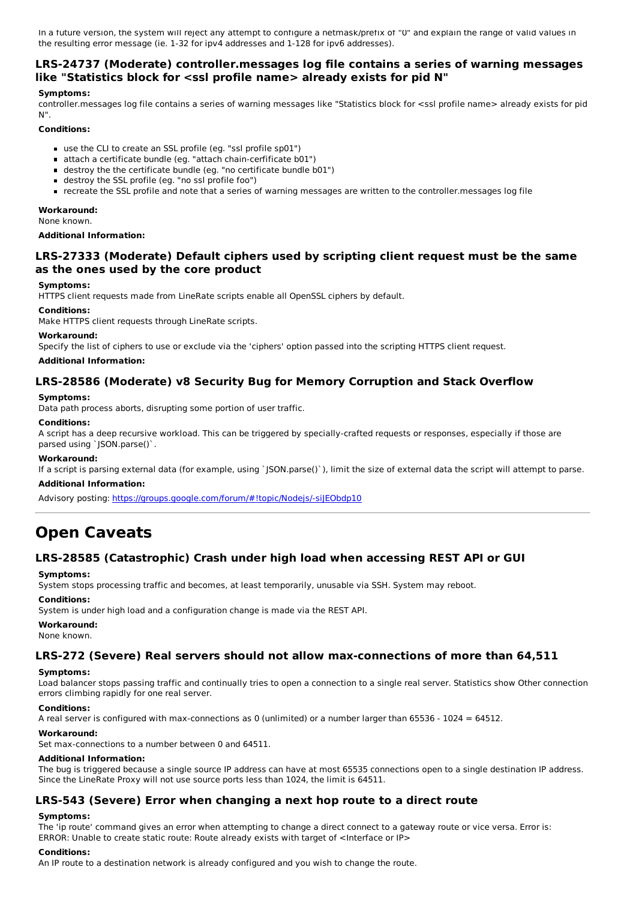In a future version, the system will reject any attempt to configure a netmask/prefix of "0" and explain the range of valid values in the resulting error message (ie. 1-32 for ipv4 addresses and 1-128 for ipv6 addresses).

## **LRS-24737 (Moderate) controller.messages log file contains a series of warning messages like "Statistics block for <ssl profile name> already exists for pid N"**

### **Symptoms:**

controller.messages log file contains a series of warning messages like "Statistics block for <ssl profile name> already exists for pid N".

### **Conditions:**

- use the CLI to create an SSL profile (eg. "ssl profile sp01")
- attach a certificate bundle (eg. "attach chain-cerfificate b01")
- destroy the the certificate bundle (eg. "no certificate bundle b01")
- destroy the SSL profile (eg. "no ssl profile foo")
- recreate the SSL profile and note that a series of warning messages are written to the controller.messages log file

### **Workaround:**

None known.

#### **Additional Information:**

## **LRS-27333 (Moderate) Default ciphers used by scripting client request must be the same as the ones used by the core product**

#### **Symptoms:**

HTTPS client requests made from LineRate scripts enable all OpenSSL ciphers by default.

#### **Conditions:**

Make HTTPS client requests through LineRate scripts.

#### **Workaround:**

Specify the list of ciphers to use or exclude via the 'ciphers' option passed into the scripting HTTPS client request.

#### **Additional Information:**

## **LRS-28586 (Moderate) v8 Security Bug for Memory Corruption and Stack Overflow**

### **Symptoms:**

Data path process aborts, disrupting some portion of user traffic.

### **Conditions:**

A script has a deep recursive workload. This can be triggered by specially-crafted requests or responses, especially if those are parsed using `JSON.parse()`.

### **Workaround:**

If a script is parsing external data (for example, using `JSON.parse()`), limit the size of external data the script will attempt to parse.

#### **Additional Information:**

Advisory posting: https://groups.google.com/forum/#!topic/Nodejs/-siJEObdp10

# **Open Caveats**

## **LRS-28585 (Catastrophic) Crash under high load when accessing REST API or GUI**

### **Symptoms:**

System stops processing traffic and becomes, at least temporarily, unusable via SSH. System may reboot.

#### **Conditions:**

System is under high load and a configuration change is made via the REST API.

#### **Workaround:**

None known.

### **LRS-272 (Severe) Real servers should not allow max-connections of more than 64,511**

## **Symptoms:**

Load balancer stops passing traffic and continually tries to open a connection to a single real server. Statistics show Other connection errors climbing rapidly for one real server.

### **Conditions:**

A real server is configured with max-connections as 0 (unlimited) or a number larger than 65536 - 1024 = 64512.

#### **Workaround:**

Set max-connections to a number between 0 and 64511.

#### **Additional Information:**

The bug is triggered because a single source IP address can have at most 65535 connections open to a single destination IP address. Since the LineRate Proxy will not use source ports less than 1024, the limit is 64511.

## **LRS-543 (Severe) Error when changing a next hop route to a direct route**

#### **Symptoms:**

The 'ip route' command gives an error when attempting to change a direct connect to a gateway route or vice versa. Error is: ERROR: Unable to create static route: Route already exists with target of <Interface or IP>

#### **Conditions:**

An IP route to a destination network is already configured and you wish to change the route.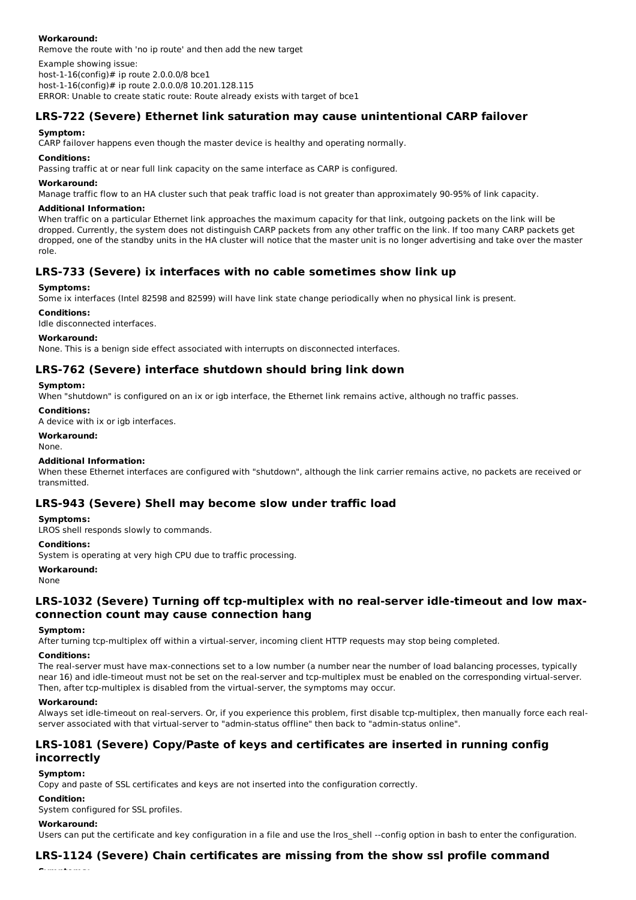### **Workaround:**

Remove the route with 'no ip route' and then add the new target

Example showing issue:

host-1-16(config)# ip route 2.0.0.0/8 bce1 host-1-16(config)# ip route 2.0.0.0/8 10.201.128.115

ERROR: Unable to create static route: Route already exists with target of bce1

## **LRS-722 (Severe) Ethernet link saturation may cause unintentional CARP failover**

### **Symptom:**

CARP failover happens even though the master device is healthy and operating normally.

### **Conditions:**

Passing traffic at or near full link capacity on the same interface as CARP is configured.

### **Workaround:**

Manage traffic flow to an HA cluster such that peak traffic load is not greater than approximately 90-95% of link capacity.

### **Additional Information:**

When traffic on a particular Ethernet link approaches the maximum capacity for that link, outgoing packets on the link will be dropped. Currently, the system does not distinguish CARP packets from any other traffic on the link. If too many CARP packets get dropped, one of the standby units in the HA cluster will notice that the master unit is no longer advertising and take over the master role.

## **LRS-733 (Severe) ix interfaces with no cable sometimes show link up**

### **Symptoms:**

Some ix interfaces (Intel 82598 and 82599) will have link state change periodically when no physical link is present.

### **Conditions:**

Idle disconnected interfaces.

### **Workaround:**

None. This is a benign side effect associated with interrupts on disconnected interfaces.

## **LRS-762 (Severe) interface shutdown should bring link down**

### **Symptom:**

When "shutdown" is configured on an ix or igb interface, the Ethernet link remains active, although no traffic passes.

#### **Conditions:**

A device with ix or igb interfaces.

### **Workaround:**

None.

### **Additional Information:**

When these Ethernet interfaces are configured with "shutdown", although the link carrier remains active, no packets are received or transmitted.

### **LRS-943 (Severe) Shell may become slow under traffic load**

### **Symptoms:**

LROS shell responds slowly to commands.

#### **Conditions:**

System is operating at very high CPU due to traffic processing.

#### **Workaround:**

None

## **LRS-1032 (Severe) Turning off tcp-multiplex with no real-server idle-timeout and low maxconnection count may cause connection hang**

#### **Symptom:**

After turning tcp-multiplex off within a virtual-server, incoming client HTTP requests may stop being completed.

### **Conditions:**

The real-server must have max-connections set to a low number (a number near the number of load balancing processes, typically near 16) and idle-timeout must not be set on the real-server and tcp-multiplex must be enabled on the corresponding virtual-server. Then, after tcp-multiplex is disabled from the virtual-server, the symptoms may occur.

### **Workaround:**

Always set idle-timeout on real-servers. Or, if you experience this problem, first disable tcp-multiplex, then manually force each realserver associated with that virtual-server to "admin-status offline" then back to "admin-status online".

## **LRS-1081 (Severe) Copy/Paste of keys and certificates are inserted in running config incorrectly**

### **Symptom:**

Copy and paste of SSL certificates and keys are not inserted into the configuration correctly.

### **Condition:**

System configured for SSL profiles.

#### **Workaround:**

**Symptoms:**

Users can put the certificate and key configuration in a file and use the lros shell --config option in bash to enter the configuration.

## **LRS-1124 (Severe) Chain certificates are missing from the show ssl profile command**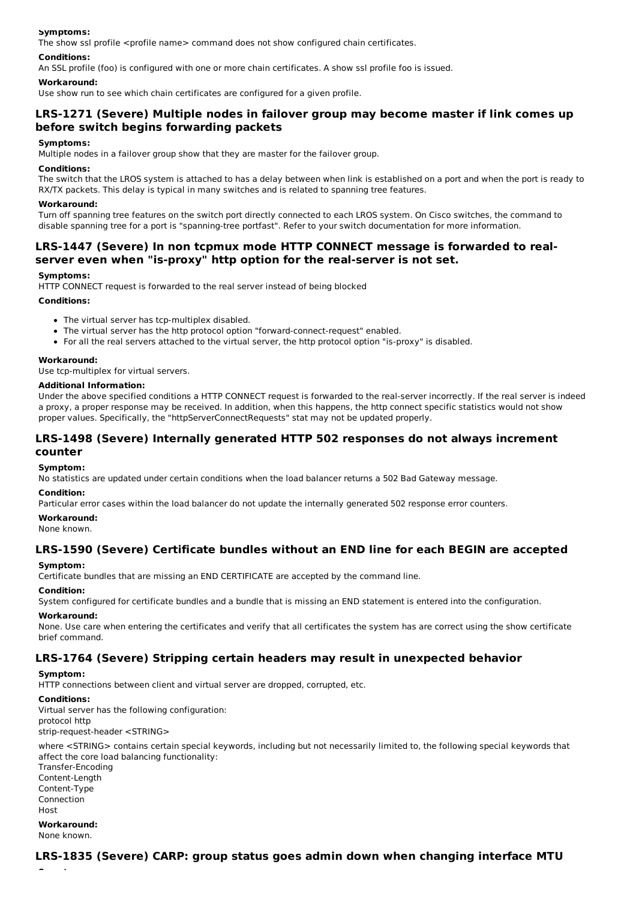### **Symptoms:**

The show ssl profile  $\langle$  sprofile name $\rangle$  command does not show configured chain certificates.

### **Conditions:**

An SSL profile (foo) is configured with one or more chain certificates. A show ssl profile foo is issued.

### **Workaround:**

Use show run to see which chain certificates are configured for a given profile.

## **LRS-1271 (Severe) Multiple nodes in failover group may become master if link comes up before switch begins forwarding packets**

#### **Symptoms:**

Multiple nodes in a failover group show that they are master for the failover group.

#### **Conditions:**

The switch that the LROS system is attached to has a delay between when link is established on a port and when the port is ready to RX/TX packets. This delay is typical in many switches and is related to spanning tree features.

#### **Workaround:**

Turn off spanning tree features on the switch port directly connected to each LROS system. On Cisco switches, the command to disable spanning tree for a port is "spanning-tree portfast". Refer to your switch documentation for more information.

### **LRS-1447 (Severe) In non tcpmux mode HTTP CONNECT message is forwarded to realserver even when "is-proxy" http option for the real-server is not set.**

#### **Symptoms:**

HTTP CONNECT request is forwarded to the real server instead of being blocked

#### **Conditions:**

- The virtual server has tcp-multiplex disabled.
- The virtual server has the http protocol option "forward-connect-request" enabled.
- For all the real servers attached to the virtual server, the http protocol option "is-proxy" is disabled.

#### **Workaround:**

Use tcp-multiplex for virtual servers.

#### **Additional Information:**

Under the above specified conditions a HTTP CONNECT request is forwarded to the real-server incorrectly. If the real server is indeed a proxy, a proper response may be received. In addition, when this happens, the http connect specific statistics would not show proper values. Specifically, the "httpServerConnectRequests" stat may not be updated properly.

## **LRS-1498 (Severe) Internally generated HTTP 502 responses do not always increment counter**

#### **Symptom:**

No statistics are updated under certain conditions when the load balancer returns a 502 Bad Gateway message.

#### **Condition:**

Particular error cases within the load balancer do not update the internally generated 502 response error counters.

### **Workaround:**

None known.

### **LRS-1590 (Severe) Certificate bundles without an END line for each BEGIN are accepted**

#### **Symptom:**

Certificate bundles that are missing an END CERTIFICATE are accepted by the command line.

#### **Condition:**

System configured for certificate bundles and a bundle that is missing an END statement is entered into the configuration.

#### **Workaround:**

None. Use care when entering the certificates and verify that all certificates the system has are correct using the show certificate brief command.

### **LRS-1764 (Severe) Stripping certain headers may result in unexpected behavior**

**Symptom:**

HTTP connections between client and virtual server are dropped, corrupted, etc.

### **Conditions:**

Virtual server has the following configuration: protocol http strip-request-header <STRING>

where <STRING> contains certain special keywords, including but not necessarily limited to, the following special keywords that affect the core load balancing functionality:

Transfer-Encoding Content-Length Content-Type Connection **Host** 

**Workaround:** None known.

**Symptom:**

## **LRS-1835 (Severe) CARP: group status goes admin down when changing interface MTU**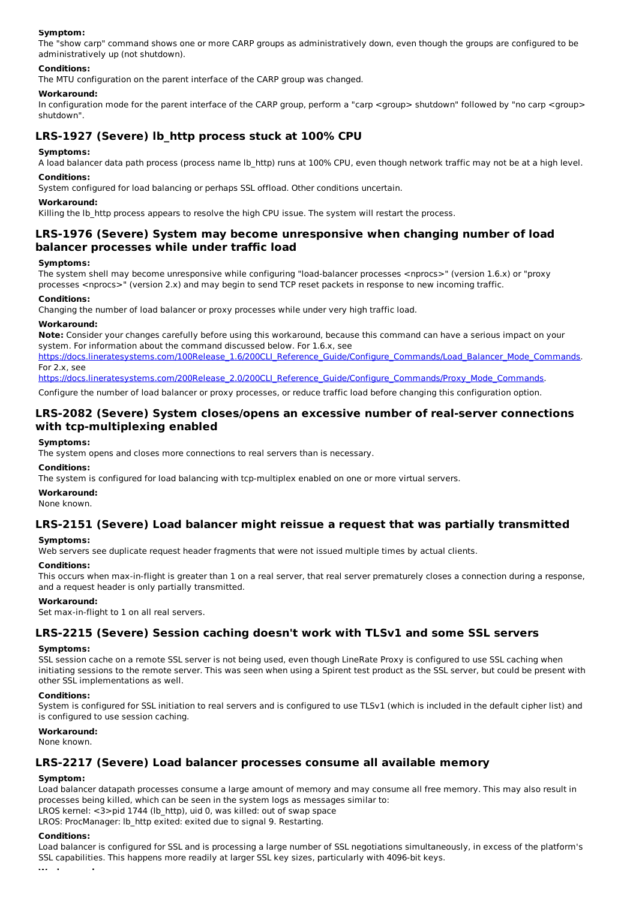### **Symptom:**

The "show carp" command shows one or more CARP groups as administratively down, even though the groups are configured to be administratively up (not shutdown).

### **Conditions:**

The MTU configuration on the parent interface of the CARP group was changed.

### **Workaround:**

In configuration mode for the parent interface of the CARP group, perform a "carp <group> shutdown" followed by "no carp <group> shutdown".

## **LRS-1927 (Severe) lb\_http process stuck at 100% CPU**

### **Symptoms:**

A load balancer data path process (process name lb\_http) runs at 100% CPU, even though network traffic may not be at a high level.

### **Conditions:**

System configured for load balancing or perhaps SSL offload. Other conditions uncertain.

#### **Workaround:**

Killing the Ib http process appears to resolve the high CPU issue. The system will restart the process.

## **LRS-1976 (Severe) System may become unresponsive when changing number of load balancer processes while under traffic load**

#### **Symptoms:**

The system shell may become unresponsive while configuring "load-balancer processes <nprocs>" (version 1.6.x) or "proxy processes <nprocs>" (version 2.x) and may begin to send TCP reset packets in response to new incoming traffic.

### **Conditions:**

Changing the number of load balancer or proxy processes while under very high traffic load.

#### **Workaround:**

**Note:** Consider your changes carefully before using this workaround, because this command can have a serious impact on your system. For information about the command discussed below. For 1.6.x, see

https://docs.lineratesystems.com/100Release\_1.6/200CLI\_Reference\_Guide/Configure\_Commands/Load\_Balancer\_Mode\_Commands. For 2.x, see

https://docs.lineratesystems.com/200Release\_2.0/200CLI\_Reference\_Guide/Configure\_Commands/Proxy\_Mode\_Commands.

Configure the number of load balancer or proxy processes, or reduce traffic load before changing this configuration option.

## **LRS-2082 (Severe) System closes/opens an excessive number of real-server connections with tcp-multiplexing enabled**

#### **Symptoms:**

The system opens and closes more connections to real servers than is necessary.

#### **Conditions:**

The system is configured for load balancing with tcp-multiplex enabled on one or more virtual servers.

#### **Workaround:**

None known.

## **LRS-2151 (Severe) Load balancer might reissue a request that was partially transmitted**

#### **Symptoms:**

Web servers see duplicate request header fragments that were not issued multiple times by actual clients.

#### **Conditions:**

This occurs when max-in-flight is greater than 1 on a real server, that real server prematurely closes a connection during a response, and a request header is only partially transmitted.

#### **Workaround:**

Set max-in-flight to 1 on all real servers.

### **LRS-2215 (Severe) Session caching doesn't work with TLSv1 and some SSL servers**

#### **Symptoms:**

SSL session cache on a remote SSL server is not being used, even though LineRate Proxy is configured to use SSL caching when initiating sessions to the remote server. This was seen when using a Spirent test product as the SSL server, but could be present with other SSL implementations as well.

#### **Conditions:**

System is configured for SSL initiation to real servers and is configured to use TLSv1 (which is included in the default cipher list) and is configured to use session caching.

### **Workaround:**

None known.

### **LRS-2217 (Severe) Load balancer processes consume all available memory**

### **Symptom:**

Load balancer datapath processes consume a large amount of memory and may consume all free memory. This may also result in processes being killed, which can be seen in the system logs as messages similar to:

LROS kernel: <3>pid 1744 (lb\_http), uid 0, was killed: out of swap space

LROS: ProcManager: lb\_http exited: exited due to signal 9. Restarting.

### **Conditions:**

**Workaround:**

Load balancer is configured for SSL and is processing a large number of SSL negotiations simultaneously, in excess of the platform's SSL capabilities. This happens more readily at larger SSL key sizes, particularly with 4096-bit keys.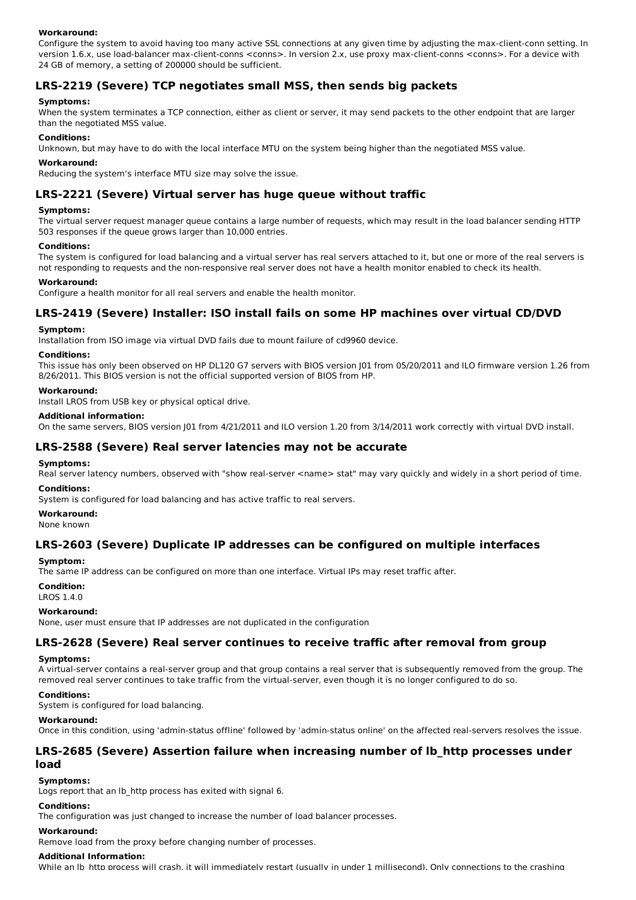### **Workaround:**

Configure the system to avoid having too many active SSL connections at any given time by adjusting the max-client-conn setting. In version 1.6.x, use load-balancer max-client-conns <conns>. In version 2.x, use proxy max-client-conns <conns>. For a device with 24 GB of memory, a setting of 200000 should be sufficient.

## **LRS-2219 (Severe) TCP negotiates small MSS, then sends big packets**

### **Symptoms:**

When the system terminates a TCP connection, either as client or server, it may send packets to the other endpoint that are larger than the negotiated MSS value.

### **Conditions:**

Unknown, but may have to do with the local interface MTU on the system being higher than the negotiated MSS value.

#### **Workaround:**

Reducing the system's interface MTU size may solve the issue.

## **LRS-2221 (Severe) Virtual server has huge queue without traffic**

### **Symptoms:**

The virtual server request manager queue contains a large number of requests, which may result in the load balancer sending HTTP 503 responses if the queue grows larger than 10,000 entries.

### **Conditions:**

The system is configured for load balancing and a virtual server has real servers attached to it, but one or more of the real servers is not responding to requests and the non-responsive real server does not have a health monitor enabled to check its health.

#### **Workaround:**

Configure a health monitor for all real servers and enable the health monitor.

### **LRS-2419 (Severe) Installer: ISO install fails on some HP machines over virtual CD/DVD**

### **Symptom:**

Installation from ISO image via virtual DVD fails due to mount failure of cd9960 device.

#### **Conditions:**

This issue has only been observed on HP DL120 G7 servers with BIOS version J01 from 05/20/2011 and ILO firmware version 1.26 from 8/26/2011. This BIOS version is not the official supported version of BIOS from HP.

### **Workaround:**

Install LROS from USB key or physical optical drive.

### **Additional information:**

On the same servers, BIOS version J01 from 4/21/2011 and ILO version 1.20 from 3/14/2011 work correctly with virtual DVD install.

### **LRS-2588 (Severe) Real server latencies may not be accurate**

#### **Symptoms:**

Real server latency numbers, observed with "show real-server <name> stat" may vary quickly and widely in a short period of time. **Conditions:**

System is configured for load balancing and has active traffic to real servers.

#### **Workaround:**

None known

### **LRS-2603 (Severe) Duplicate IP addresses can be configured on multiple interfaces**

### **Symptom:**

The same IP address can be configured on more than one interface. Virtual IPs may reset traffic after.

#### **Condition:**

LROS 1.4.0

#### **Workaround:**

None, user must ensure that IP addresses are not duplicated in the configuration

### **LRS-2628 (Severe) Real server continues to receive traffic after removal from group**

#### **Symptoms:**

A virtual-server contains a real-server group and that group contains a real server that is subsequently removed from the group. The removed real server continues to take traffic from the virtual-server, even though it is no longer configured to do so.

#### **Conditions:**

System is configured for load balancing.

#### **Workaround:**

Once in this condition, using 'admin-status offline' followed by 'admin-status online' on the affected real-servers resolves the issue.

### **LRS-2685 (Severe) Assertion failure when increasing number of lb\_http processes under load**

#### **Symptoms:**

Logs report that an Ib http process has exited with signal 6.

### **Conditions:**

The configuration was just changed to increase the number of load balancer processes.

#### **Workaround:**

Remove load from the proxy before changing number of processes.

#### **Additional Information:**

While an lb http process will crash, it will immediately restart (usually in under 1 millisecond). Only connections to the crashing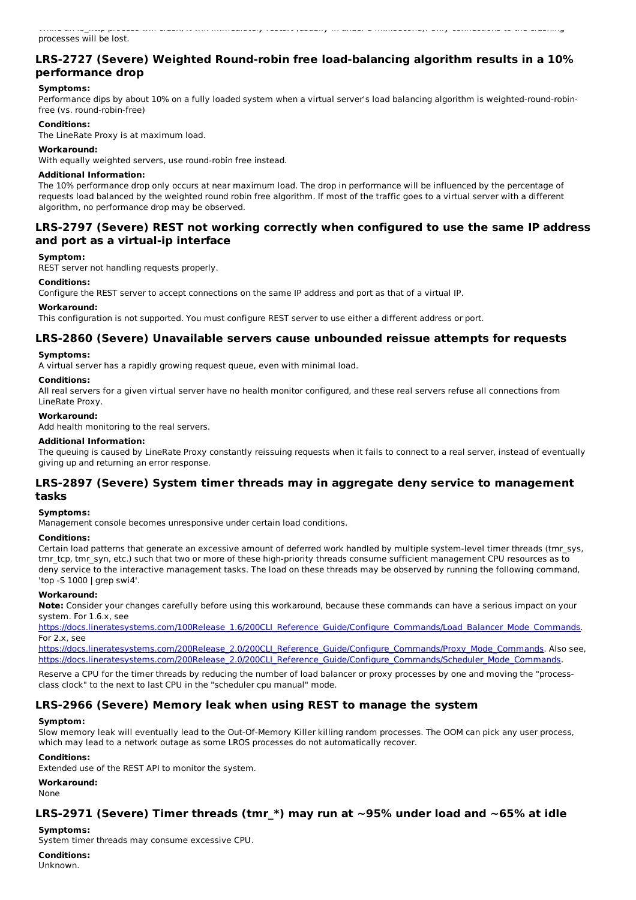## **LRS-2727 (Severe) Weighted Round-robin free load-balancing algorithm results in a 10% performance drop**

### **Symptoms:**

Performance dips by about 10% on a fully loaded system when a virtual server's load balancing algorithm is weighted-round-robinfree (vs. round-robin-free)

### **Conditions:**

The LineRate Proxy is at maximum load.

### **Workaround:**

With equally weighted servers, use round-robin free instead.

### **Additional Information:**

The 10% performance drop only occurs at near maximum load. The drop in performance will be influenced by the percentage of requests load balanced by the weighted round robin free algorithm. If most of the traffic goes to a virtual server with a different algorithm, no performance drop may be observed.

## **LRS-2797 (Severe) REST not working correctly when configured to use the same IP address and port as a virtual-ip interface**

### **Symptom:**

REST server not handling requests properly.

### **Conditions:**

Configure the REST server to accept connections on the same IP address and port as that of a virtual IP.

### **Workaround:**

This configuration is not supported. You must configure REST server to use either a different address or port.

### **LRS-2860 (Severe) Unavailable servers cause unbounded reissue attempts for requests**

### **Symptoms:**

A virtual server has a rapidly growing request queue, even with minimal load.

### **Conditions:**

All real servers for a given virtual server have no health monitor configured, and these real servers refuse all connections from LineRate Proxy.

#### **Workaround:**

Add health monitoring to the real servers.

### **Additional Information:**

The queuing is caused by LineRate Proxy constantly reissuing requests when it fails to connect to a real server, instead of eventually giving up and returning an error response.

### **LRS-2897 (Severe) System timer threads may in aggregate deny service to management tasks**

### **Symptoms:**

Management console becomes unresponsive under certain load conditions.

#### **Conditions:**

Certain load patterns that generate an excessive amount of deferred work handled by multiple system-level timer threads (tmr\_sys, tmr\_tcp, tmr\_syn, etc.) such that two or more of these high-priority threads consume sufficient management CPU resources as to deny service to the interactive management tasks. The load on these threads may be observed by running the following command, 'top -S 1000 | grep swi4'.

### **Workaround:**

**Note:** Consider your changes carefully before using this workaround, because these commands can have a serious impact on your system. For 1.6.x, see

https://docs.lineratesystems.com/100Release\_1.6/200CLI\_Reference\_Guide/Configure\_Commands/Load\_Balancer\_Mode\_Commands. For 2.x, see

https://docs.lineratesystems.com/200Release\_2.0/200CLI\_Reference\_Guide/Configure\_Commands/Proxy\_Mode\_Commands. Also see, https://docs.lineratesystems.com/200Release\_2.0/200CLI\_Reference\_Guide/Configure\_Commands/Scheduler\_Mode\_Commands.

Reserve a CPU for the timer threads by reducing the number of load balancer or proxy processes by one and moving the "processclass clock" to the next to last CPU in the "scheduler cpu manual" mode.

## **LRS-2966 (Severe) Memory leak when using REST to manage the system**

#### **Symptom:**

Slow memory leak will eventually lead to the Out-Of-Memory Killer killing random processes. The OOM can pick any user process, which may lead to a network outage as some LROS processes do not automatically recover.

### **Conditions:**

Extended use of the REST API to monitor the system.

**Workaround:**

None

## **LRS-2971 (Severe) Timer threads (tmr\_\*) may run at ~95% under load and ~65% at idle**

### **Symptoms:**

System timer threads may consume excessive CPU.

## **Conditions:**

Unknown.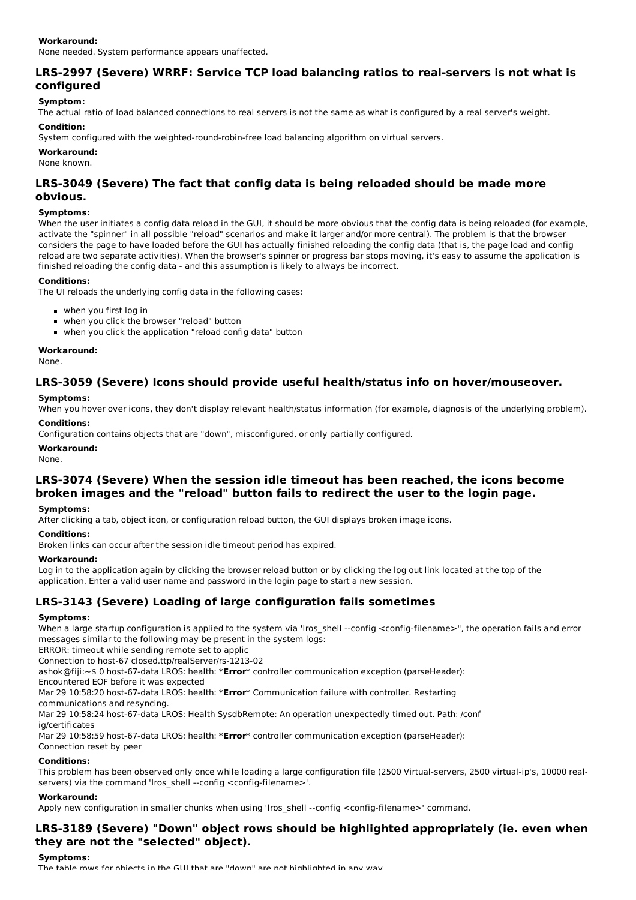None needed. System performance appears unaffected.

## **LRS-2997 (Severe) WRRF: Service TCP load balancing ratios to real-servers is not what is configured**

### **Symptom:**

The actual ratio of load balanced connections to real servers is not the same as what is configured by a real server's weight.

### **Condition:**

System configured with the weighted-round-robin-free load balancing algorithm on virtual servers.

### **Workaround:**

None known.

## **LRS-3049 (Severe) The fact that config data is being reloaded should be made more obvious.**

### **Symptoms:**

When the user initiates a config data reload in the GUI, it should be more obvious that the config data is being reloaded (for example, activate the "spinner" in all possible "reload" scenarios and make it larger and/or more central). The problem is that the browser considers the page to have loaded before the GUI has actually finished reloading the config data (that is, the page load and config reload are two separate activities). When the browser's spinner or progress bar stops moving, it's easy to assume the application is finished reloading the config data - and this assumption is likely to always be incorrect.

### **Conditions:**

The UI reloads the underlying config data in the following cases:

- when you first log in
- when you click the browser "reload" button
- when you click the application "reload config data" button

#### **Workaround:**

None.

## **LRS-3059 (Severe) Icons should provide useful health/status info on hover/mouseover.**

### **Symptoms:**

When you hover over icons, they don't display relevant health/status information (for example, diagnosis of the underlying problem).

## **Conditions:**

Configuration contains objects that are "down", misconfigured, or only partially configured.

### **Workaround:**

None.

## **LRS-3074 (Severe) When the session idle timeout has been reached, the icons become broken images and the "reload" button fails to redirect the user to the login page.**

#### **Symptoms:**

After clicking a tab, object icon, or configuration reload button, the GUI displays broken image icons.

### **Conditions:**

Broken links can occur after the session idle timeout period has expired.

### **Workaround:**

Log in to the application again by clicking the browser reload button or by clicking the log out link located at the top of the application. Enter a valid user name and password in the login page to start a new session.

## **LRS-3143 (Severe) Loading of large configuration fails sometimes**

### **Symptoms:**

When a large startup configuration is applied to the system via 'lros shell --config <config-filename>", the operation fails and error messages similar to the following may be present in the system logs:

ERROR: timeout while sending remote set to applic

Connection to host-67 closed.ttp/realServer/rs-1213-02

ashok@fiji:~\$ 0 host-67-data LROS: health: \***Error**\* controller communication exception (parseHeader):

Encountered EOF before it was expected

Mar 29 10:58:20 host-67-data LROS: health: \***Error**\* Communication failure with controller. Restarting

communications and resyncing. Mar 29 10:58:24 host-67-data LROS: Health SysdbRemote: An operation unexpectedly timed out. Path: /conf

ig/certificates

Mar 29 10:58:59 host-67-data LROS: health: \***Error**\* controller communication exception (parseHeader): Connection reset by peer

### **Conditions:**

This problem has been observed only once while loading a large configuration file (2500 Virtual-servers, 2500 virtual-ip's, 10000 realservers) via the command 'lros shell --config <config-filename>'.

### **Workaround:**

Apply new configuration in smaller chunks when using 'lros\_shell --config <config-filename>' command.

## **LRS-3189 (Severe) "Down" object rows should be highlighted appropriately (ie. even when they are not the "selected" object).**

#### **Symptoms:**

The table rows for objects in the GUI that are "down" are not highlighted in any way.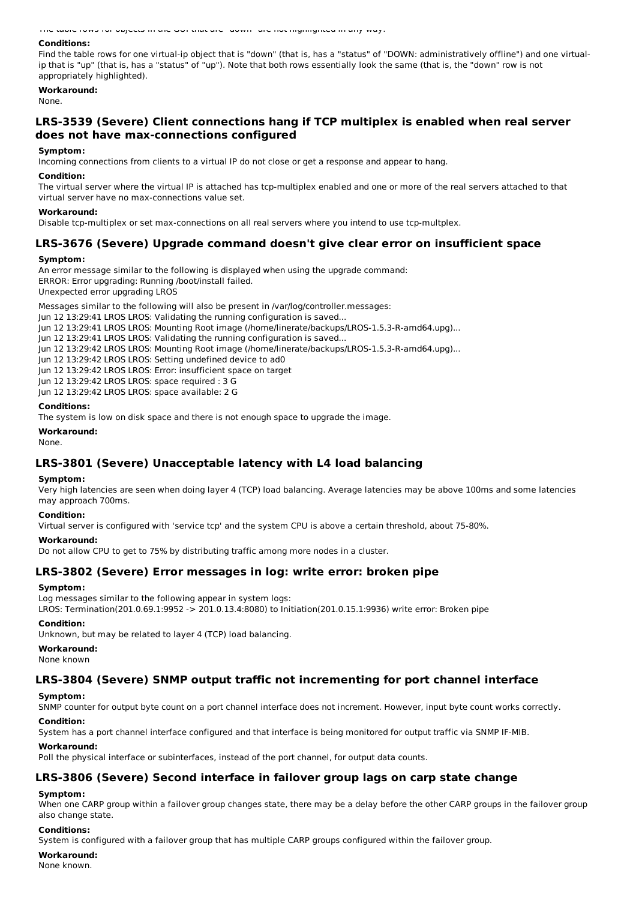The table rows for objects in the GUI that are "down" are not highlighted in any way.

#### **Conditions:**

Find the table rows for one virtual-ip object that is "down" (that is, has a "status" of "DOWN: administratively offline") and one virtualip that is "up" (that is, has a "status" of "up"). Note that both rows essentially look the same (that is, the "down" row is not appropriately highlighted).

### **Workaround:**

None.

## **LRS-3539 (Severe) Client connections hang if TCP multiplex is enabled when real server does not have max-connections configured**

#### **Symptom:**

Incoming connections from clients to a virtual IP do not close or get a response and appear to hang.

#### **Condition:**

The virtual server where the virtual IP is attached has tcp-multiplex enabled and one or more of the real servers attached to that virtual server have no max-connections value set.

#### **Workaround:**

Disable tcp-multiplex or set max-connections on all real servers where you intend to use tcp-multplex.

### **LRS-3676 (Severe) Upgrade command doesn't give clear error on insufficient space**

#### **Symptom:**

An error message similar to the following is displayed when using the upgrade command: ERROR: Error upgrading: Running /boot/install failed. Unexpected error upgrading LROS

Messages similar to the following will also be present in /var/log/controller.messages:

- Jun 12 13:29:41 LROS LROS: Validating the running configuration is saved...
- Jun 12 13:29:41 LROS LROS: Mounting Root image (/home/linerate/backups/LROS-1.5.3-R-amd64.upg)...
- Jun 12 13:29:41 LROS LROS: Validating the running configuration is saved...
- Jun 12 13:29:42 LROS LROS: Mounting Root image (/home/linerate/backups/LROS-1.5.3-R-amd64.upg)...
- Jun 12 13:29:42 LROS LROS: Setting undefined device to ad0

Jun 12 13:29:42 LROS LROS: Error: insufficient space on target

Jun 12 13:29:42 LROS LROS: space required : 3 G

Jun 12 13:29:42 LROS LROS: space available: 2 G

#### **Conditions:**

The system is low on disk space and there is not enough space to upgrade the image.

**Workaround:**

None.

### **LRS-3801 (Severe) Unacceptable latency with L4 load balancing**

#### **Symptom:**

Very high latencies are seen when doing layer 4 (TCP) load balancing. Average latencies may be above 100ms and some latencies may approach 700ms.

#### **Condition:**

Virtual server is configured with 'service tcp' and the system CPU is above a certain threshold, about 75-80%.

#### **Workaround:**

Do not allow CPU to get to 75% by distributing traffic among more nodes in a cluster.

### **LRS-3802 (Severe) Error messages in log: write error: broken pipe**

#### **Symptom:**

Log messages similar to the following appear in system logs:

LROS: Termination(201.0.69.1:9952 -> 201.0.13.4:8080) to Initiation(201.0.15.1:9936) write error: Broken pipe

#### **Condition:**

Unknown, but may be related to layer 4 (TCP) load balancing.

### **Workaround:**

None known

### **LRS-3804 (Severe) SNMP output traffic not incrementing for port channel interface**

#### **Symptom:**

SNMP counter for output byte count on a port channel interface does not increment. However, input byte count works correctly.

#### **Condition:**

System has a port channel interface configured and that interface is being monitored for output traffic via SNMP IF-MIB.

#### **Workaround:**

Poll the physical interface or subinterfaces, instead of the port channel, for output data counts.

## **LRS-3806 (Severe) Second interface in failover group lags on carp state change**

#### **Symptom:**

When one CARP group within a failover group changes state, there may be a delay before the other CARP groups in the failover group also change state.

#### **Conditions:**

System is configured with a failover group that has multiple CARP groups configured within the failover group.

### **Workaround:**

None known.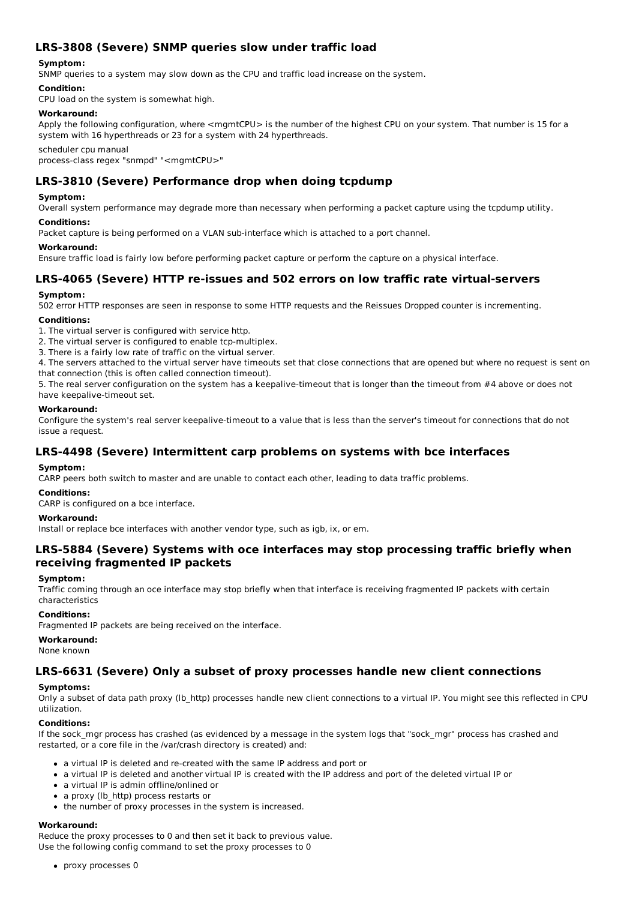## **LRS-3808 (Severe) SNMP queries slow under traffic load**

### **Symptom:**

SNMP queries to a system may slow down as the CPU and traffic load increase on the system.

### **Condition:**

CPU load on the system is somewhat high.

### **Workaround:**

Apply the following configuration, where <mgmtCPU> is the number of the highest CPU on your system. That number is 15 for a system with 16 hyperthreads or 23 for a system with 24 hyperthreads.

scheduler cpu manual process-class regex "snmpd" "<mgmtCPU>"

## **LRS-3810 (Severe) Performance drop when doing tcpdump**

#### **Symptom:**

Overall system performance may degrade more than necessary when performing a packet capture using the tcpdump utility.

### **Conditions:**

Packet capture is being performed on a VLAN sub-interface which is attached to a port channel.

#### **Workaround:**

Ensure traffic load is fairly low before performing packet capture or perform the capture on a physical interface.

### **LRS-4065 (Severe) HTTP re-issues and 502 errors on low traffic rate virtual-servers**

### **Symptom:**

502 error HTTP responses are seen in response to some HTTP requests and the Reissues Dropped counter is incrementing.

### **Conditions:**

- 1. The virtual server is configured with service http.
- 2. The virtual server is configured to enable tcp-multiplex.
- 3. There is a fairly low rate of traffic on the virtual server.

4. The servers attached to the virtual server have timeouts set that close connections that are opened but where no request is sent on that connection (this is often called connection timeout).

5. The real server configuration on the system has a keepalive-timeout that is longer than the timeout from #4 above or does not have keepalive-timeout set.

#### **Workaround:**

Configure the system's real server keepalive-timeout to a value that is less than the server's timeout for connections that do not issue a request.

### **LRS-4498 (Severe) Intermittent carp problems on systems with bce interfaces**

#### **Symptom:**

CARP peers both switch to master and are unable to contact each other, leading to data traffic problems.

## **Conditions:**

CARP is configured on a bce interface.

### **Workaround:**

Install or replace bce interfaces with another vendor type, such as igb, ix, or em.

## **LRS-5884 (Severe) Systems with oce interfaces may stop processing traffic briefly when receiving fragmented IP packets**

#### **Symptom:**

Traffic coming through an oce interface may stop briefly when that interface is receiving fragmented IP packets with certain characteristics

### **Conditions:**

Fragmented IP packets are being received on the interface.

#### **Workaround:**

None known

### **LRS-6631 (Severe) Only a subset of proxy processes handle new client connections**

### **Symptoms:**

Only a subset of data path proxy (lb\_http) processes handle new client connections to a virtual IP. You might see this reflected in CPU utilization.

### **Conditions:**

If the sock mgr process has crashed (as evidenced by a message in the system logs that "sock mgr" process has crashed and restarted, or a core file in the /var/crash directory is created) and:

- a virtual IP is deleted and re-created with the same IP address and port or
- a virtual IP is deleted and another virtual IP is created with the IP address and port of the deleted virtual IP or
- a virtual IP is admin offline/onlined or
- a proxy (lb\_http) process restarts or
- the number of proxy processes in the system is increased.

### **Workaround:**

Reduce the proxy processes to 0 and then set it back to previous value. Use the following config command to set the proxy processes to 0

• proxy processes 0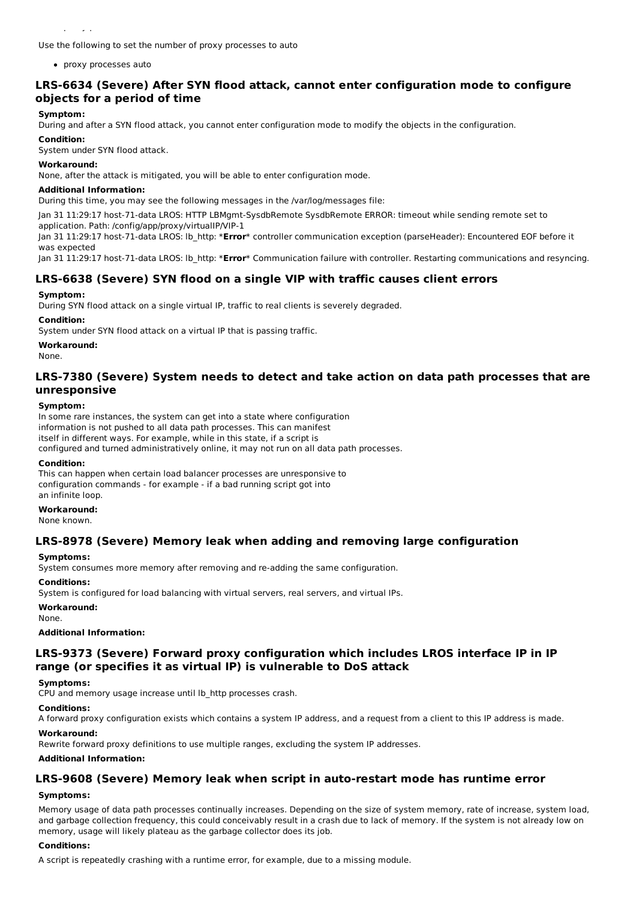proxy processes 0

Use the following to set the number of proxy processes to auto

proxy processes auto

## **LRS-6634 (Severe) After SYN flood attack, cannot enter configuration mode to configure objects for a period of time**

### **Symptom:**

During and after a SYN flood attack, you cannot enter configuration mode to modify the objects in the configuration.

#### **Condition:**

System under SYN flood attack.

#### **Workaround:**

None, after the attack is mitigated, you will be able to enter configuration mode.

#### **Additional Information:**

During this time, you may see the following messages in the /var/log/messages file:

Jan 31 11:29:17 host-71-data LROS: HTTP LBMgmt-SysdbRemote SysdbRemote ERROR: timeout while sending remote set to application. Path: /config/app/proxy/virtualIP/VIP-1

Jan 31 11:29:17 host-71-data LROS: lb\_http: \***Error**\* controller communication exception (parseHeader): Encountered EOF before it was expected

Jan 31 11:29:17 host-71-data LROS: lb\_http: \***Error**\* Communication failure with controller. Restarting communications and resyncing.

### **LRS-6638 (Severe) SYN flood on a single VIP with traffic causes client errors**

#### **Symptom:**

During SYN flood attack on a single virtual IP, traffic to real clients is severely degraded.

#### **Condition:**

System under SYN flood attack on a virtual IP that is passing traffic.

#### **Workaround:**

None.

### **LRS-7380 (Severe) System needs to detect and take action on data path processes that are unresponsive**

#### **Symptom:**

In some rare instances, the system can get into a state where configuration information is not pushed to all data path processes. This can manifest itself in different ways. For example, while in this state, if a script is configured and turned administratively online, it may not run on all data path processes.

#### **Condition:**

This can happen when certain load balancer processes are unresponsive to configuration commands - for example - if a bad running script got into an infinite loop.

## **Workaround:**

None known.

### **LRS-8978 (Severe) Memory leak when adding and removing large configuration**

#### **Symptoms:**

System consumes more memory after removing and re-adding the same configuration.

#### **Conditions:**

System is configured for load balancing with virtual servers, real servers, and virtual IPs.

#### **Workaround:**

None.

#### **Additional Information:**

## **LRS-9373 (Severe) Forward proxy configuration which includes LROS interface IP in IP range (or specifies it as virtual IP) is vulnerable to DoS attack**

### **Symptoms:**

CPU and memory usage increase until lb\_http processes crash.

## **Conditions:**

A forward proxy configuration exists which contains a system IP address, and a request from a client to this IP address is made.

#### **Workaround:**

Rewrite forward proxy definitions to use multiple ranges, excluding the system IP addresses.

#### **Additional Information:**

### **LRS-9608 (Severe) Memory leak when script in auto-restart mode has runtime error**

#### **Symptoms:**

Memory usage of data path processes continually increases. Depending on the size of system memory, rate of increase, system load, and garbage collection frequency, this could conceivably result in a crash due to lack of memory. If the system is not already low on memory, usage will likely plateau as the garbage collector does its job.

### **Conditions:**

A script is repeatedly crashing with a runtime error, for example, due to a missing module.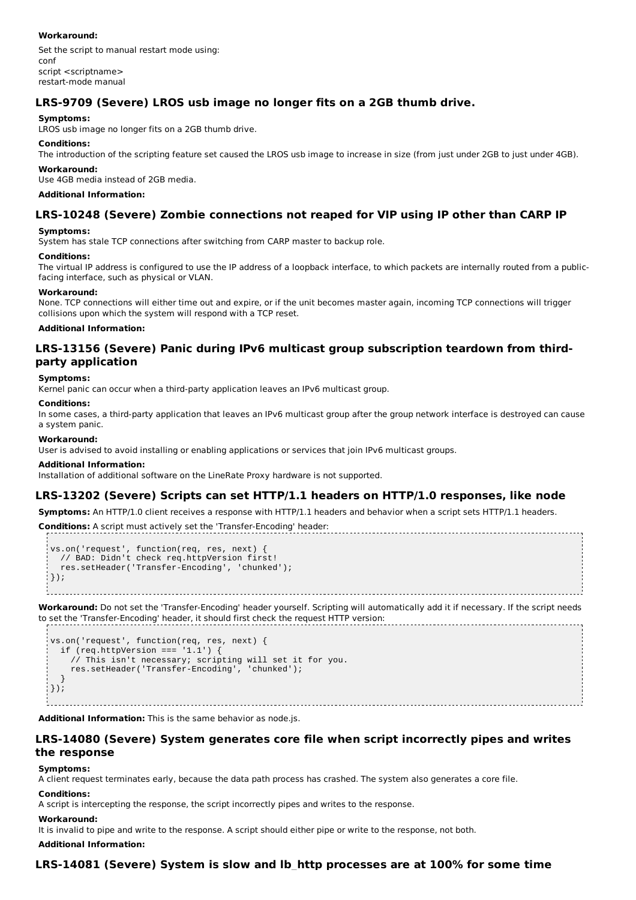### **Workaround:**

Set the script to manual restart mode using: conf script <scriptname> restart-mode manual

## **LRS-9709 (Severe) LROS usb image no longer fits on a 2GB thumb drive.**

## **Symptoms:**

LROS usb image no longer fits on a 2GB thumb drive.

### **Conditions:**

The introduction of the scripting feature set caused the LROS usb image to increase in size (from just under 2GB to just under 4GB).

#### **Workaround:**

Use 4GB media instead of 2GB media.

### **Additional Information:**

## **LRS-10248 (Severe) Zombie connections not reaped for VIP using IP other than CARP IP**

### **Symptoms:**

System has stale TCP connections after switching from CARP master to backup role.

### **Conditions:**

The virtual IP address is configured to use the IP address of a loopback interface, to which packets are internally routed from a publicfacing interface, such as physical or VLAN.

### **Workaround:**

None. TCP connections will either time out and expire, or if the unit becomes master again, incoming TCP connections will trigger collisions upon which the system will respond with a TCP reset.

### **Additional Information:**

## **LRS-13156 (Severe) Panic during IPv6 multicast group subscription teardown from thirdparty application**

### **Symptoms:**

Kernel panic can occur when a third-party application leaves an IPv6 multicast group.

#### **Conditions:**

In some cases, a third-party application that leaves an IPv6 multicast group after the group network interface is destroyed can cause a system panic.

### **Workaround:**

User is advised to avoid installing or enabling applications or services that join IPv6 multicast groups.

### **Additional Information:**

Installation of additional software on the LineRate Proxy hardware is not supported.

## **LRS-13202 (Severe) Scripts can set HTTP/1.1 headers on HTTP/1.0 responses, like node**

**Symptoms:** An HTTP/1.0 client receives a response with HTTP/1.1 headers and behavior when a script sets HTTP/1.1 headers.

**Conditions:** A script must actively set the 'Transfer-Encoding' header:

```
vs.on('request', function(req, res, next) {
  // BAD: Didn't check req.httpVersion first!
  res.setHeader('Transfer-Encoding', 'chunked');
| \});
```
**Workaround:** Do not set the 'Transfer-Encoding' header yourself. Scripting will automatically add it if necessary. If the script needs to set the 'Transfer-Encoding' header, it should first check the request HTTP version:

```
vs.on('request', function(req, res, next) {
  if (req.httpVersion === '1.1') {
     // This isn't necessary; scripting will set it for you.
     res.setHeader('Transfer-Encoding', 'chunked');
  }
\vert } ) ;
```
**Additional Information:** This is the same behavior as node.js.

## **LRS-14080 (Severe) System generates core file when script incorrectly pipes and writes the response**

### **Symptoms:**

A client request terminates early, because the data path process has crashed. The system also generates a core file.

#### **Conditions:**

A script is intercepting the response, the script incorrectly pipes and writes to the response.

### **Workaround:**

It is invalid to pipe and write to the response. A script should either pipe or write to the response, not both.

### **Additional Information:**

## **LRS-14081 (Severe) System is slow and lb\_http processes are at 100% for some time**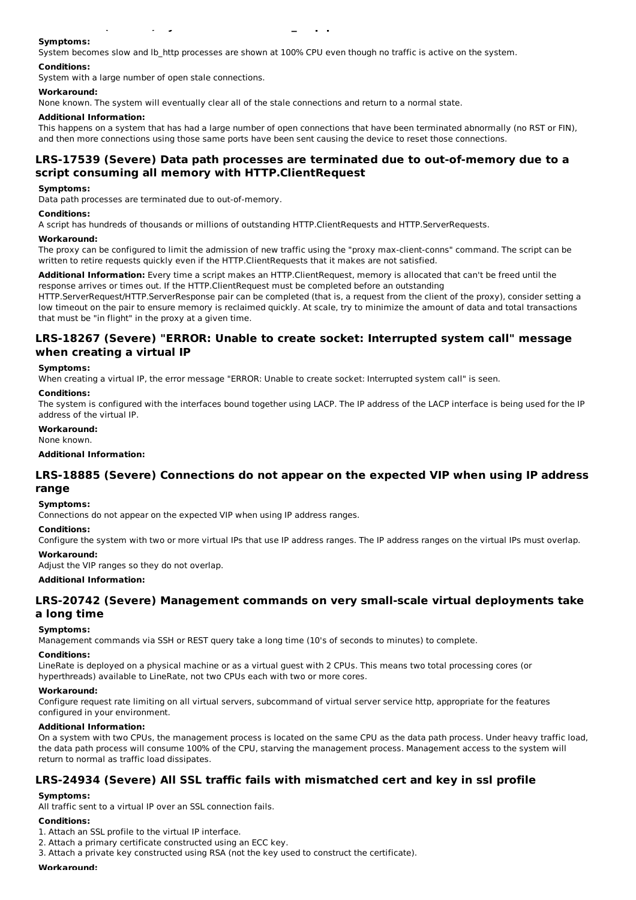## **Symptoms:**

System becomes slow and lb\_http processes are shown at 100% CPU even though no traffic is active on the system.

**LRS-14081 (Severe) System is slow and lb\_http processes are at 100% for some time**

#### **Conditions:**

System with a large number of open stale connections.

#### **Workaround:**

None known. The system will eventually clear all of the stale connections and return to a normal state.

#### **Additional Information:**

This happens on a system that has had a large number of open connections that have been terminated abnormally (no RST or FIN), and then more connections using those same ports have been sent causing the device to reset those connections.

## **LRS-17539 (Severe) Data path processes are terminated due to out-of-memory due to a script consuming all memory with HTTP.ClientRequest**

#### **Symptoms:**

Data path processes are terminated due to out-of-memory.

#### **Conditions:**

A script has hundreds of thousands or millions of outstanding HTTP.ClientRequests and HTTP.ServerRequests.

#### **Workaround:**

The proxy can be configured to limit the admission of new traffic using the "proxy max-client-conns" command. The script can be written to retire requests quickly even if the HTTP.ClientRequests that it makes are not satisfied.

**Additional Information:** Every time a script makes an HTTP.ClientRequest, memory is allocated that can't be freed until the response arrives or times out. If the HTTP.ClientRequest must be completed before an outstanding

HTTP.ServerRequest/HTTP.ServerResponse pair can be completed (that is, a request from the client of the proxy), consider setting a low timeout on the pair to ensure memory is reclaimed quickly. At scale, try to minimize the amount of data and total transactions that must be "in flight" in the proxy at a given time.

### **LRS-18267 (Severe) "ERROR: Unable to create socket: Interrupted system call" message when creating a virtual IP**

#### **Symptoms:**

When creating a virtual IP, the error message "ERROR: Unable to create socket: Interrupted system call" is seen.

#### **Conditions:**

The system is configured with the interfaces bound together using LACP. The IP address of the LACP interface is being used for the IP address of the virtual IP.

#### **Workaround:**

None known.

#### **Additional Information:**

### **LRS-18885 (Severe) Connections do not appear on the expected VIP when using IP address range**

#### **Symptoms:**

Connections do not appear on the expected VIP when using IP address ranges.

#### **Conditions:**

Configure the system with two or more virtual IPs that use IP address ranges. The IP address ranges on the virtual IPs must overlap.

### **Workaround:**

Adjust the VIP ranges so they do not overlap.

**Additional Information:**

### **LRS-20742 (Severe) Management commands on very small-scale virtual deployments take a long time**

#### **Symptoms:**

Management commands via SSH or REST query take a long time (10's of seconds to minutes) to complete.

#### **Conditions:**

LineRate is deployed on a physical machine or as a virtual guest with 2 CPUs. This means two total processing cores (or hyperthreads) available to LineRate, not two CPUs each with two or more cores.

#### **Workaround:**

Configure request rate limiting on all virtual servers, subcommand of virtual server service http, appropriate for the features configured in your environment.

#### **Additional Information:**

On a system with two CPUs, the management process is located on the same CPU as the data path process. Under heavy traffic load, the data path process will consume 100% of the CPU, starving the management process. Management access to the system will return to normal as traffic load dissipates.

## **LRS-24934 (Severe) All SSL traffic fails with mismatched cert and key in ssl profile**

### **Symptoms:**

All traffic sent to a virtual IP over an SSL connection fails.

### **Conditions:**

- 1. Attach an SSL profile to the virtual IP interface.
- 2. Attach a primary certificate constructed using an ECC key.
- 3. Attach a private key constructed using RSA (not the key used to construct the certificate).

#### **Workaround:**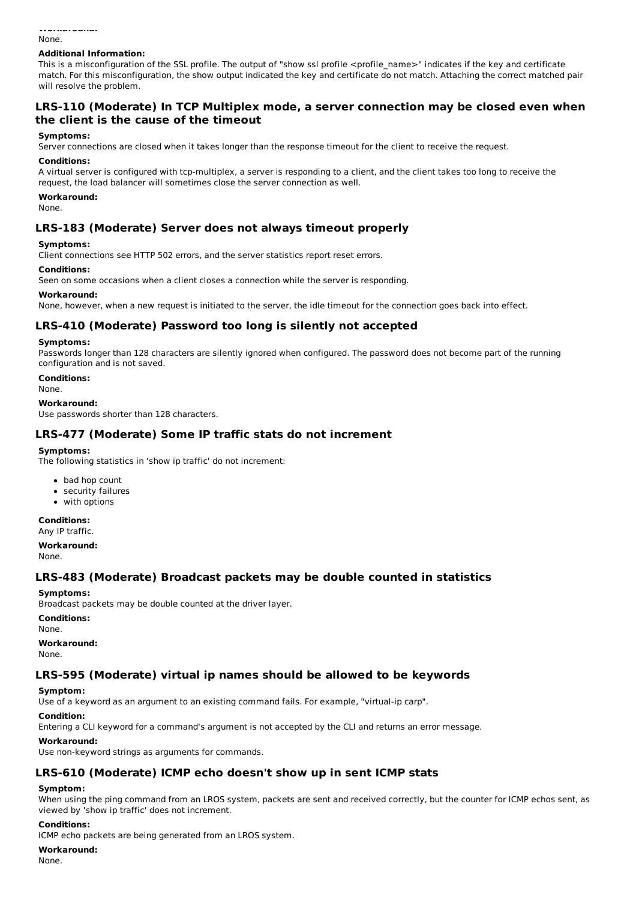#### **Workaround:** None.

#### **Additional Information:**

This is a misconfiguration of the SSL profile. The output of "show ssl profile <profile\_name>" indicates if the key and certificate match. For this misconfiguration, the show output indicated the key and certificate do not match. Attaching the correct matched pair will resolve the problem.

## **LRS-110 (Moderate) In TCP Multiplex mode, a server connection may be closed even when the client is the cause of the timeout**

#### **Symptoms:**

Server connections are closed when it takes longer than the response timeout for the client to receive the request.

#### **Conditions:**

A virtual server is configured with tcp-multiplex, a server is responding to a client, and the client takes too long to receive the request, the load balancer will sometimes close the server connection as well.

#### **Workaround:**

None.

### **LRS-183 (Moderate) Server does not always timeout properly**

#### **Symptoms:**

Client connections see HTTP 502 errors, and the server statistics report reset errors.

#### **Conditions:**

Seen on some occasions when a client closes a connection while the server is responding.

#### **Workaround:**

None, however, when a new request is initiated to the server, the idle timeout for the connection goes back into effect.

### **LRS-410 (Moderate) Password too long is silently not accepted**

#### **Symptoms:**

Passwords longer than 128 characters are silently ignored when configured. The password does not become part of the running configuration and is not saved.

**Conditions:**

None.

#### **Workaround:**

Use passwords shorter than 128 characters.

### **LRS-477 (Moderate) Some IP traffic stats do not increment**

#### **Symptoms:**

The following statistics in 'show ip traffic' do not increment:

- bad hop count
- security failures
- with options

#### **Conditions:**

Any IP traffic.

**Workaround:** None.

### **LRS-483 (Moderate) Broadcast packets may be double counted in statistics**

#### **Symptoms:**

Broadcast packets may be double counted at the driver layer.

#### **Conditions:**

None.

### **Workaround:**

None.

## **LRS-595 (Moderate) virtual ip names should be allowed to be keywords**

### **Symptom:**

Use of a keyword as an argument to an existing command fails. For example, "virtual-ip carp".

### **Condition:**

Entering a CLI keyword for a command's argument is not accepted by the CLI and returns an error message.

### **Workaround:**

Use non-keyword strings as arguments for commands.

## **LRS-610 (Moderate) ICMP echo doesn't show up in sent ICMP stats**

### **Symptom:**

When using the ping command from an LROS system, packets are sent and received correctly, but the counter for ICMP echos sent, as viewed by 'show ip traffic' does not increment.

#### **Conditions:**

ICMP echo packets are being generated from an LROS system.

#### **Workaround:**

None.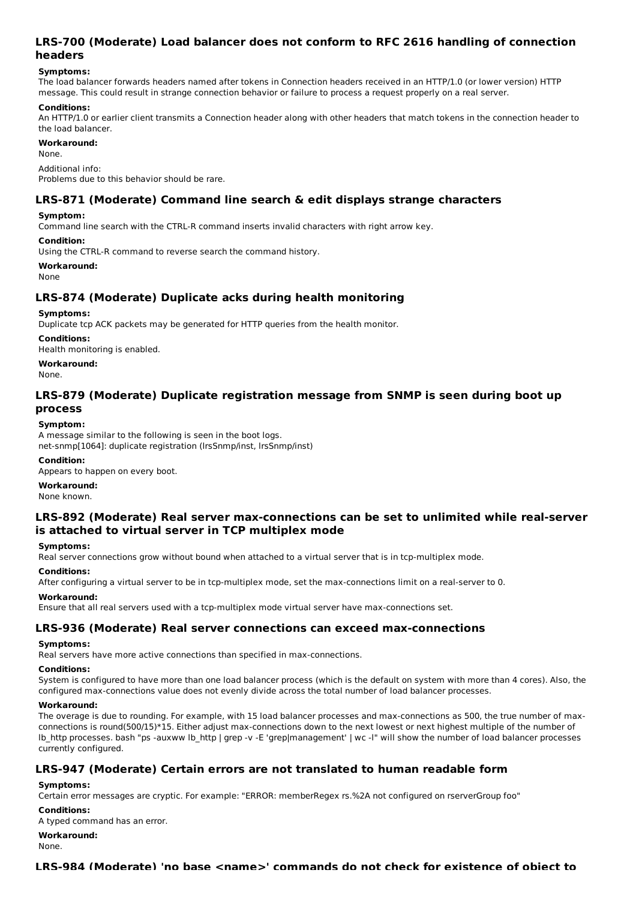## **LRS-700 (Moderate) Load balancer does not conform to RFC 2616 handling of connection headers**

### **Symptoms:**

The load balancer forwards headers named after tokens in Connection headers received in an HTTP/1.0 (or lower version) HTTP message. This could result in strange connection behavior or failure to process a request properly on a real server.

### **Conditions:**

An HTTP/1.0 or earlier client transmits a Connection header along with other headers that match tokens in the connection header to the load balancer.

### **Workaround:**

None.

Additional info:

Problems due to this behavior should be rare.

## **LRS-871 (Moderate) Command line search & edit displays strange characters**

### **Symptom:**

Command line search with the CTRL-R command inserts invalid characters with right arrow key.

**Condition:**

Using the CTRL-R command to reverse search the command history.

**Workaround:**

None

## **LRS-874 (Moderate) Duplicate acks during health monitoring**

### **Symptoms:**

Duplicate tcp ACK packets may be generated for HTTP queries from the health monitor.

### **Conditions:**

Health monitoring is enabled.

### **Workaround:**

None.

## **LRS-879 (Moderate) Duplicate registration message from SNMP is seen during boot up process**

### **Symptom:**

A message similar to the following is seen in the boot logs. net-snmp[1064]: duplicate registration (lrsSnmp/inst, lrsSnmp/inst)

### **Condition:**

Appears to happen on every boot.

**Workaround:** None known.

# **LRS-892 (Moderate) Real server max-connections can be set to unlimited while real-server is attached to virtual server in TCP multiplex mode**

### **Symptoms:**

Real server connections grow without bound when attached to a virtual server that is in tcp-multiplex mode.

### **Conditions:**

After configuring a virtual server to be in tcp-multiplex mode, set the max-connections limit on a real-server to 0.

**Workaround:**

Ensure that all real servers used with a tcp-multiplex mode virtual server have max-connections set.

### **LRS-936 (Moderate) Real server connections can exceed max-connections**

### **Symptoms:**

Real servers have more active connections than specified in max-connections.

### **Conditions:**

System is configured to have more than one load balancer process (which is the default on system with more than 4 cores). Also, the configured max-connections value does not evenly divide across the total number of load balancer processes.

### **Workaround:**

The overage is due to rounding. For example, with 15 load balancer processes and max-connections as 500, the true number of maxconnections is round(500/15)\*15. Either adjust max-connections down to the next lowest or next highest multiple of the number of lb\_http processes. bash "ps -auxww lb\_http | grep -v -E 'grep|management' | wc -l" will show the number of load balancer processes currently configured.

## **LRS-947 (Moderate) Certain errors are not translated to human readable form**

## **Symptoms:**

Certain error messages are cryptic. For example: "ERROR: memberRegex rs.%2A not configured on rserverGroup foo"

### **Conditions:**

A typed command has an error.

## **Workaround:**

None.

## **LRS-984 (Moderate) 'no base <name>' commands do not check for existence of object to**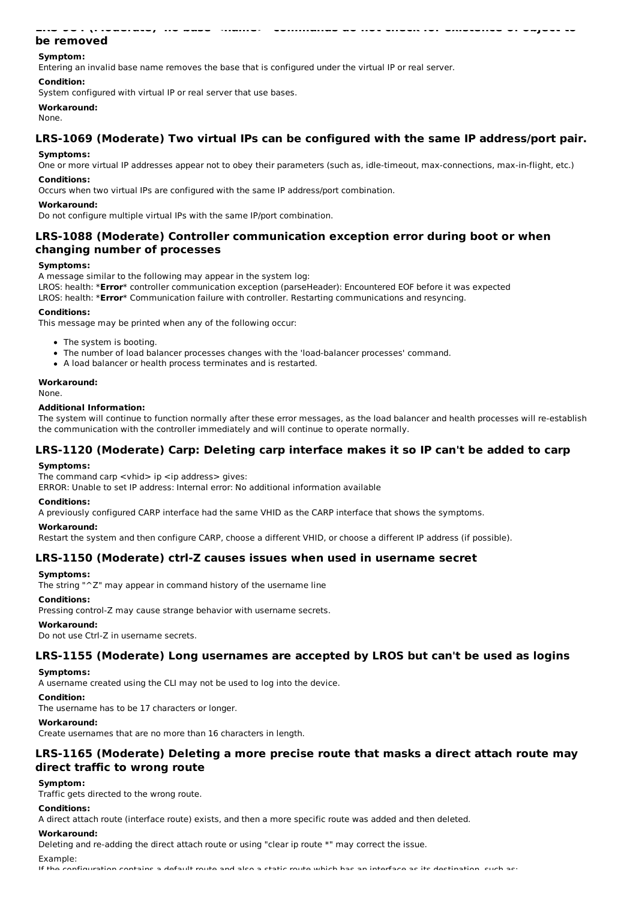## **be removed Symptom:**

Entering an invalid base name removes the base that is configured under the virtual IP or real server.

### **Condition:**

System configured with virtual IP or real server that use bases.

#### **Workaround:**

None.

## **LRS-1069 (Moderate) Two virtual IPs can be configured with the same IP address/port pair.**

**LRS-984 (Moderate) 'no base <name>' commands do not check for existence of object to**

### **Symptoms:**

One or more virtual IP addresses appear not to obey their parameters (such as, idle-timeout, max-connections, max-in-flight, etc.) **Conditions:**

Occurs when two virtual IPs are configured with the same IP address/port combination.

### **Workaround:**

Do not configure multiple virtual IPs with the same IP/port combination.

## **LRS-1088 (Moderate) Controller communication exception error during boot or when changing number of processes**

### **Symptoms:**

A message similar to the following may appear in the system log:

LROS: health: \***Error**\* controller communication exception (parseHeader): Encountered EOF before it was expected

LROS: health: \***Error**\* Communication failure with controller. Restarting communications and resyncing.

#### **Conditions:**

This message may be printed when any of the following occur:

- The system is booting.
- The number of load balancer processes changes with the 'load-balancer processes' command.
- A load balancer or health process terminates and is restarted.

## **Workaround:**

None.

### **Additional Information:**

The system will continue to function normally after these error messages, as the load balancer and health processes will re-establish the communication with the controller immediately and will continue to operate normally.

## **LRS-1120 (Moderate) Carp: Deleting carp interface makes it so IP can't be added to carp**

#### **Symptoms:**

The command carp  $\langle$  vhid $\rangle$  ip  $\langle$  ip address $\rangle$  gives:

ERROR: Unable to set IP address: Internal error: No additional information available

### **Conditions:**

A previously configured CARP interface had the same VHID as the CARP interface that shows the symptoms.

### **Workaround:**

Restart the system and then configure CARP, choose a different VHID, or choose a different IP address (if possible).

### **LRS-1150 (Moderate) ctrl-Z causes issues when used in username secret**

### **Symptoms:**

The string "^Z" may appear in command history of the username line

#### **Conditions:**

Pressing control-Z may cause strange behavior with username secrets.

### **Workaround:**

Do not use Ctrl-Z in username secrets.

### **LRS-1155 (Moderate) Long usernames are accepted by LROS but can't be used as logins**

### **Symptoms:**

A username created using the CLI may not be used to log into the device.

### **Condition:**

The username has to be 17 characters or longer.

## **Workaround:**

Create usernames that are no more than 16 characters in length.

## **LRS-1165 (Moderate) Deleting a more precise route that masks a direct attach route may direct traffic to wrong route**

### **Symptom:**

Traffic gets directed to the wrong route.

### **Conditions:**

A direct attach route (interface route) exists, and then a more specific route was added and then deleted.

### **Workaround:**

Deleting and re-adding the direct attach route or using "clear ip route \*" may correct the issue.

Example:

If the configuration contains a default route and also a static route which has an interface as its destination, such as: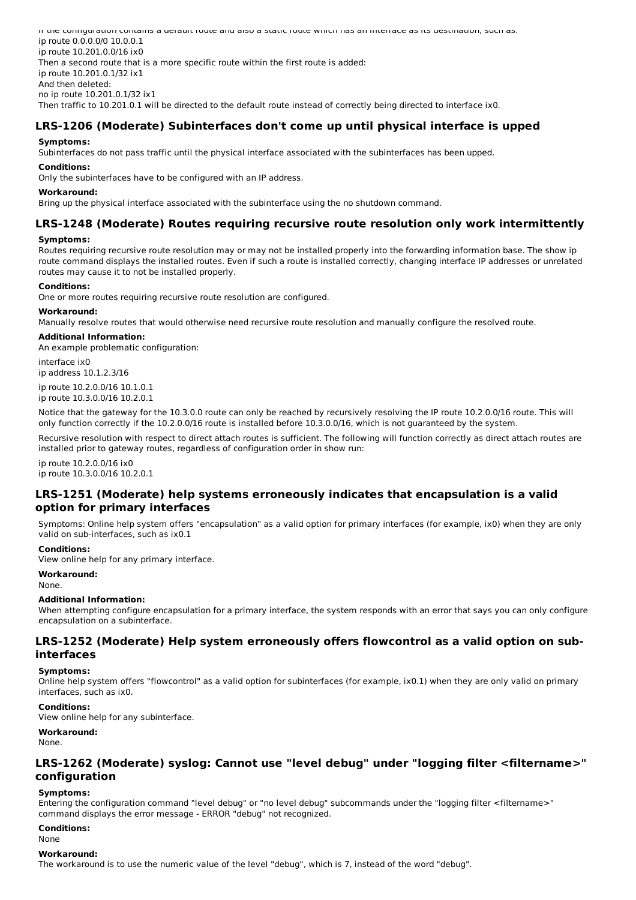If the configuration contains a default route and also a static route which has an interface as its destination, such as: ip route 0.0.0.0/0 10.0.0.1 ip route 10.201.0.0/16 ix0 Then a second route that is a more specific route within the first route is added: ip route 10.201.0.1/32 ix1 And then deleted: no ip route 10.201.0.1/32 ix1 Then traffic to 10.201.0.1 will be directed to the default route instead of correctly being directed to interface ix0.

## **LRS-1206 (Moderate) Subinterfaces don't come up until physical interface is upped**

### **Symptoms:**

Subinterfaces do not pass traffic until the physical interface associated with the subinterfaces has been upped.

### **Conditions:**

Only the subinterfaces have to be configured with an IP address.

### **Workaround:**

Bring up the physical interface associated with the subinterface using the no shutdown command.

# **LRS-1248 (Moderate) Routes requiring recursive route resolution only work intermittently**

### **Symptoms:**

Routes requiring recursive route resolution may or may not be installed properly into the forwarding information base. The show ip route command displays the installed routes. Even if such a route is installed correctly, changing interface IP addresses or unrelated routes may cause it to not be installed properly.

### **Conditions:**

One or more routes requiring recursive route resolution are configured.

### **Workaround:**

Manually resolve routes that would otherwise need recursive route resolution and manually configure the resolved route.

### **Additional Information:**

An example problematic configuration:

interface ix0 ip address 10.1.2.3/16

ip route 10.2.0.0/16 10.1.0.1 ip route 10.3.0.0/16 10.2.0.1

Notice that the gateway for the 10.3.0.0 route can only be reached by recursively resolving the IP route 10.2.0.0/16 route. This will only function correctly if the 10.2.0.0/16 route is installed before 10.3.0.0/16, which is not guaranteed by the system.

Recursive resolution with respect to direct attach routes is sufficient. The following will function correctly as direct attach routes are installed prior to gateway routes, regardless of configuration order in show run:

ip route 10.2.0.0/16 ix0 ip route 10.3.0.0/16 10.2.0.1

## **LRS-1251 (Moderate) help systems erroneously indicates that encapsulation is a valid option for primary interfaces**

Symptoms: Online help system offers "encapsulation" as a valid option for primary interfaces (for example, ix0) when they are only valid on sub-interfaces, such as ix0.1

### **Conditions:**

View online help for any primary interface.

### **Workaround:**

None.

### **Additional Information:**

When attempting configure encapsulation for a primary interface, the system responds with an error that says you can only configure encapsulation on a subinterface.

## **LRS-1252 (Moderate) Help system erroneously offers flowcontrol as a valid option on subinterfaces**

## **Symptoms:**

Online help system offers "flowcontrol" as a valid option for subinterfaces (for example, ix0.1) when they are only valid on primary interfaces, such as ix0.

### **Conditions:**

View online help for any subinterface.

**Workaround:**

None.

## **LRS-1262 (Moderate) syslog: Cannot use "level debug" under "logging filter <filtername>" configuration**

### **Symptoms:**

Entering the configuration command "level debug" or "no level debug" subcommands under the "logging filter <filtername>" command displays the error message - ERROR "debug" not recognized.

### **Conditions:**

None

#### **Workaround:**

The workaround is to use the numeric value of the level "debug", which is 7, instead of the word "debug".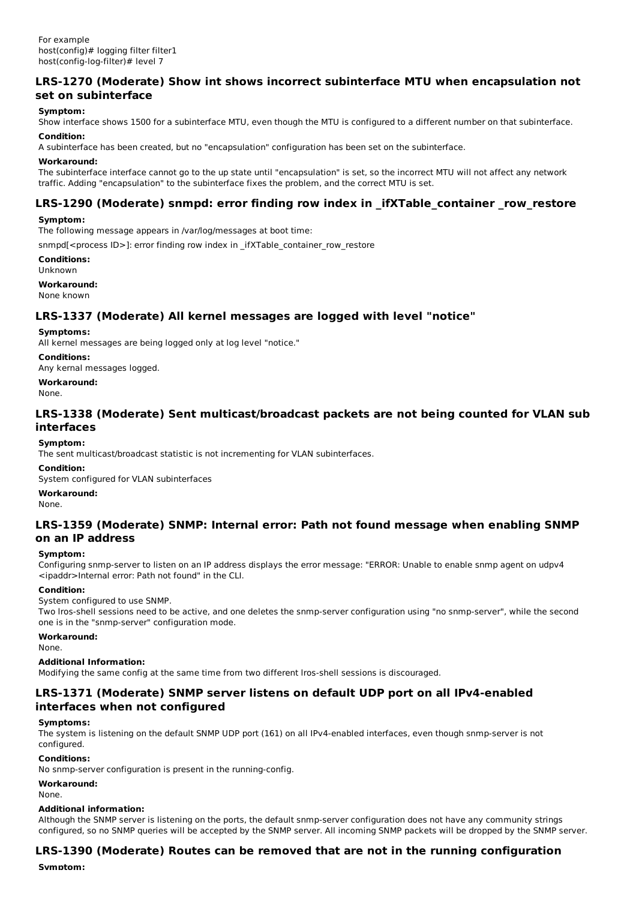## **LRS-1270 (Moderate) Show int shows incorrect subinterface MTU when encapsulation not set on subinterface**

### **Symptom:**

Show interface shows 1500 for a subinterface MTU, even though the MTU is configured to a different number on that subinterface. **Condition:**

## A subinterface has been created, but no "encapsulation" configuration has been set on the subinterface.

#### **Workaround:**

The subinterface interface cannot go to the up state until "encapsulation" is set, so the incorrect MTU will not affect any network traffic. Adding "encapsulation" to the subinterface fixes the problem, and the correct MTU is set.

## **LRS-1290 (Moderate) snmpd: error finding row index in \_ifXTable\_container \_row\_restore**

### **Symptom:**

The following message appears in /var/log/messages at boot time:

snmpd[<process ID>]: error finding row index in \_ifXTable\_container\_row\_restore

**Conditions:**

Unknown

**Workaround:** None known

## **LRS-1337 (Moderate) All kernel messages are logged with level "notice"**

### **Symptoms:**

All kernel messages are being logged only at log level "notice."

### **Conditions:**

Any kernal messages logged.

**Workaround:**

None.

### **LRS-1338 (Moderate) Sent multicast/broadcast packets are not being counted for VLAN sub interfaces**

### **Symptom:**

The sent multicast/broadcast statistic is not incrementing for VLAN subinterfaces.

#### **Condition:**

System configured for VLAN subinterfaces

#### **Workaround:**

None.

### **LRS-1359 (Moderate) SNMP: Internal error: Path not found message when enabling SNMP on an IP address**

### **Symptom:**

Configuring snmp-server to listen on an IP address displays the error message: "ERROR: Unable to enable snmp agent on udpv4 <ipaddr>Internal error: Path not found" in the CLI.

### **Condition:**

System configured to use SNMP.

Two lros-shell sessions need to be active, and one deletes the snmp-server configuration using "no snmp-server", while the second one is in the "snmp-server" configuration mode.

**Workaround:**

None.

### **Additional Information:**

Modifying the same config at the same time from two different lros-shell sessions is discouraged.

## **LRS-1371 (Moderate) SNMP server listens on default UDP port on all IPv4-enabled interfaces when not configured**

### **Symptoms:**

The system is listening on the default SNMP UDP port (161) on all IPv4-enabled interfaces, even though snmp-server is not configured.

### **Conditions:**

No snmp-server configuration is present in the running-config.

## **Workaround:**

None.

### **Additional information:**

Although the SNMP server is listening on the ports, the default snmp-server configuration does not have any community strings configured, so no SNMP queries will be accepted by the SNMP server. All incoming SNMP packets will be dropped by the SNMP server.

## **LRS-1390 (Moderate) Routes can be removed that are not in the running configuration**

**Symptom:**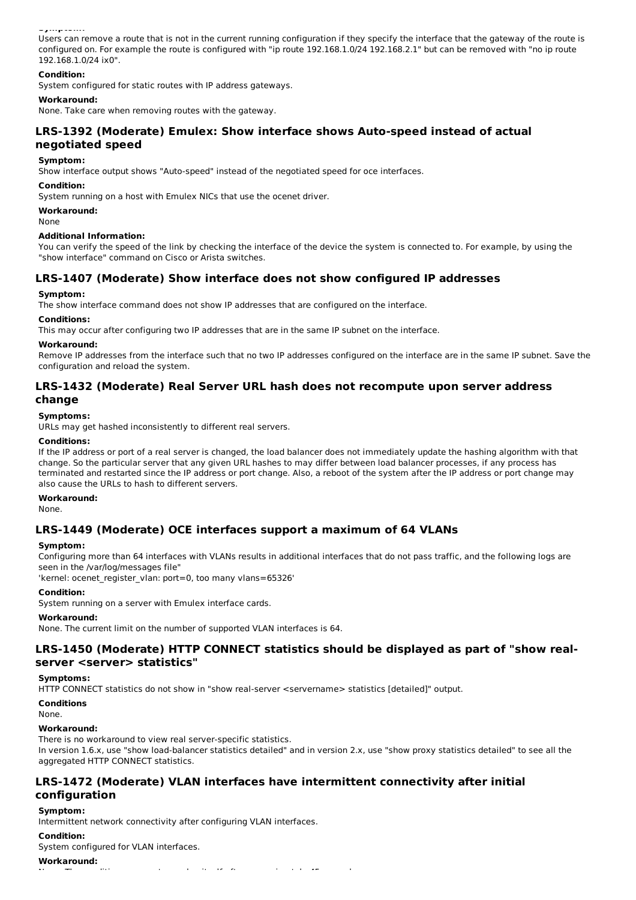**Symptom:**

Users can remove a route that is not in the current running configuration if they specify the interface that the gateway of the route is configured on. For example the route is configured with "ip route 192.168.1.0/24 192.168.2.1" but can be removed with "no ip route 192.168.1.0/24 ix0".

### **Condition:**

System configured for static routes with IP address gateways.

### **Workaround:**

None. Take care when removing routes with the gateway.

## **LRS-1392 (Moderate) Emulex: Show interface shows Auto-speed instead of actual negotiated speed**

### **Symptom:**

Show interface output shows "Auto-speed" instead of the negotiated speed for oce interfaces.

#### **Condition:**

System running on a host with Emulex NICs that use the ocenet driver.

**Workaround:**

None

#### **Additional Information:**

You can verify the speed of the link by checking the interface of the device the system is connected to. For example, by using the "show interface" command on Cisco or Arista switches.

## **LRS-1407 (Moderate) Show interface does not show configured IP addresses**

### **Symptom:**

The show interface command does not show IP addresses that are configured on the interface.

#### **Conditions:**

This may occur after configuring two IP addresses that are in the same IP subnet on the interface.

#### **Workaround:**

Remove IP addresses from the interface such that no two IP addresses configured on the interface are in the same IP subnet. Save the configuration and reload the system.

## **LRS-1432 (Moderate) Real Server URL hash does not recompute upon server address change**

### **Symptoms:**

URLs may get hashed inconsistently to different real servers.

### **Conditions:**

If the IP address or port of a real server is changed, the load balancer does not immediately update the hashing algorithm with that change. So the particular server that any given URL hashes to may differ between load balancer processes, if any process has terminated and restarted since the IP address or port change. Also, a reboot of the system after the IP address or port change may also cause the URLs to hash to different servers.

#### **Workaround:**

None.

### **LRS-1449 (Moderate) OCE interfaces support a maximum of 64 VLANs**

#### **Symptom:**

Configuring more than 64 interfaces with VLANs results in additional interfaces that do not pass traffic, and the following logs are seen in the /var/log/messages file"

'kernel: ocenet register vlan: port=0, too many vlans=65326'

#### **Condition:**

System running on a server with Emulex interface cards.

#### **Workaround:**

None. The current limit on the number of supported VLAN interfaces is 64.

### **LRS-1450 (Moderate) HTTP CONNECT statistics should be displayed as part of "show realserver <server> statistics"**

#### **Symptoms:**

HTTP CONNECT statistics do not show in "show real-server <servername> statistics [detailed]" output.

#### **Conditions**

None.

#### **Workaround:**

There is no workaround to view real server-specific statistics. In version 1.6.x, use "show load-balancer statistics detailed" and in version 2.x, use "show proxy statistics detailed" to see all the aggregated HTTP CONNECT statistics.

## **LRS-1472 (Moderate) VLAN interfaces have intermittent connectivity after initial configuration**

### **Symptom:**

Intermittent network connectivity after configuring VLAN interfaces.

#### **Condition:**

System configured for VLAN interfaces.

#### **Workaround:**

None. The condition appears to resolve itself after approximately 45 seconds.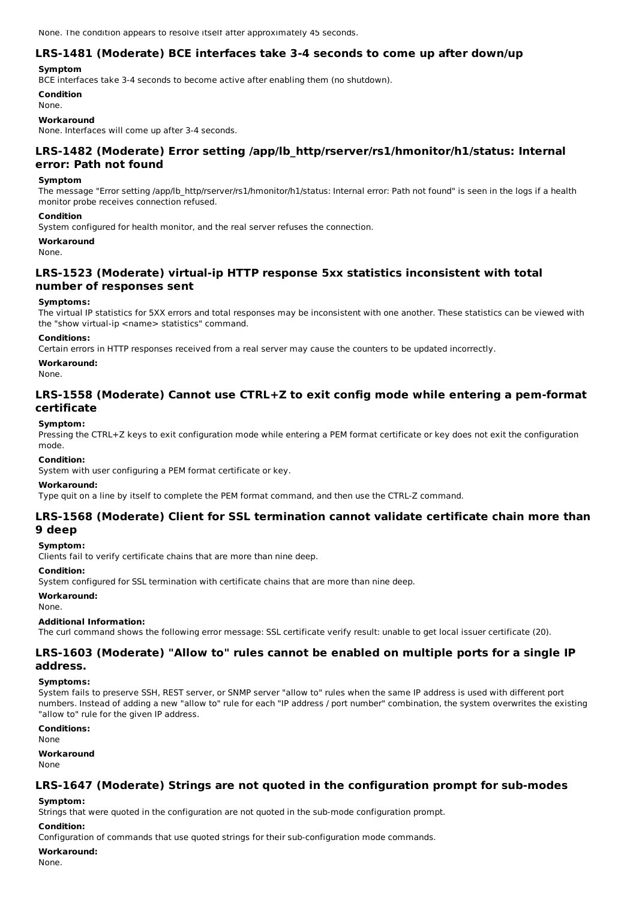None. The condition appears to resolve itself after approximately 45 seconds.

## **LRS-1481 (Moderate) BCE interfaces take 3-4 seconds to come up after down/up**

### **Symptom**

BCE interfaces take 3-4 seconds to become active after enabling them (no shutdown).

**Condition**

## None.

**Workaround**

None. Interfaces will come up after 3-4 seconds.

## **LRS-1482 (Moderate) Error setting /app/lb\_http/rserver/rs1/hmonitor/h1/status: Internal error: Path not found**

### **Symptom**

The message "Error setting /app/lb http/rserver/rs1/hmonitor/h1/status: Internal error: Path not found" is seen in the logs if a health monitor probe receives connection refused.

### **Condition**

System configured for health monitor, and the real server refuses the connection.

### **Workaround**

None.

## **LRS-1523 (Moderate) virtual-ip HTTP response 5xx statistics inconsistent with total number of responses sent**

### **Symptoms:**

The virtual IP statistics for 5XX errors and total responses may be inconsistent with one another. These statistics can be viewed with the "show virtual-ip <name> statistics" command.

### **Conditions:**

Certain errors in HTTP responses received from a real server may cause the counters to be updated incorrectly.

**Workaround:**

None.

### **LRS-1558 (Moderate) Cannot use CTRL+Z to exit config mode while entering a pem-format certificate**

### **Symptom:**

Pressing the CTRL+Z keys to exit configuration mode while entering a PEM format certificate or key does not exit the configuration mode.

### **Condition:**

System with user configuring a PEM format certificate or key.

#### **Workaround:**

Type quit on a line by itself to complete the PEM format command, and then use the CTRL-Z command.

## **LRS-1568 (Moderate) Client for SSL termination cannot validate certificate chain more than 9 deep**

## **Symptom:**

Clients fail to verify certificate chains that are more than nine deep.

#### **Condition:**

System configured for SSL termination with certificate chains that are more than nine deep.

### **Workaround:**

None.

#### **Additional Information:**

The curl command shows the following error message: SSL certificate verify result: unable to get local issuer certificate (20).

### **LRS-1603 (Moderate) "Allow to" rules cannot be enabled on multiple ports for a single IP address.**

### **Symptoms:**

System fails to preserve SSH, REST server, or SNMP server "allow to" rules when the same IP address is used with different port numbers. Instead of adding a new "allow to" rule for each "IP address / port number" combination, the system overwrites the existing "allow to" rule for the given IP address.

### **Conditions:**

None

#### **Workaround**

None

### **LRS-1647 (Moderate) Strings are not quoted in the configuration prompt for sub-modes**

### **Symptom:**

Strings that were quoted in the configuration are not quoted in the sub-mode configuration prompt.

### **Condition:**

Configuration of commands that use quoted strings for their sub-configuration mode commands.

### **Workaround:**

None.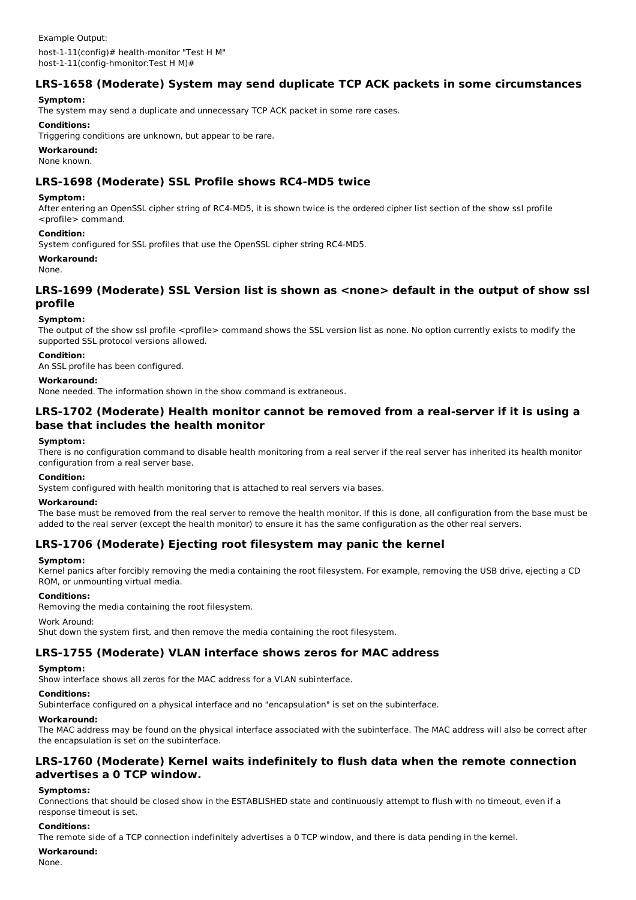## **LRS-1658 (Moderate) System may send duplicate TCP ACK packets in some circumstances**

### **Symptom:**

The system may send a duplicate and unnecessary TCP ACK packet in some rare cases.

### **Conditions:**

Triggering conditions are unknown, but appear to be rare.

### **Workaround:**

None known.

## **LRS-1698 (Moderate) SSL Profile shows RC4-MD5 twice**

### **Symptom:**

After entering an OpenSSL cipher string of RC4-MD5, it is shown twice is the ordered cipher list section of the show ssl profile <profile> command.

### **Condition:**

System configured for SSL profiles that use the OpenSSL cipher string RC4-MD5.

### **Workaround:**

None.

## **LRS-1699 (Moderate) SSL Version list is shown as <none> default in the output of show ssl profile**

### **Symptom:**

The output of the show ssl profile <profile> command shows the SSL version list as none. No option currently exists to modify the supported SSL protocol versions allowed.

### **Condition:**

An SSL profile has been configured.

### **Workaround:**

None needed. The information shown in the show command is extraneous.

## **LRS-1702 (Moderate) Health monitor cannot be removed from a real-server if it is using a base that includes the health monitor**

### **Symptom:**

There is no configuration command to disable health monitoring from a real server if the real server has inherited its health monitor configuration from a real server base.

#### **Condition:**

System configured with health monitoring that is attached to real servers via bases.

#### **Workaround:**

The base must be removed from the real server to remove the health monitor. If this is done, all configuration from the base must be added to the real server (except the health monitor) to ensure it has the same configuration as the other real servers.

## **LRS-1706 (Moderate) Ejecting root filesystem may panic the kernel**

### **Symptom:**

Kernel panics after forcibly removing the media containing the root filesystem. For example, removing the USB drive, ejecting a CD ROM, or unmounting virtual media.

# **Conditions:**

Removing the media containing the root filesystem.

Work Around:

Shut down the system first, and then remove the media containing the root filesystem.

### **LRS-1755 (Moderate) VLAN interface shows zeros for MAC address**

### **Symptom:**

Show interface shows all zeros for the MAC address for a VLAN subinterface.

### **Conditions:**

Subinterface configured on a physical interface and no "encapsulation" is set on the subinterface.

## **Workaround:**

The MAC address may be found on the physical interface associated with the subinterface. The MAC address will also be correct after the encapsulation is set on the subinterface.

## **LRS-1760 (Moderate) Kernel waits indefinitely to flush data when the remote connection advertises a 0 TCP window.**

### **Symptoms:**

Connections that should be closed show in the ESTABLISHED state and continuously attempt to flush with no timeout, even if a response timeout is set.

### **Conditions:**

The remote side of a TCP connection indefinitely advertises a 0 TCP window, and there is data pending in the kernel.

#### **Workaround:**

None.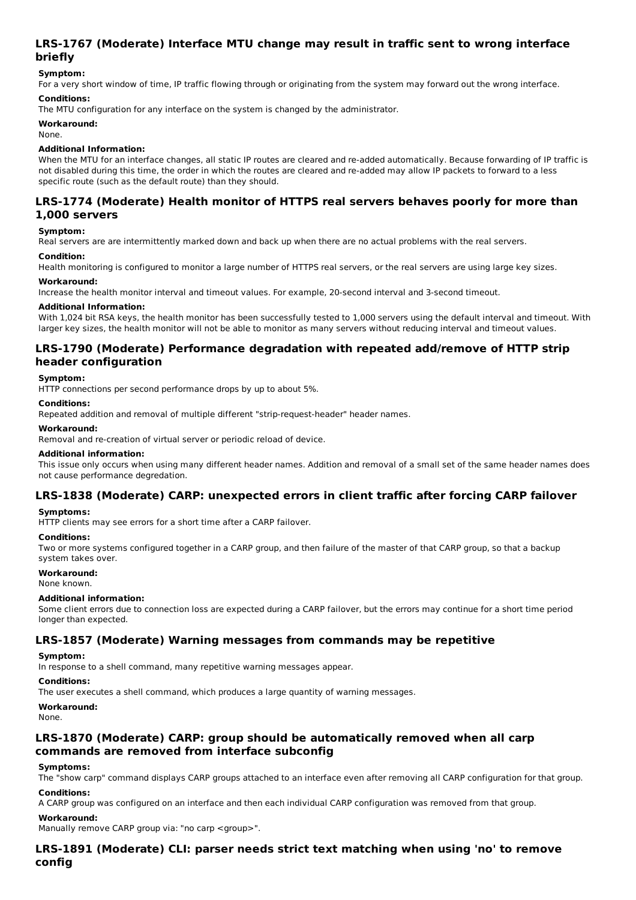## **LRS-1767 (Moderate) Interface MTU change may result in traffic sent to wrong interface briefly**

## **Symptom:**

For a very short window of time, IP traffic flowing through or originating from the system may forward out the wrong interface.

### **Conditions:**

The MTU configuration for any interface on the system is changed by the administrator.

### **Workaround:**

None.

### **Additional Information:**

When the MTU for an interface changes, all static IP routes are cleared and re-added automatically. Because forwarding of IP traffic is not disabled during this time, the order in which the routes are cleared and re-added may allow IP packets to forward to a less specific route (such as the default route) than they should.

## **LRS-1774 (Moderate) Health monitor of HTTPS real servers behaves poorly for more than 1,000 servers**

### **Symptom:**

Real servers are are intermittently marked down and back up when there are no actual problems with the real servers.

### **Condition:**

Health monitoring is configured to monitor a large number of HTTPS real servers, or the real servers are using large key sizes.

### **Workaround:**

Increase the health monitor interval and timeout values. For example, 20-second interval and 3-second timeout.

### **Additional Information:**

With 1,024 bit RSA keys, the health monitor has been successfully tested to 1,000 servers using the default interval and timeout. With larger key sizes, the health monitor will not be able to monitor as many servers without reducing interval and timeout values.

## **LRS-1790 (Moderate) Performance degradation with repeated add/remove of HTTP strip header configuration**

### **Symptom:**

HTTP connections per second performance drops by up to about 5%.

#### **Conditions:**

Repeated addition and removal of multiple different "strip-request-header" header names.

#### **Workaround:**

Removal and re-creation of virtual server or periodic reload of device.

#### **Additional information:**

This issue only occurs when using many different header names. Addition and removal of a small set of the same header names does not cause performance degredation.

## **LRS-1838 (Moderate) CARP: unexpected errors in client traffic after forcing CARP failover**

### **Symptoms:**

HTTP clients may see errors for a short time after a CARP failover.

### **Conditions:**

Two or more systems configured together in a CARP group, and then failure of the master of that CARP group, so that a backup system takes over.

#### **Workaround:**

None known.

#### **Additional information:**

Some client errors due to connection loss are expected during a CARP failover, but the errors may continue for a short time period longer than expected.

### **LRS-1857 (Moderate) Warning messages from commands may be repetitive**

### **Symptom:**

In response to a shell command, many repetitive warning messages appear.

### **Conditions:**

The user executes a shell command, which produces a large quantity of warning messages.

### **Workaround:**

None.

## **LRS-1870 (Moderate) CARP: group should be automatically removed when all carp commands are removed from interface subconfig**

#### **Symptoms:**

The "show carp" command displays CARP groups attached to an interface even after removing all CARP configuration for that group. **Conditions:**

A CARP group was configured on an interface and then each individual CARP configuration was removed from that group.

### **Workaround:**

Manually remove CARP group via: "no carp <group>".

## **LRS-1891 (Moderate) CLI: parser needs strict text matching when using 'no' to remove config**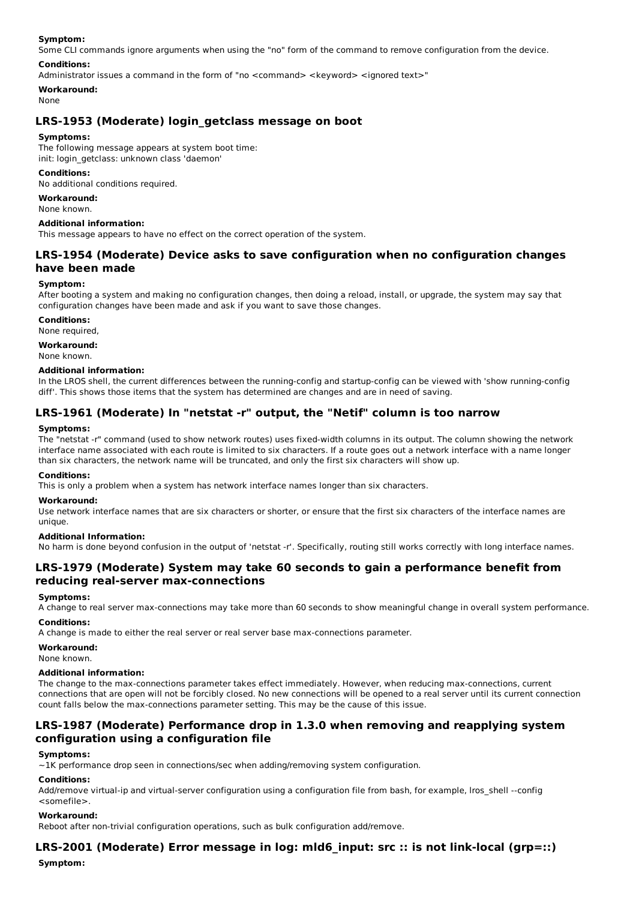#### **Symptom:**

Some CLI commands ignore arguments when using the "no" form of the command to remove configuration from the device.

#### **Conditions:**

Administrator issues a command in the form of "no <command> <keyword> <ignored text>"

### **Workaround:**

### None

## **LRS-1953 (Moderate) login\_getclass message on boot**

#### **Symptoms:**

The following message appears at system boot time: init: login\_getclass: unknown class 'daemon'

#### **Conditions:**

No additional conditions required.

#### **Workaround:**

None known.

#### **Additional information:**

This message appears to have no effect on the correct operation of the system.

## **LRS-1954 (Moderate) Device asks to save configuration when no configuration changes have been made**

#### **Symptom:**

After booting a system and making no configuration changes, then doing a reload, install, or upgrade, the system may say that configuration changes have been made and ask if you want to save those changes.

**Conditions:**

None required,

## **Workaround:**

None known.

## **Additional information:**

In the LROS shell, the current differences between the running-config and startup-config can be viewed with 'show running-config diff'. This shows those items that the system has determined are changes and are in need of saving.

## **LRS-1961 (Moderate) In "netstat -r" output, the "Netif" column is too narrow**

### **Symptoms:**

The "netstat -r" command (used to show network routes) uses fixed-width columns in its output. The column showing the network interface name associated with each route is limited to six characters. If a route goes out a network interface with a name longer than six characters, the network name will be truncated, and only the first six characters will show up.

#### **Conditions:**

This is only a problem when a system has network interface names longer than six characters.

#### **Workaround:**

Use network interface names that are six characters or shorter, or ensure that the first six characters of the interface names are unique.

### **Additional Information:**

No harm is done beyond confusion in the output of 'netstat -r'. Specifically, routing still works correctly with long interface names.

## **LRS-1979 (Moderate) System may take 60 seconds to gain a performance benefit from reducing real-server max-connections**

### **Symptoms:**

A change to real server max-connections may take more than 60 seconds to show meaningful change in overall system performance.

### **Conditions:**

A change is made to either the real server or real server base max-connections parameter.

**Workaround:**

None known.

### **Additional information:**

The change to the max-connections parameter takes effect immediately. However, when reducing max-connections, current connections that are open will not be forcibly closed. No new connections will be opened to a real server until its current connection count falls below the max-connections parameter setting. This may be the cause of this issue.

## **LRS-1987 (Moderate) Performance drop in 1.3.0 when removing and reapplying system configuration using a configuration file**

### **Symptoms:**

~1K performance drop seen in connections/sec when adding/removing system configuration.

### **Conditions:**

Add/remove virtual-ip and virtual-server configuration using a configuration file from bash, for example, lros\_shell --config <somefile>.

### **Workaround:**

Reboot after non-trivial configuration operations, such as bulk configuration add/remove.

## **LRS-2001 (Moderate) Error message in log: mld6\_input: src :: is not link-local (grp=::)**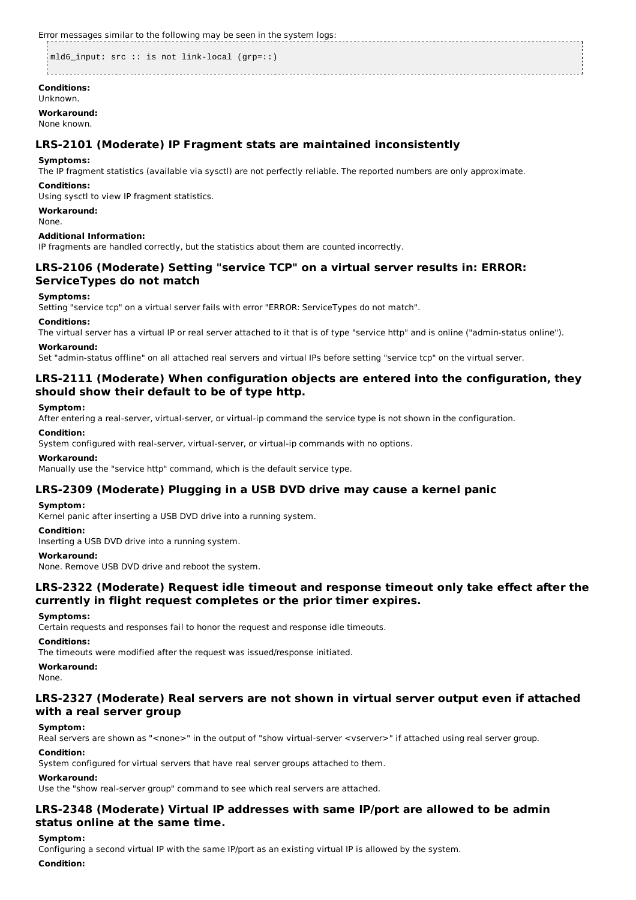Error messages similar to the following may be seen in the system logs:

```
mld6 input: src :: is not link-local (grp=::)
```
**Conditions:** Unknown.

**Workaround:** None known.

## **LRS-2101 (Moderate) IP Fragment stats are maintained inconsistently**

### **Symptoms:**

The IP fragment statistics (available via sysctl) are not perfectly reliable. The reported numbers are only approximate.

### **Conditions:**

Using sysctl to view IP fragment statistics.

### **Workaround:**

None.

### **Additional Information:**

IP fragments are handled correctly, but the statistics about them are counted incorrectly.

## **LRS-2106 (Moderate) Setting "service TCP" on a virtual server results in: ERROR: ServiceTypes do not match**

### **Symptoms:**

Setting "service tcp" on a virtual server fails with error "ERROR: ServiceTypes do not match".

### **Conditions:**

The virtual server has a virtual IP or real server attached to it that is of type "service http" and is online ("admin-status online").

### **Workaround:**

Set "admin-status offline" on all attached real servers and virtual IPs before setting "service tcp" on the virtual server.

## **LRS-2111 (Moderate) When configuration objects are entered into the configuration, they should show their default to be of type http.**

### **Symptom:**

After entering a real-server, virtual-server, or virtual-ip command the service type is not shown in the configuration.

### **Condition:**

System configured with real-server, virtual-server, or virtual-ip commands with no options.

### **Workaround:**

Manually use the "service http" command, which is the default service type.

### **LRS-2309 (Moderate) Plugging in a USB DVD drive may cause a kernel panic**

### **Symptom:**

Kernel panic after inserting a USB DVD drive into a running system.

### **Condition:**

Inserting a USB DVD drive into a running system.

### **Workaround:**

None. Remove USB DVD drive and reboot the system.

## **LRS-2322 (Moderate) Request idle timeout and response timeout only take effect after the currently in flight request completes or the prior timer expires.**

### **Symptoms:**

Certain requests and responses fail to honor the request and response idle timeouts.

### **Conditions:**

The timeouts were modified after the request was issued/response initiated.

### **Workaround:**

None.

## **LRS-2327 (Moderate) Real servers are not shown in virtual server output even if attached with a real server group**

### **Symptom:**

Real servers are shown as "<none>" in the output of "show virtual-server <vserver>" if attached using real server group.

### **Condition:**

System configured for virtual servers that have real server groups attached to them.

### **Workaround:**

Use the "show real-server group" command to see which real servers are attached.

## **LRS-2348 (Moderate) Virtual IP addresses with same IP/port are allowed to be admin status online at the same time.**

### **Symptom:**

Configuring a second virtual IP with the same IP/port as an existing virtual IP is allowed by the system.

### **Condition:**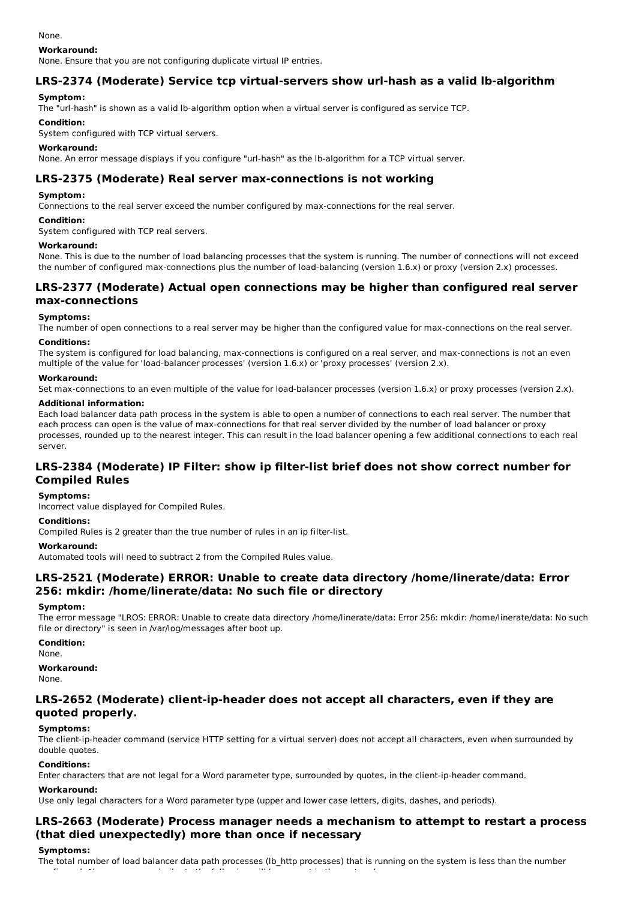None.

#### **Workaround:**

None. Ensure that you are not configuring duplicate virtual IP entries.

## **LRS-2374 (Moderate) Service tcp virtual-servers show url-hash as a valid lb-algorithm**

### **Symptom:**

The "url-hash" is shown as a valid lb-algorithm option when a virtual server is configured as service TCP.

### **Condition:**

System configured with TCP virtual servers.

#### **Workaround:**

None. An error message displays if you configure "url-hash" as the lb-algorithm for a TCP virtual server.

## **LRS-2375 (Moderate) Real server max-connections is not working**

### **Symptom:**

Connections to the real server exceed the number configured by max-connections for the real server.

#### **Condition:**

System configured with TCP real servers.

#### **Workaround:**

None. This is due to the number of load balancing processes that the system is running. The number of connections will not exceed the number of configured max-connections plus the number of load-balancing (version 1.6.x) or proxy (version 2.x) processes.

### **LRS-2377 (Moderate) Actual open connections may be higher than configured real server max-connections**

#### **Symptoms:**

The number of open connections to a real server may be higher than the configured value for max-connections on the real server.

#### **Conditions:**

The system is configured for load balancing, max-connections is configured on a real server, and max-connections is not an even multiple of the value for 'load-balancer processes' (version 1.6.x) or 'proxy processes' (version 2.x).

### **Workaround:**

Set max-connections to an even multiple of the value for load-balancer processes (version 1.6.x) or proxy processes (version 2.x).

#### **Additional information:**

Each load balancer data path process in the system is able to open a number of connections to each real server. The number that each process can open is the value of max-connections for that real server divided by the number of load balancer or proxy processes, rounded up to the nearest integer. This can result in the load balancer opening a few additional connections to each real server.

## **LRS-2384 (Moderate) IP Filter: show ip filter-list brief does not show correct number for Compiled Rules**

#### **Symptoms:**

Incorrect value displayed for Compiled Rules.

### **Conditions:**

Compiled Rules is 2 greater than the true number of rules in an ip filter-list.

#### **Workaround:**

Automated tools will need to subtract 2 from the Compiled Rules value.

## **LRS-2521 (Moderate) ERROR: Unable to create data directory /home/linerate/data: Error 256: mkdir: /home/linerate/data: No such file or directory**

#### **Symptom:**

The error message "LROS: ERROR: Unable to create data directory /home/linerate/data: Error 256: mkdir: /home/linerate/data: No such file or directory" is seen in /var/log/messages after boot up.

#### **Condition:**

None.

#### **Workaround:**

None.

## **LRS-2652 (Moderate) client-ip-header does not accept all characters, even if they are quoted properly.**

### **Symptoms:**

The client-ip-header command (service HTTP setting for a virtual server) does not accept all characters, even when surrounded by double quotes.

### **Conditions:**

Enter characters that are not legal for a Word parameter type, surrounded by quotes, in the client-ip-header command.

#### **Workaround:**

Use only legal characters for a Word parameter type (upper and lower case letters, digits, dashes, and periods).

configured. Also, messages similar to the following will be present in the system logs:

## **LRS-2663 (Moderate) Process manager needs a mechanism to attempt to restart a process (that died unexpectedly) more than once if necessary**

#### **Symptoms:**

The total number of load balancer data path processes (lb\_http processes) that is running on the system is less than the number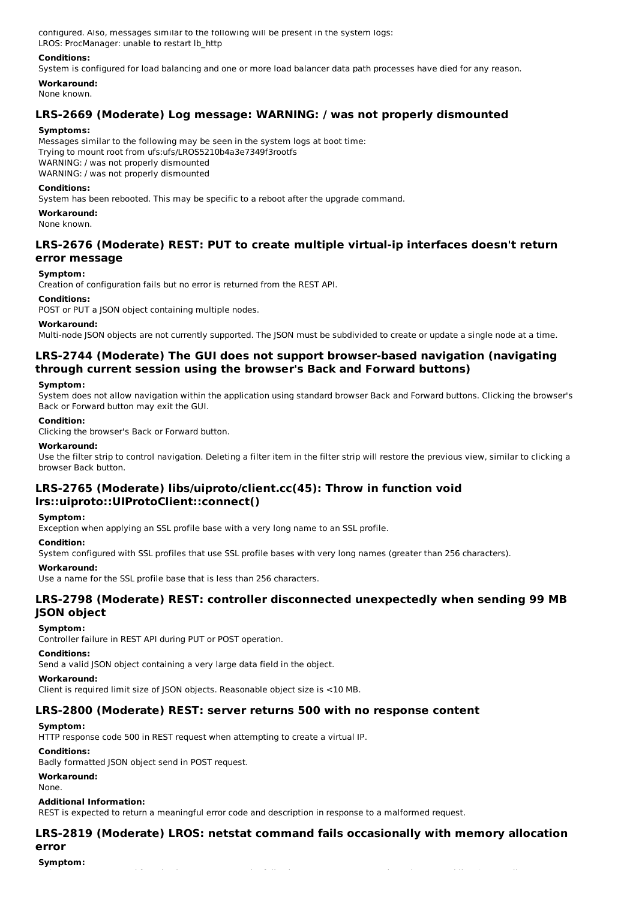configured. Also, messages similar to the following will be present in the system logs: LROS: ProcManager: unable to restart lb\_http

### **Conditions:**

System is configured for load balancing and one or more load balancer data path processes have died for any reason.

### **Workaround:**

None known.

## **LRS-2669 (Moderate) Log message: WARNING: / was not properly dismounted**

### **Symptoms:**

Messages similar to the following may be seen in the system logs at boot time: Trying to mount root from ufs:ufs/LROS5210b4a3e7349f3rootfs WARNING: / was not properly dismounted WARNING: / was not properly dismounted

### **Conditions:**

System has been rebooted. This may be specific to a reboot after the upgrade command.

### **Workaround:**

None known.

## **LRS-2676 (Moderate) REST: PUT to create multiple virtual-ip interfaces doesn't return error message**

### **Symptom:**

Creation of configuration fails but no error is returned from the REST API.

### **Conditions:**

POST or PUT a JSON object containing multiple nodes.

### **Workaround:**

Multi-node JSON objects are not currently supported. The JSON must be subdivided to create or update a single node at a time.

## **LRS-2744 (Moderate) The GUI does not support browser-based navigation (navigating through current session using the browser's Back and Forward buttons)**

### **Symptom:**

System does not allow navigation within the application using standard browser Back and Forward buttons. Clicking the browser's Back or Forward button may exit the GUI.

### **Condition:**

Clicking the browser's Back or Forward button.

### **Workaround:**

Use the filter strip to control navigation. Deleting a filter item in the filter strip will restore the previous view, similar to clicking a browser Back button.

## **LRS-2765 (Moderate) libs/uiproto/client.cc(45): Throw in function void lrs::uiproto::UIProtoClient::connect()**

#### **Symptom:**

Exception when applying an SSL profile base with a very long name to an SSL profile.

#### **Condition:**

System configured with SSL profiles that use SSL profile bases with very long names (greater than 256 characters).

#### **Workaround:**

Use a name for the SSL profile base that is less than 256 characters.

## **LRS-2798 (Moderate) REST: controller disconnected unexpectedly when sending 99 MB JSON object**

### **Symptom:**

Controller failure in REST API during PUT or POST operation.

### **Conditions:**

Send a valid JSON object containing a very large data field in the object.

#### **Workaround:**

Client is required limit size of JSON objects. Reasonable object size is <10 MB.

### **LRS-2800 (Moderate) REST: server returns 500 with no response content**

### **Symptom:**

HTTP response code 500 in REST request when attempting to create a virtual IP.

### **Conditions:**

Badly formatted JSON object send in POST request.

### **Workaround:**

None.

#### **Additional Information:**

REST is expected to return a meaningful error code and description in response to a malformed request.

## **LRS-2819 (Moderate) LROS: netstat command fails occasionally with memory allocation error**

**Symptom:**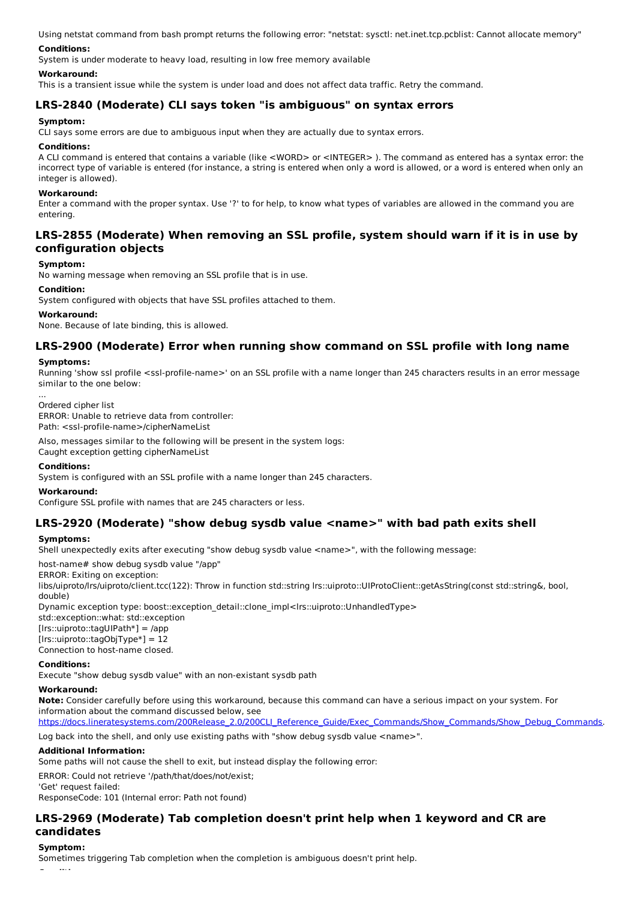Using netstat command from bash prompt returns the following error: "netstat: sysctl: net.inet.tcp.pcblist: Cannot allocate memory"

### **Conditions:**

System is under moderate to heavy load, resulting in low free memory available

#### **Workaround:**

This is a transient issue while the system is under load and does not affect data traffic. Retry the command.

## **LRS-2840 (Moderate) CLI says token "is ambiguous" on syntax errors**

### **Symptom:**

CLI says some errors are due to ambiguous input when they are actually due to syntax errors.

#### **Conditions:**

A CLI command is entered that contains a variable (like <WORD> or <INTEGER> ). The command as entered has a syntax error: the incorrect type of variable is entered (for instance, a string is entered when only a word is allowed, or a word is entered when only an integer is allowed).

#### **Workaround:**

Enter a command with the proper syntax. Use '?' to for help, to know what types of variables are allowed in the command you are entering.

## **LRS-2855 (Moderate) When removing an SSL profile, system should warn if it is in use by configuration objects**

## **Symptom:**

No warning message when removing an SSL profile that is in use.

### **Condition:**

System configured with objects that have SSL profiles attached to them.

#### **Workaround:**

None. Because of late binding, this is allowed.

## **LRS-2900 (Moderate) Error when running show command on SSL profile with long name**

### **Symptoms:**

...

Running 'show ssl profile <ssl-profile-name>' on an SSL profile with a name longer than 245 characters results in an error message similar to the one below:

Ordered cipher list ERROR: Unable to retrieve data from controller: Path: <ssl-profile-name>/cipherNameList

Also, messages similar to the following will be present in the system logs:

Caught exception getting cipherNameList

#### **Conditions:**

System is configured with an SSL profile with a name longer than 245 characters.

#### **Workaround:**

Configure SSL profile with names that are 245 characters or less.

### **LRS-2920 (Moderate) "show debug sysdb value <name>" with bad path exits shell**

### **Symptoms:**

Shell unexpectedly exits after executing "show debug sysdb value <name>", with the following message:

host-name# show debug sysdb value "/app"

ERROR: Exiting on exception:

libs/uiproto/lrs/uiproto/client.tcc(122): Throw in function std::string lrs::uiproto::UIProtoClient::getAsString(const std::string&, bool, double)

Dynamic exception type: boost::exception\_detail::clone\_impl<lrs::uiproto::UnhandledType>

std::exception::what: std::exception [lrs::uiproto::tagUIPath\*] = /app

[lrs::uiproto::tagObjType\*] = 12

Connection to host-name closed.

### **Conditions:**

Execute "show debug sysdb value" with an non-existant sysdb path

### **Workaround:**

**Note:** Consider carefully before using this workaround, because this command can have a serious impact on your system. For information about the command discussed below, see

https://docs.lineratesystems.com/200Release\_2.0/200CLI\_Reference\_Guide/Exec\_Commands/Show\_Commands/Show\_Debug\_Commands.

Log back into the shell, and only use existing paths with "show debug sysdb value <name>".

### **Additional Information:**

Some paths will not cause the shell to exit, but instead display the following error:

ERROR: Could not retrieve '/path/that/does/not/exist;

'Get' request failed: ResponseCode: 101 (Internal error: Path not found)

## **LRS-2969 (Moderate) Tab completion doesn't print help when 1 keyword and CR are candidates**

#### **Symptom:**

Sometimes triggering Tab completion when the completion is ambiguous doesn't print help.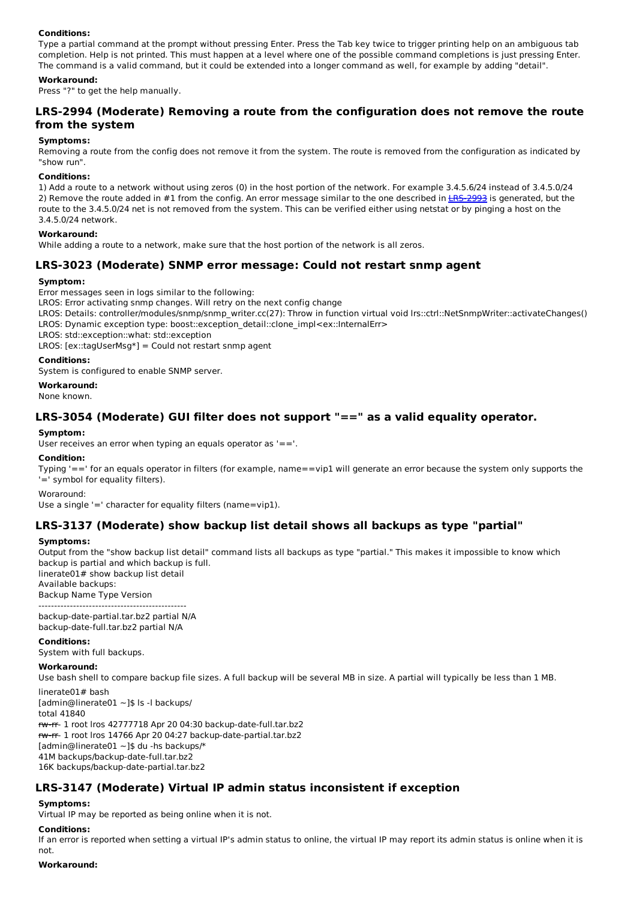### **Conditions:**

Type a partial command at the prompt without pressing Enter. Press the Tab key twice to trigger printing help on an ambiguous tab completion. Help is not printed. This must happen at a level where one of the possible command completions is just pressing Enter. The command is a valid command, but it could be extended into a longer command as well, for example by adding "detail".

### **Workaround:**

Press "?" to get the help manually.

## **LRS-2994 (Moderate) Removing a route from the configuration does not remove the route from the system**

#### **Symptoms:**

Removing a route from the config does not remove it from the system. The route is removed from the configuration as indicated by "show run".

#### **Conditions:**

1) Add a route to a network without using zeros (0) in the host portion of the network. For example 3.4.5.6/24 instead of 3.4.5.0/24 2) Remove the route added in #1 from the config. An error message similar to the one described in LRS-2993 is generated, but the route to the 3.4.5.0/24 net is not removed from the system. This can be verified either using netstat or by pinging a host on the 3.4.5.0/24 network.

#### **Workaround:**

While adding a route to a network, make sure that the host portion of the network is all zeros.

## **LRS-3023 (Moderate) SNMP error message: Could not restart snmp agent**

#### **Symptom:**

Error messages seen in logs similar to the following:

LROS: Error activating snmp changes. Will retry on the next config change

- LROS: Details: controller/modules/snmp/snmp\_writer.cc(27): Throw in function virtual void lrs::ctrl::NetSnmpWriter::activateChanges()
- LROS: Dynamic exception type: boost::exception\_detail::clone\_impl<ex::InternalErr>
- LROS: std::exception::what: std::exception

LROS:  $[ex::tagUserMsg*] = Could not restart s nmp agent$ 

#### **Conditions:**

System is configured to enable SNMP server.

#### **Workaround:**

None known.

### **LRS-3054 (Moderate) GUI filter does not support "==" as a valid equality operator.**

#### **Symptom:**

User receives an error when typing an equals operator as '=='.

#### **Condition:**

Typing '==' for an equals operator in filters (for example, name==vip1 will generate an error because the system only supports the '=' symbol for equality filters).

Woraround:

Use a single '=' character for equality filters (name=vip1).

### **LRS-3137 (Moderate) show backup list detail shows all backups as type "partial"**

#### **Symptoms:**

Output from the "show backup list detail" command lists all backups as type "partial." This makes it impossible to know which backup is partial and which backup is full.

linerate01# show backup list detail Available backups:

Backup Name Type Version -----------------------------------------------

backup-date-partial.tar.bz2 partial N/A backup-date-full.tar.bz2 partial N/A

#### **Conditions:**

System with full backups.

#### **Workaround:**

Use bash shell to compare backup file sizes. A full backup will be several MB in size. A partial will typically be less than 1 MB.

linerate01# bash [admin@linerate01 ~]\$ ls -l backups/ total 41840 rw-rr- 1 root lros 42777718 Apr 20 04:30 backup-date-full.tar.bz2 rw-rr- 1 root lros 14766 Apr 20 04:27 backup-date-partial.tar.bz2 [admin@linerate01 ~]\$ du -hs backups/\* 41M backups/backup-date-full.tar.bz2 16K backups/backup-date-partial.tar.bz2

### **LRS-3147 (Moderate) Virtual IP admin status inconsistent if exception**

#### **Symptoms:**

Virtual IP may be reported as being online when it is not.

### **Conditions:**

If an error is reported when setting a virtual IP's admin status to online, the virtual IP may report its admin status is online when it is not.

### **Workaround:**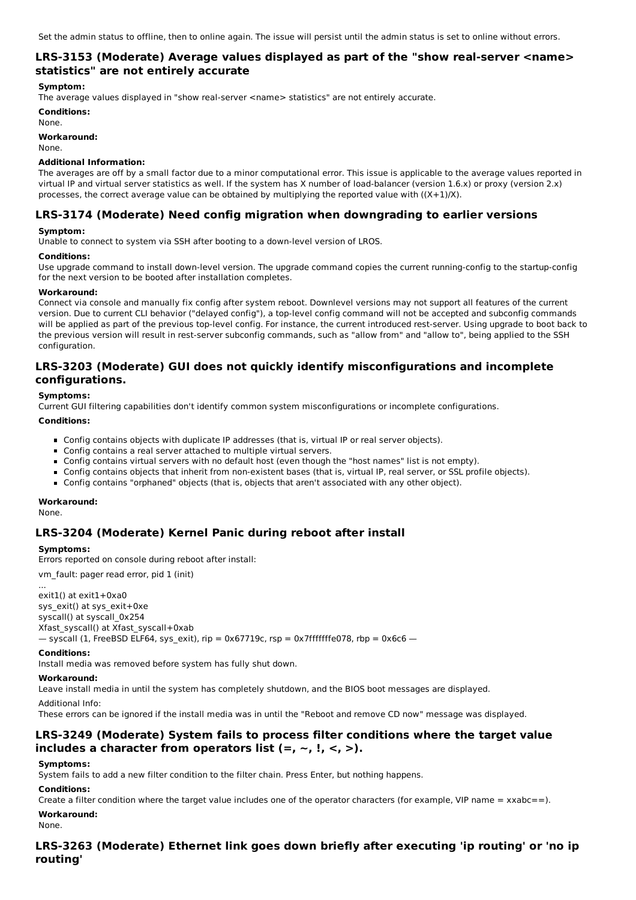## **LRS-3153 (Moderate) Average values displayed as part of the "show real-server <name> statistics" are not entirely accurate**

### **Symptom:**

The average values displayed in "show real-server <name> statistics" are not entirely accurate.

**Conditions:** None.

**Workaround:**

None.

### **Additional Information:**

The averages are off by a small factor due to a minor computational error. This issue is applicable to the average values reported in virtual IP and virtual server statistics as well. If the system has X number of load-balancer (version 1.6.x) or proxy (version 2.x) processes, the correct average value can be obtained by multiplying the reported value with  $((X+1)/X)$ .

## **LRS-3174 (Moderate) Need config migration when downgrading to earlier versions**

### **Symptom:**

Unable to connect to system via SSH after booting to a down-level version of LROS.

### **Conditions:**

Use upgrade command to install down-level version. The upgrade command copies the current running-config to the startup-config for the next version to be booted after installation completes.

### **Workaround:**

Connect via console and manually fix config after system reboot. Downlevel versions may not support all features of the current version. Due to current CLI behavior ("delayed config"), a top-level config command will not be accepted and subconfig commands will be applied as part of the previous top-level config. For instance, the current introduced rest-server. Using upgrade to boot back to the previous version will result in rest-server subconfig commands, such as "allow from" and "allow to", being applied to the SSH configuration.

## **LRS-3203 (Moderate) GUI does not quickly identify misconfigurations and incomplete configurations.**

### **Symptoms:**

Current GUI filtering capabilities don't identify common system misconfigurations or incomplete configurations.

### **Conditions:**

- Config contains objects with duplicate IP addresses (that is, virtual IP or real server objects).
- Config contains a real server attached to multiple virtual servers.
- Config contains virtual servers with no default host (even though the "host names" list is not empty).
- Config contains objects that inherit from non-existent bases (that is, virtual IP, real server, or SSL profile objects).
- Config contains "orphaned" objects (that is, objects that aren't associated with any other object).

### **Workaround:**

None.

## **LRS-3204 (Moderate) Kernel Panic during reboot after install**

### **Symptoms:**

Errors reported on console during reboot after install:

vm\_fault: pager read error, pid 1 (init)

... exit1() at exit1+0xa0 sys\_exit() at sys\_exit+0xe syscall() at syscall\_0x254 Xfast\_syscall() at Xfast\_syscall+0xab  $-$  syscall (1, FreeBSD ELF64, sys\_exit), rip = 0x67719c, rsp = 0x7fffffffe078, rbp = 0x6c6  $-$ 

#### **Conditions:**

Install media was removed before system has fully shut down.

### **Workaround:**

Leave install media in until the system has completely shutdown, and the BIOS boot messages are displayed.

#### Additional Info:

These errors can be ignored if the install media was in until the "Reboot and remove CD now" message was displayed.

## **LRS-3249 (Moderate) System fails to process filter conditions where the target value includes a character from operators list (=, ~, !, <, >).**

### **Symptoms:**

System fails to add a new filter condition to the filter chain. Press Enter, but nothing happens.

### **Conditions:**

Create a filter condition where the target value includes one of the operator characters (for example, VIP name =  $xxab = 1$ ).

## **Workaround:**

None.

## **LRS-3263 (Moderate) Ethernet link goes down briefly after executing 'ip routing' or 'no ip routing'**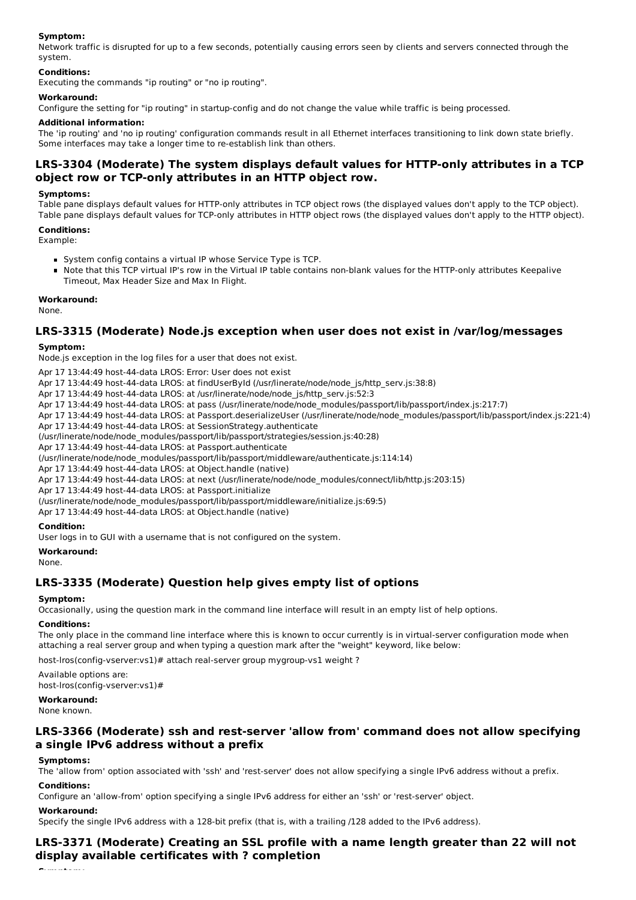### **Symptom:**

Network traffic is disrupted for up to a few seconds, potentially causing errors seen by clients and servers connected through the system.

### **Conditions:**

Executing the commands "ip routing" or "no ip routing".

### **Workaround:**

Configure the setting for "ip routing" in startup-config and do not change the value while traffic is being processed.

### **Additional information:**

The 'ip routing' and 'no ip routing' configuration commands result in all Ethernet interfaces transitioning to link down state briefly. Some interfaces may take a longer time to re-establish link than others.

## **LRS-3304 (Moderate) The system displays default values for HTTP-only attributes in a TCP object row or TCP-only attributes in an HTTP object row.**

#### **Symptoms:**

Table pane displays default values for HTTP-only attributes in TCP object rows (the displayed values don't apply to the TCP object). Table pane displays default values for TCP-only attributes in HTTP object rows (the displayed values don't apply to the HTTP object).

### **Conditions:**

Example:

- System config contains a virtual IP whose Service Type is TCP.
- Note that this TCP virtual IP's row in the Virtual IP table contains non-blank values for the HTTP-only attributes Keepalive Timeout, Max Header Size and Max In Flight.

### **Workaround:**

None.

## **LRS-3315 (Moderate) Node.js exception when user does not exist in /var/log/messages**

### **Symptom:**

Node.js exception in the log files for a user that does not exist.

Apr 17 13:44:49 host-44-data LROS: Error: User does not exist

Apr 17 13:44:49 host-44-data LROS: at findUserById (/usr/linerate/node/node\_js/http\_serv.js:38:8)

- Apr 17 13:44:49 host-44-data LROS: at /usr/linerate/node/node\_js/http\_serv.js:52:3
- Apr 17 13:44:49 host-44-data LROS: at pass (/usr/linerate/node/node\_modules/passport/lib/passport/index.js:217:7)
- Apr 17 13:44:49 host-44-data LROS: at Passport.deserializeUser (/usr/linerate/node/node\_modules/passport/lib/passport/index.js:221:4)
- Apr 17 13:44:49 host-44-data LROS: at SessionStrategy.authenticate

(/usr/linerate/node/node\_modules/passport/lib/passport/strategies/session.js:40:28)

Apr 17 13:44:49 host-44-data LROS: at Passport.authenticate

(/usr/linerate/node/node\_modules/passport/lib/passport/middleware/authenticate.js:114:14)

Apr 17 13:44:49 host-44-data LROS: at Object.handle (native)

Apr 17 13:44:49 host-44-data LROS: at next (/usr/linerate/node/node\_modules/connect/lib/http.js:203:15)

Apr 17 13:44:49 host-44-data LROS: at Passport.initialize

(/usr/linerate/node/node\_modules/passport/lib/passport/middleware/initialize.js:69:5)

Apr 17 13:44:49 host-44-data LROS: at Object.handle (native)

#### **Condition:**

User logs in to GUI with a username that is not configured on the system.

#### **Workaround:**

None.

## **LRS-3335 (Moderate) Question help gives empty list of options**

#### **Symptom:**

Occasionally, using the question mark in the command line interface will result in an empty list of help options.

#### **Conditions:**

The only place in the command line interface where this is known to occur currently is in virtual-server configuration mode when attaching a real server group and when typing a question mark after the "weight" keyword, like below:

host-lros(config-vserver:vs1)# attach real-server group mygroup-vs1 weight ?

Available options are: host-lros(config-vserver:vs1)#

### **Workaround:**

None known.

## **LRS-3366 (Moderate) ssh and rest-server 'allow from' command does not allow specifying a single IPv6 address without a prefix**

### **Symptoms:**

The 'allow from' option associated with 'ssh' and 'rest-server' does not allow specifying a single IPv6 address without a prefix.

### **Conditions:**

Configure an 'allow-from' option specifying a single IPv6 address for either an 'ssh' or 'rest-server' object.

#### **Workaround:**

Specify the single IPv6 address with a 128-bit prefix (that is, with a trailing /128 added to the IPv6 address).

## **LRS-3371 (Moderate) Creating an SSL profile with a name length greater than 22 will not display available certificates with ? completion**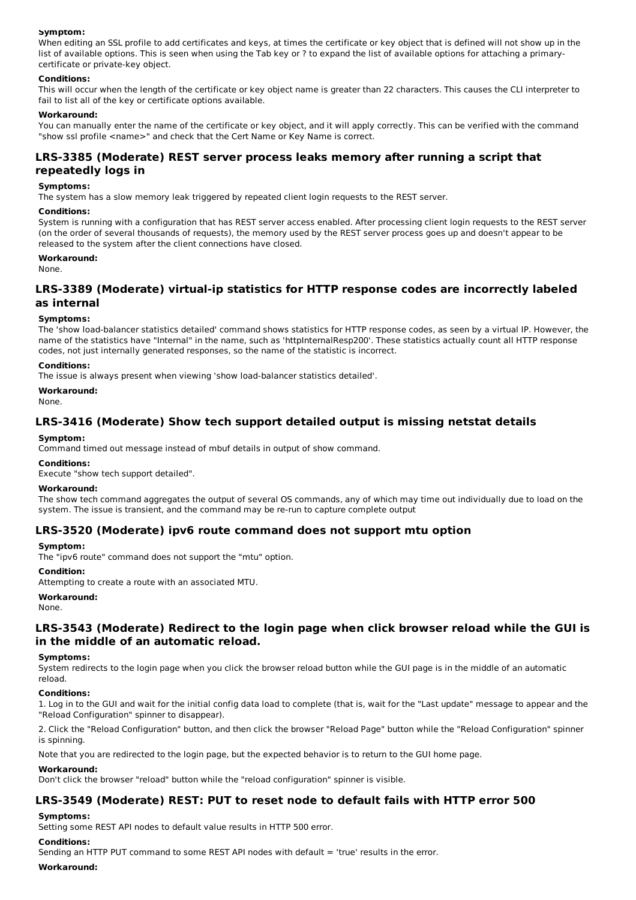### **Symptom:**

When editing an SSL profile to add certificates and keys, at times the certificate or key object that is defined will not show up in the list of available options. This is seen when using the Tab key or ? to expand the list of available options for attaching a primarycertificate or private-key object.

### **Conditions:**

This will occur when the length of the certificate or key object name is greater than 22 characters. This causes the CLI interpreter to fail to list all of the key or certificate options available.

### **Workaround:**

You can manually enter the name of the certificate or key object, and it will apply correctly. This can be verified with the command "show ssl profile <name>" and check that the Cert Name or Key Name is correct.

## **LRS-3385 (Moderate) REST server process leaks memory after running a script that repeatedly logs in**

### **Symptoms:**

The system has a slow memory leak triggered by repeated client login requests to the REST server.

### **Conditions:**

System is running with a configuration that has REST server access enabled. After processing client login requests to the REST server (on the order of several thousands of requests), the memory used by the REST server process goes up and doesn't appear to be released to the system after the client connections have closed.

### **Workaround:**

None.

## **LRS-3389 (Moderate) virtual-ip statistics for HTTP response codes are incorrectly labeled as internal**

### **Symptoms:**

The 'show load-balancer statistics detailed' command shows statistics for HTTP response codes, as seen by a virtual IP. However, the name of the statistics have "Internal" in the name, such as 'httpInternalResp200'. These statistics actually count all HTTP response codes, not just internally generated responses, so the name of the statistic is incorrect.

### **Conditions:**

The issue is always present when viewing 'show load-balancer statistics detailed'.

### **Workaround:**

None.

### **LRS-3416 (Moderate) Show tech support detailed output is missing netstat details**

### **Symptom:**

Command timed out message instead of mbuf details in output of show command.

#### **Conditions:**

Execute "show tech support detailed".

#### **Workaround:**

The show tech command aggregates the output of several OS commands, any of which may time out individually due to load on the system. The issue is transient, and the command may be re-run to capture complete output

### **LRS-3520 (Moderate) ipv6 route command does not support mtu option**

#### **Symptom:**

The "ipv6 route" command does not support the "mtu" option.

#### **Condition:**

Attempting to create a route with an associated MTU.

#### **Workaround:**

None.

## **LRS-3543 (Moderate) Redirect to the login page when click browser reload while the GUI is in the middle of an automatic reload.**

#### **Symptoms:**

System redirects to the login page when you click the browser reload button while the GUI page is in the middle of an automatic reload.

#### **Conditions:**

1. Log in to the GUI and wait for the initial config data load to complete (that is, wait for the "Last update" message to appear and the "Reload Configuration" spinner to disappear).

2. Click the "Reload Configuration" button, and then click the browser "Reload Page" button while the "Reload Configuration" spinner is spinning.

Note that you are redirected to the login page, but the expected behavior is to return to the GUI home page.

#### **Workaround:**

Don't click the browser "reload" button while the "reload configuration" spinner is visible.

### **LRS-3549 (Moderate) REST: PUT to reset node to default fails with HTTP error 500**

#### **Symptoms:**

Setting some REST API nodes to default value results in HTTP 500 error.

### **Conditions:**

Sending an HTTP PUT command to some REST API nodes with default = 'true' results in the error.

#### **Workaround:**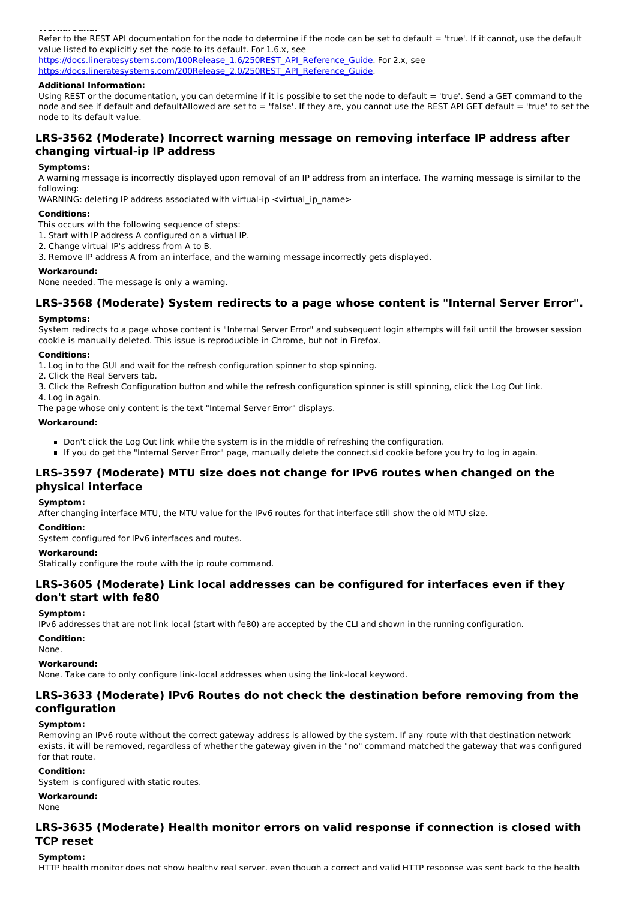**Workaround:** Refer to the REST API documentation for the node to determine if the node can be set to default = 'true'. If it cannot, use the default value listed to explicitly set the node to its default. For 1.6.x, see

https://docs.lineratesystems.com/100Release\_1.6/250REST\_API\_Reference\_Guide. For 2.x, see https://docs.lineratesystems.com/200Release\_2.0/250REST\_API\_Reference\_Guide.

### **Additional Information:**

Using REST or the documentation, you can determine if it is possible to set the node to default = 'true'. Send a GET command to the node and see if default and defaultAllowed are set to = 'false'. If they are, you cannot use the REST API GET default = 'true' to set the node to its default value.

## **LRS-3562 (Moderate) Incorrect warning message on removing interface IP address after changing virtual-ip IP address**

### **Symptoms:**

A warning message is incorrectly displayed upon removal of an IP address from an interface. The warning message is similar to the following:

WARNING: deleting IP address associated with virtual-ip <virtual\_ip\_name>

### **Conditions:**

- This occurs with the following sequence of steps:
- 1. Start with IP address A configured on a virtual IP.
- 2. Change virtual IP's address from A to B.
- 3. Remove IP address A from an interface, and the warning message incorrectly gets displayed.

### **Workaround:**

None needed. The message is only a warning.

# **LRS-3568 (Moderate) System redirects to a page whose content is "Internal Server Error".**

### **Symptoms:**

System redirects to a page whose content is "Internal Server Error" and subsequent login attempts will fail until the browser session cookie is manually deleted. This issue is reproducible in Chrome, but not in Firefox.

### **Conditions:**

1. Log in to the GUI and wait for the refresh configuration spinner to stop spinning.

- 2. Click the Real Servers tab.
- 3. Click the Refresh Configuration button and while the refresh configuration spinner is still spinning, click the Log Out link.
- 4. Log in again.

The page whose only content is the text "Internal Server Error" displays.

### **Workaround:**

- Don't click the Log Out link while the system is in the middle of refreshing the configuration.
- If you do get the "Internal Server Error" page, manually delete the connect.sid cookie before you try to log in again.

## **LRS-3597 (Moderate) MTU size does not change for IPv6 routes when changed on the physical interface**

### **Symptom:**

After changing interface MTU, the MTU value for the IPv6 routes for that interface still show the old MTU size.

#### **Condition:**

System configured for IPv6 interfaces and routes.

### **Workaround:**

Statically configure the route with the ip route command.

## **LRS-3605 (Moderate) Link local addresses can be configured for interfaces even if they don't start with fe80**

### **Symptom:**

IPv6 addresses that are not link local (start with fe80) are accepted by the CLI and shown in the running configuration.

**Condition:**

None.

### **Workaround:**

None. Take care to only configure link-local addresses when using the link-local keyword.

### **LRS-3633 (Moderate) IPv6 Routes do not check the destination before removing from the configuration**

### **Symptom:**

Removing an IPv6 route without the correct gateway address is allowed by the system. If any route with that destination network exists, it will be removed, regardless of whether the gateway given in the "no" command matched the gateway that was configured for that route.

### **Condition:**

System is configured with static routes.

### **Workaround:**

None

## **LRS-3635 (Moderate) Health monitor errors on valid response if connection is closed with TCP reset**

### **Symptom:**

HTTP health monitor does not show healthy real server, even though a correct and valid HTTP response was sent back to the health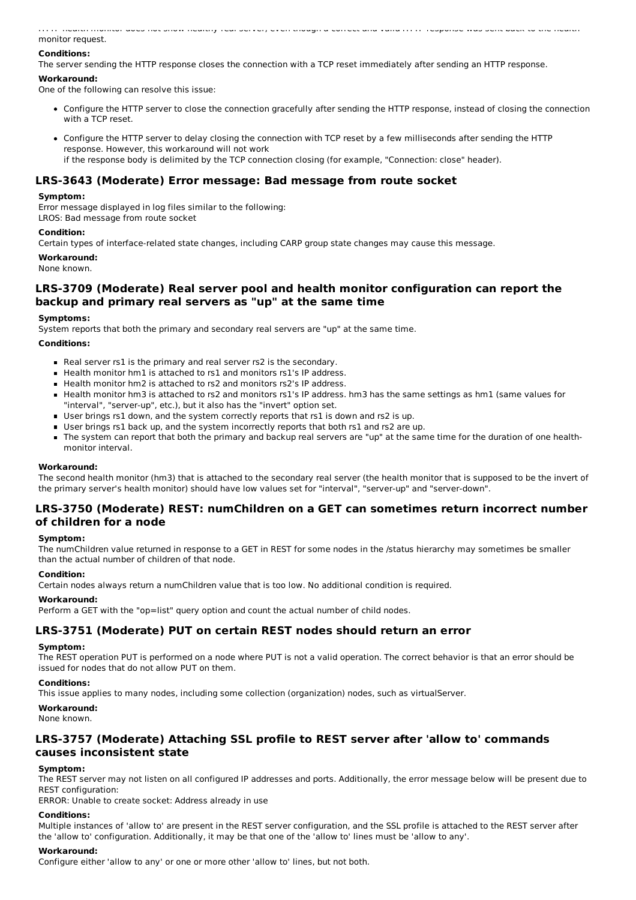HTTP health monitor does not show healthy real server, even though a correct and valid HTTP response was sent back to the health monitor request.

## **Conditions:**

The server sending the HTTP response closes the connection with a TCP reset immediately after sending an HTTP response.

## **Workaround:**

One of the following can resolve this issue:

- Configure the HTTP server to close the connection gracefully after sending the HTTP response, instead of closing the connection with a TCP reset.
- Configure the HTTP server to delay closing the connection with TCP reset by a few milliseconds after sending the HTTP response. However, this workaround will not work if the response body is delimited by the TCP connection closing (for example, "Connection: close" header).

## **LRS-3643 (Moderate) Error message: Bad message from route socket**

### **Symptom:**

Error message displayed in log files similar to the following: LROS: Bad message from route socket

### **Condition:**

Certain types of interface-related state changes, including CARP group state changes may cause this message.

**Workaround:**

None known.

## **LRS-3709 (Moderate) Real server pool and health monitor configuration can report the backup and primary real servers as "up" at the same time**

### **Symptoms:**

System reports that both the primary and secondary real servers are "up" at the same time.

### **Conditions:**

- Real server rs1 is the primary and real server rs2 is the secondary.
- Health monitor hm1 is attached to rs1 and monitors rs1's IP address.
- Health monitor hm2 is attached to rs2 and monitors rs2's IP address.
- Health monitor hm3 is attached to rs2 and monitors rs1's IP address. hm3 has the same settings as hm1 (same values for "interval", "server-up", etc.), but it also has the "invert" option set.
- User brings rs1 down, and the system correctly reports that rs1 is down and rs2 is up.
- User brings rs1 back up, and the system incorrectly reports that both rs1 and rs2 are up.
- The system can report that both the primary and backup real servers are "up" at the same time for the duration of one healthmonitor interval.

### **Workaround:**

The second health monitor (hm3) that is attached to the secondary real server (the health monitor that is supposed to be the invert of the primary server's health monitor) should have low values set for "interval", "server-up" and "server-down".

## **LRS-3750 (Moderate) REST: numChildren on a GET can sometimes return incorrect number of children for a node**

### **Symptom:**

The numChildren value returned in response to a GET in REST for some nodes in the /status hierarchy may sometimes be smaller than the actual number of children of that node.

### **Condition:**

Certain nodes always return a numChildren value that is too low. No additional condition is required.

### **Workaround:**

Perform a GET with the "op=list" query option and count the actual number of child nodes.

## **LRS-3751 (Moderate) PUT on certain REST nodes should return an error**

### **Symptom:**

The REST operation PUT is performed on a node where PUT is not a valid operation. The correct behavior is that an error should be issued for nodes that do not allow PUT on them.

### **Conditions:**

This issue applies to many nodes, including some collection (organization) nodes, such as virtualServer.

### **Workaround:**

None known.

## **LRS-3757 (Moderate) Attaching SSL profile to REST server after 'allow to' commands causes inconsistent state**

### **Symptom:**

The REST server may not listen on all configured IP addresses and ports. Additionally, the error message below will be present due to REST configuration:

ERROR: Unable to create socket: Address already in use

### **Conditions:**

Multiple instances of 'allow to' are present in the REST server configuration, and the SSL profile is attached to the REST server after the 'allow to' configuration. Additionally, it may be that one of the 'allow to' lines must be 'allow to any'.

### **Workaround:**

Configure either 'allow to any' or one or more other 'allow to' lines, but not both.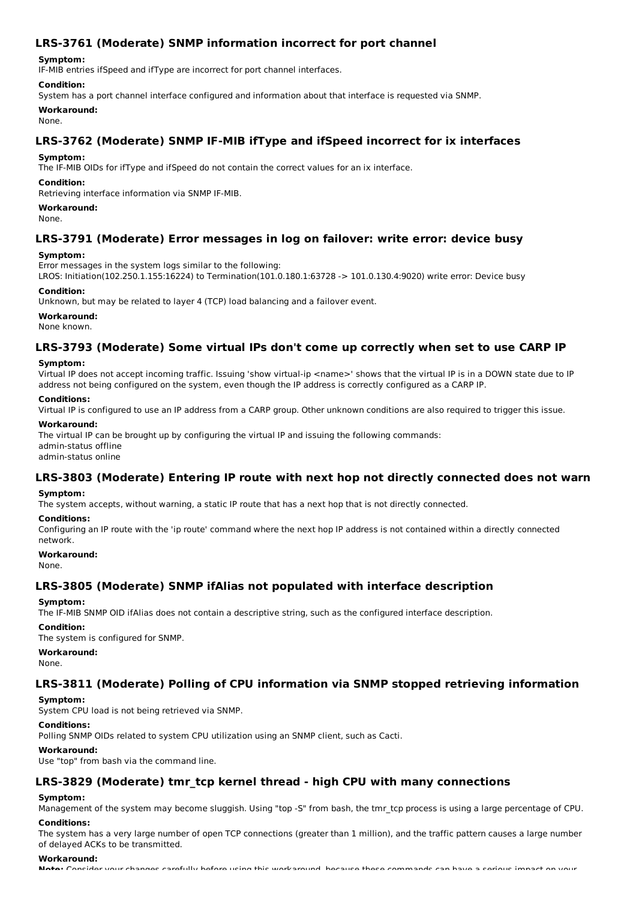## **LRS-3761 (Moderate) SNMP information incorrect for port channel**

### **Symptom:**

IF-MIB entries ifSpeed and ifType are incorrect for port channel interfaces.

### **Condition:**

System has a port channel interface configured and information about that interface is requested via SNMP.

**Workaround:**

None.

## **LRS-3762 (Moderate) SNMP IF-MIB ifType and ifSpeed incorrect for ix interfaces**

### **Symptom:**

The IF-MIB OIDs for ifType and ifSpeed do not contain the correct values for an ix interface.

### **Condition:**

Retrieving interface information via SNMP IF-MIB.

**Workaround:**

None.

### **LRS-3791 (Moderate) Error messages in log on failover: write error: device busy**

### **Symptom:**

Error messages in the system logs similar to the following:

LROS: Initiation(102.250.1.155:16224) to Termination(101.0.180.1:63728 -> 101.0.130.4:9020) write error: Device busy

### **Condition:**

Unknown, but may be related to layer 4 (TCP) load balancing and a failover event.

**Workaround:**

None known.

### **LRS-3793 (Moderate) Some virtual IPs don't come up correctly when set to use CARP IP**

### **Symptom:**

Virtual IP does not accept incoming traffic. Issuing 'show virtual-ip <name>' shows that the virtual IP is in a DOWN state due to IP address not being configured on the system, even though the IP address is correctly configured as a CARP IP.

### **Conditions:**

Virtual IP is configured to use an IP address from a CARP group. Other unknown conditions are also required to trigger this issue.

#### **Workaround:**

The virtual IP can be brought up by configuring the virtual IP and issuing the following commands: admin-status offline admin-status online

## **LRS-3803 (Moderate) Entering IP route with next hop not directly connected does not warn**

### **Symptom:**

The system accepts, without warning, a static IP route that has a next hop that is not directly connected.

#### **Conditions:**

Configuring an IP route with the 'ip route' command where the next hop IP address is not contained within a directly connected network.

### **Workaround:**

None.

## **LRS-3805 (Moderate) SNMP ifAlias not populated with interface description**

### **Symptom:**

The IF-MIB SNMP OID ifAlias does not contain a descriptive string, such as the configured interface description.

### **Condition:**

The system is configured for SNMP.

### **Workaround:**

None.

## **LRS-3811 (Moderate) Polling of CPU information via SNMP stopped retrieving information**

#### **Symptom:**

System CPU load is not being retrieved via SNMP.

### **Conditions:**

Polling SNMP OIDs related to system CPU utilization using an SNMP client, such as Cacti.

### **Workaround:**

Use "top" from bash via the command line.

## **LRS-3829 (Moderate) tmr\_tcp kernel thread - high CPU with many connections**

### **Symptom:**

Management of the system may become sluggish. Using "top -S" from bash, the tmr\_tcp process is using a large percentage of CPU.

### **Conditions:**

The system has a very large number of open TCP connections (greater than 1 million), and the traffic pattern causes a large number of delayed ACKs to be transmitted.

### **Workaround:**

**Note:** Consider your changes carefully before using this workaround, because these commands can have a serious impact on your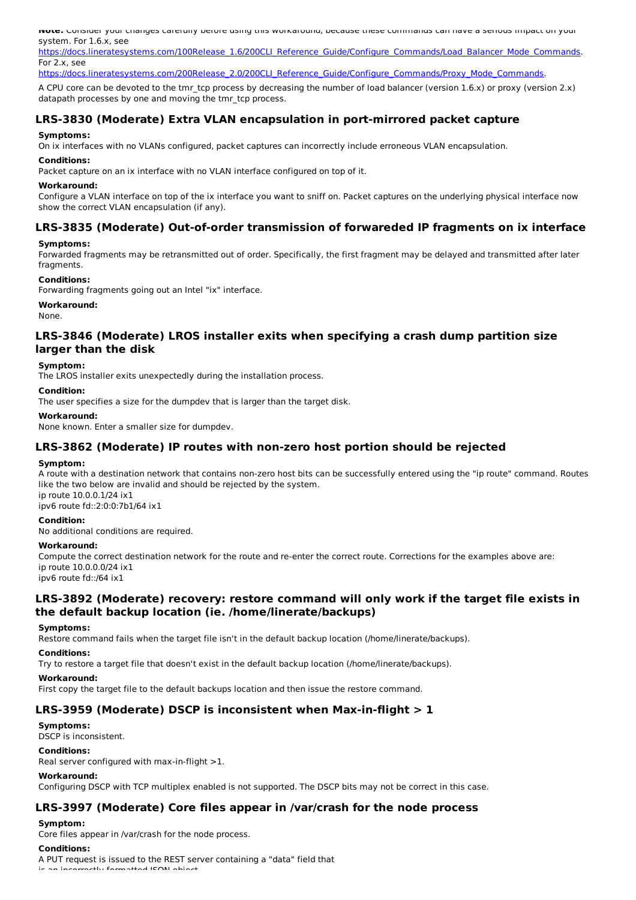**Note:** Consider your changes carefully before using this workaround, because these commands can have a serious impact on your system. For 1.6.x, see

https://docs.lineratesystems.com/100Release\_1.6/200CLI\_Reference\_Guide/Configure\_Commands/Load\_Balancer\_Mode\_Commands. For 2.x, see

https://docs.lineratesystems.com/200Release\_2.0/200CLI\_Reference\_Guide/Configure\_Commands/Proxy\_Mode\_Commands.

A CPU core can be devoted to the tmr\_tcp process by decreasing the number of load balancer (version 1.6.x) or proxy (version 2.x) datapath processes by one and moving the tmr\_tcp process.

## **LRS-3830 (Moderate) Extra VLAN encapsulation in port-mirrored packet capture**

#### **Symptoms:**

On ix interfaces with no VLANs configured, packet captures can incorrectly include erroneous VLAN encapsulation.

#### **Conditions:**

Packet capture on an ix interface with no VLAN interface configured on top of it.

#### **Workaround:**

Configure a VLAN interface on top of the ix interface you want to sniff on. Packet captures on the underlying physical interface now show the correct VLAN encapsulation (if any).

## **LRS-3835 (Moderate) Out-of-order transmission of forwareded IP fragments on ix interface**

#### **Symptoms:**

Forwarded fragments may be retransmitted out of order. Specifically, the first fragment may be delayed and transmitted after later fragments.

#### **Conditions:**

Forwarding fragments going out an Intel "ix" interface.

**Workaround:**

None.

### **LRS-3846 (Moderate) LROS installer exits when specifying a crash dump partition size larger than the disk**

#### **Symptom:**

The LROS installer exits unexpectedly during the installation process.

#### **Condition:**

The user specifies a size for the dumpdev that is larger than the target disk.

#### **Workaround:**

None known. Enter a smaller size for dumpdev.

### **LRS-3862 (Moderate) IP routes with non-zero host portion should be rejected**

#### **Symptom:**

A route with a destination network that contains non-zero host bits can be successfully entered using the "ip route" command. Routes like the two below are invalid and should be rejected by the system. ip route 10.0.0.1/24 ix1

ipv6 route fd::2:0:0:7b1/64 ix1

#### **Condition:**

No additional conditions are required.

#### **Workaround:**

Compute the correct destination network for the route and re-enter the correct route. Corrections for the examples above are: ip route 10.0.0.0/24 ix1

ipv6 route fd::/64 ix1

### **LRS-3892 (Moderate) recovery: restore command will only work if the target file exists in the default backup location (ie. /home/linerate/backups)**

#### **Symptoms:**

Restore command fails when the target file isn't in the default backup location (/home/linerate/backups).

#### **Conditions:**

Try to restore a target file that doesn't exist in the default backup location (/home/linerate/backups).

#### **Workaround:**

First copy the target file to the default backups location and then issue the restore command.

### **LRS-3959 (Moderate) DSCP is inconsistent when Max-in-flight > 1**

#### **Symptoms:**

DSCP is inconsistent.

#### **Conditions:**

Real server configured with max-in-flight >1.

#### **Workaround:**

Configuring DSCP with TCP multiplex enabled is not supported. The DSCP bits may not be correct in this case.

### **LRS-3997 (Moderate) Core files appear in /var/crash for the node process**

### **Symptom:**

Core files appear in /var/crash for the node process.

#### **Conditions:**

A PUT request is issued to the REST server containing a "data" field that

 $H \circ d$  ICON object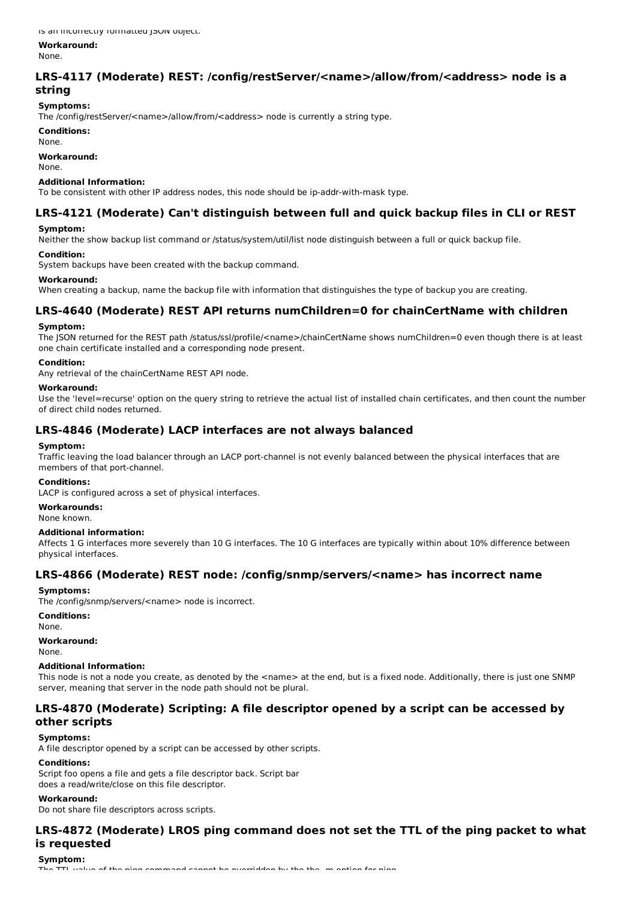**Workaround:**

None.

## **LRS-4117 (Moderate) REST: /config/restServer/<name>/allow/from/<address> node is a string**

## **Symptoms:**

The /config/restServer/<name>/allow/from/<address> node is currently a string type.

**Conditions:**

None.

## **Workaround:**

None.

#### **Additional Information:**

To be consistent with other IP address nodes, this node should be ip-addr-with-mask type.

## **LRS-4121 (Moderate) Can't distinguish between full and quick backup files in CLI or REST**

### **Symptom:**

Neither the show backup list command or /status/system/util/list node distinguish between a full or quick backup file.

### **Condition:**

System backups have been created with the backup command.

### **Workaround:**

When creating a backup, name the backup file with information that distinguishes the type of backup you are creating.

## **LRS-4640 (Moderate) REST API returns numChildren=0 for chainCertName with children**

### **Symptom:**

The JSON returned for the REST path /status/ssl/profile/<name>/chainCertName shows numChildren=0 even though there is at least one chain certificate installed and a corresponding node present.

### **Condition:**

Any retrieval of the chainCertName REST API node.

### **Workaround:**

Use the 'level=recurse' option on the query string to retrieve the actual list of installed chain certificates, and then count the number of direct child nodes returned.

## **LRS-4846 (Moderate) LACP interfaces are not always balanced**

### **Symptom:**

Traffic leaving the load balancer through an LACP port-channel is not evenly balanced between the physical interfaces that are members of that port-channel.

### **Conditions:**

LACP is configured across a set of physical interfaces.

**Workarounds:**

None known.

### **Additional information:**

Affects 1 G interfaces more severely than 10 G interfaces. The 10 G interfaces are typically within about 10% difference between physical interfaces.

## **LRS-4866 (Moderate) REST node: /config/snmp/servers/<name> has incorrect name**

### **Symptoms:**

The /config/snmp/servers/<name> node is incorrect.

## **Conditions:**

None.

**Workaround:** None.

### **Additional Information:**

This node is not a node you create, as denoted by the <name> at the end, but is a fixed node. Additionally, there is just one SNMP server, meaning that server in the node path should not be plural.

## **LRS-4870 (Moderate) Scripting: A file descriptor opened by a script can be accessed by other scripts**

### **Symptoms:**

A file descriptor opened by a script can be accessed by other scripts.

### **Conditions:**

Script foo opens a file and gets a file descriptor back. Script bar does a read/write/close on this file descriptor.

### **Workaround:**

Do not share file descriptors across scripts.

## **LRS-4872 (Moderate) LROS ping command does not set the TTL of the ping packet to what is requested**

**Symptom:**  $f$  the ping command cannot be overridden by the the  $m$  option for ping.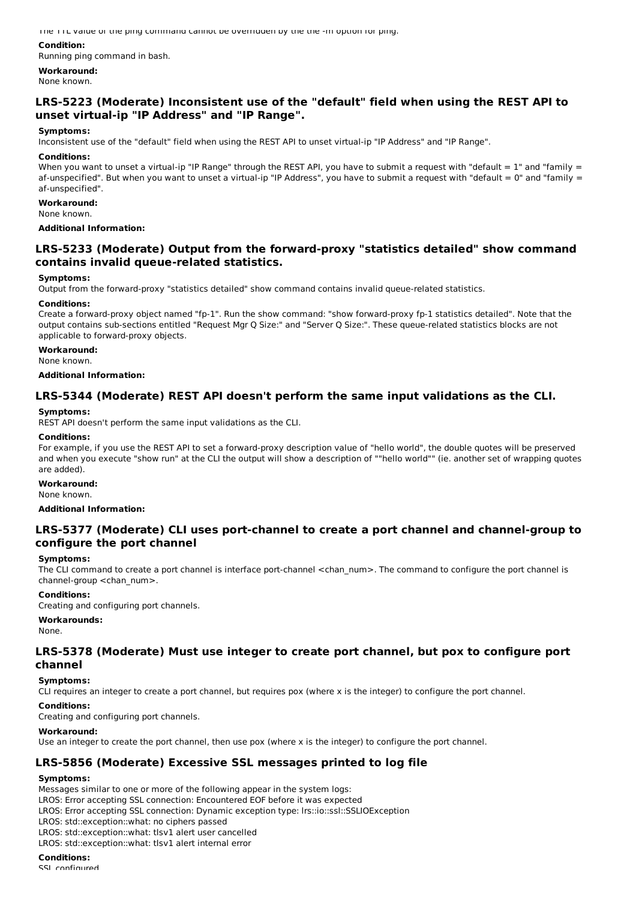The TTL value of the ping command cannot be overridden by the the -m option for ping.

### **Condition:**

Running ping command in bash.

**Workaround:** None known.

## **LRS-5223 (Moderate) Inconsistent use of the "default" field when using the REST API to unset virtual-ip "IP Address" and "IP Range".**

### **Symptoms:**

Inconsistent use of the "default" field when using the REST API to unset virtual-ip "IP Address" and "IP Range".

#### **Conditions:**

When you want to unset a virtual-ip "IP Range" through the REST API, you have to submit a request with "default  $= 1$ " and "family  $=$ af-unspecified". But when you want to unset a virtual-ip "IP Address", you have to submit a request with "default =  $0$ " and "family = af-unspecified".

#### **Workaround:**

None known.

### **Additional Information:**

## **LRS-5233 (Moderate) Output from the forward-proxy "statistics detailed" show command contains invalid queue-related statistics.**

### **Symptoms:**

Output from the forward-proxy "statistics detailed" show command contains invalid queue-related statistics.

### **Conditions:**

Create a forward-proxy object named "fp-1". Run the show command: "show forward-proxy fp-1 statistics detailed". Note that the output contains sub-sections entitled "Request Mgr Q Size:" and "Server Q Size:". These queue-related statistics blocks are not applicable to forward-proxy objects.

### **Workaround:**

None known.

### **Additional Information:**

## **LRS-5344 (Moderate) REST API doesn't perform the same input validations as the CLI.**

#### **Symptoms:**

REST API doesn't perform the same input validations as the CLI.

### **Conditions:**

For example, if you use the REST API to set a forward-proxy description value of "hello world", the double quotes will be preserved and when you execute "show run" at the CLI the output will show a description of ""hello world"" (ie. another set of wrapping quotes are added).

#### **Workaround:**

None known.

### **Additional Information:**

## **LRS-5377 (Moderate) CLI uses port-channel to create a port channel and channel-group to configure the port channel**

#### **Symptoms:**

The CLI command to create a port channel is interface port-channel <chan\_num>. The command to configure the port channel is channel-group <chan\_num>.

### **Conditions:**

Creating and configuring port channels.

### **Workarounds:**

None.

## **LRS-5378 (Moderate) Must use integer to create port channel, but pox to configure port channel**

### **Symptoms:**

CLI requires an integer to create a port channel, but requires pox (where x is the integer) to configure the port channel.

#### **Conditions:**

Creating and configuring port channels.

### **Workaround:**

Use an integer to create the port channel, then use pox (where x is the integer) to configure the port channel.

## **LRS-5856 (Moderate) Excessive SSL messages printed to log file**

### **Symptoms:**

Messages similar to one or more of the following appear in the system logs: LROS: Error accepting SSL connection: Encountered EOF before it was expected LROS: Error accepting SSL connection: Dynamic exception type: lrs::io::ssl::SSLIOException LROS: std::exception::what: no ciphers passed LROS: std::exception::what: tlsv1 alert user cancelled LROS: std::exception::what: tlsv1 alert internal error

**Conditions:**

SSL configured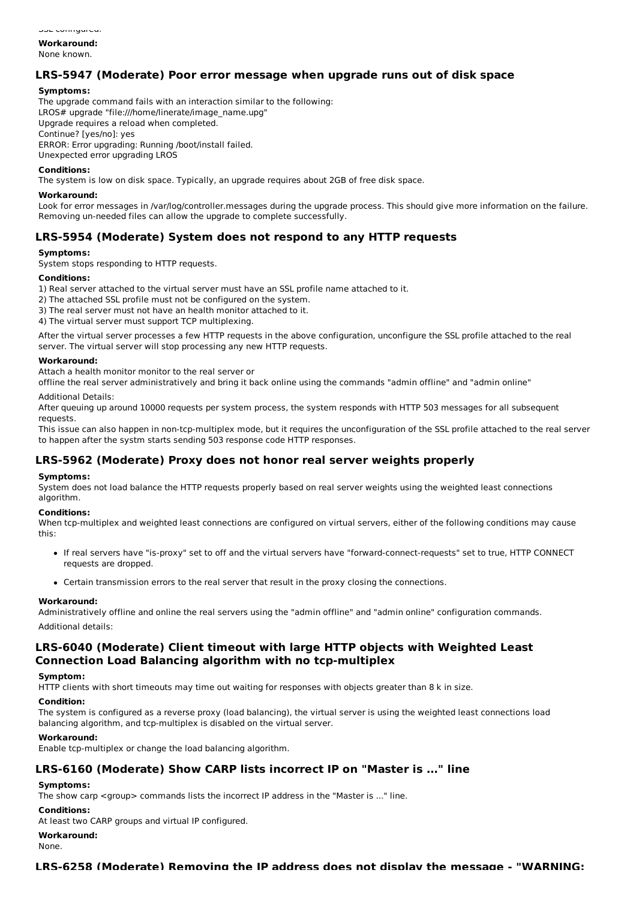**Workaround:** None known.

## **LRS-5947 (Moderate) Poor error message when upgrade runs out of disk space**

### **Symptoms:**

The upgrade command fails with an interaction similar to the following: LROS# upgrade "file:///home/linerate/image\_name.upg" Upgrade requires a reload when completed. Continue? [yes/no]: yes ERROR: Error upgrading: Running /boot/install failed. Unexpected error upgrading LROS

### **Conditions:**

The system is low on disk space. Typically, an upgrade requires about 2GB of free disk space.

#### **Workaround:**

Look for error messages in /var/log/controller.messages during the upgrade process. This should give more information on the failure. Removing un-needed files can allow the upgrade to complete successfully.

## **LRS-5954 (Moderate) System does not respond to any HTTP requests**

### **Symptoms:**

System stops responding to HTTP requests.

### **Conditions:**

1) Real server attached to the virtual server must have an SSL profile name attached to it.

2) The attached SSL profile must not be configured on the system.

3) The real server must not have an health monitor attached to it.

4) The virtual server must support TCP multiplexing.

After the virtual server processes a few HTTP requests in the above configuration, unconfigure the SSL profile attached to the real server. The virtual server will stop processing any new HTTP requests.

### **Workaround:**

Attach a health monitor monitor to the real server or

offline the real server administratively and bring it back online using the commands "admin offline" and "admin online"

#### Additional Details:

After queuing up around 10000 requests per system process, the system responds with HTTP 503 messages for all subsequent requests.

This issue can also happen in non-tcp-multiplex mode, but it requires the unconfiguration of the SSL profile attached to the real server to happen after the systm starts sending 503 response code HTTP responses.

## **LRS-5962 (Moderate) Proxy does not honor real server weights properly**

#### **Symptoms:**

System does not load balance the HTTP requests properly based on real server weights using the weighted least connections algorithm.

#### **Conditions:**

When tcp-multiplex and weighted least connections are configured on virtual servers, either of the following conditions may cause this:

- If real servers have "is-proxy" set to off and the virtual servers have "forward-connect-requests" set to true, HTTP CONNECT requests are dropped.
- Certain transmission errors to the real server that result in the proxy closing the connections.

#### **Workaround:**

Administratively offline and online the real servers using the "admin offline" and "admin online" configuration commands. Additional details:

## **LRS-6040 (Moderate) Client timeout with large HTTP objects with Weighted Least Connection Load Balancing algorithm with no tcp-multiplex**

#### **Symptom:**

HTTP clients with short timeouts may time out waiting for responses with objects greater than 8 k in size.

#### **Condition:**

The system is configured as a reverse proxy (load balancing), the virtual server is using the weighted least connections load balancing algorithm, and tcp-multiplex is disabled on the virtual server.

#### **Workaround:**

Enable tcp-multiplex or change the load balancing algorithm.

## **LRS-6160 (Moderate) Show CARP lists incorrect IP on "Master is ..." line**

### **Symptoms:**

The show carp <group> commands lists the incorrect IP address in the "Master is ..." line.

# **Conditions:**

At least two CARP groups and virtual IP configured.

#### **Workaround:**

None.

### **LRS-6258 (Moderate) Removing the IP address does not display the message - "WARNING:**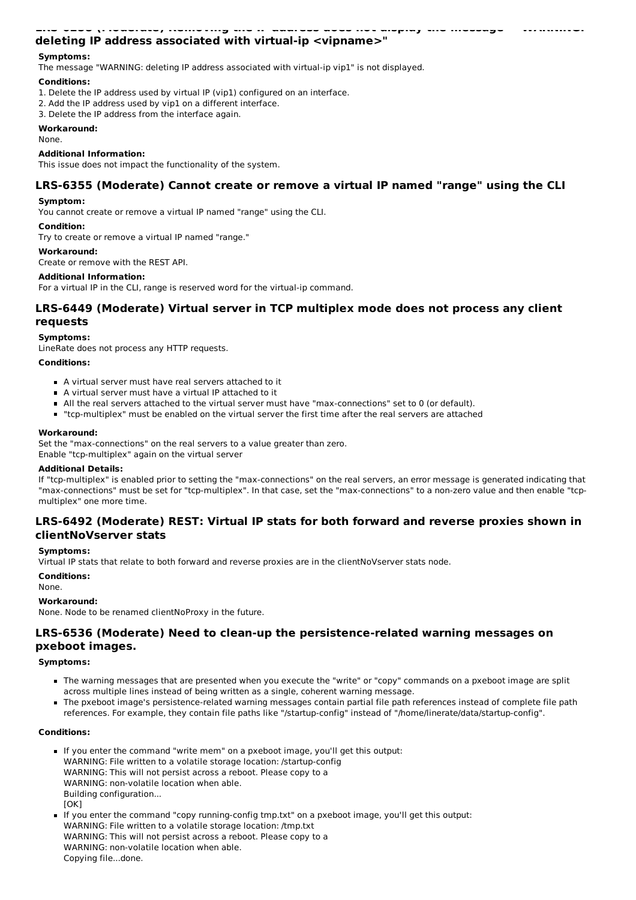### **LRS-6258 (Moderate) Removing the IP address does not display the message - "WARNING: deleting IP address associated with virtual-ip <vipname>"**

### **Symptoms:**

The message "WARNING: deleting IP address associated with virtual-ip vip1" is not displayed.

### **Conditions:**

- 1. Delete the IP address used by virtual IP (vip1) configured on an interface.
- 2. Add the IP address used by vip1 on a different interface.
- 3. Delete the IP address from the interface again.

### **Workaround:**

None.

### **Additional Information:**

This issue does not impact the functionality of the system.

### **LRS-6355 (Moderate) Cannot create or remove a virtual IP named "range" using the CLI**

#### **Symptom:**

You cannot create or remove a virtual IP named "range" using the CLI.

#### **Condition:**

Try to create or remove a virtual IP named "range."

#### **Workaround:**

Create or remove with the REST API.

#### **Additional Information:**

For a virtual IP in the CLI, range is reserved word for the virtual-ip command.

## **LRS-6449 (Moderate) Virtual server in TCP multiplex mode does not process any client requests**

## **Symptoms:**

LineRate does not process any HTTP requests.

#### **Conditions:**

- A virtual server must have real servers attached to it
- A virtual server must have a virtual IP attached to it
- All the real servers attached to the virtual server must have "max-connections" set to 0 (or default).
- "tcp-multiplex" must be enabled on the virtual server the first time after the real servers are attached

#### **Workaround:**

Set the "max-connections" on the real servers to a value greater than zero.

Enable "tcp-multiplex" again on the virtual server

#### **Additional Details:**

If "tcp-multiplex" is enabled prior to setting the "max-connections" on the real servers, an error message is generated indicating that "max-connections" must be set for "tcp-multiplex". In that case, set the "max-connections" to a non-zero value and then enable "tcpmultiplex" one more time.

### **LRS-6492 (Moderate) REST: Virtual IP stats for both forward and reverse proxies shown in clientNoVserver stats**

### **Symptoms:**

Virtual IP stats that relate to both forward and reverse proxies are in the clientNoVserver stats node.

#### **Conditions:**

None.

#### **Workaround:**

None. Node to be renamed clientNoProxy in the future.

## **LRS-6536 (Moderate) Need to clean-up the persistence-related warning messages on pxeboot images.**

#### **Symptoms:**

- The warning messages that are presented when you execute the "write" or "copy" commands on a pxeboot image are split across multiple lines instead of being written as a single, coherent warning message.
- The pxeboot image's persistence-related warning messages contain partial file path references instead of complete file path references. For example, they contain file paths like "/startup-config" instead of "/home/linerate/data/startup-config".

### **Conditions:**

- If you enter the command "write mem" on a pxeboot image, you'll get this output: WARNING: File written to a volatile storage location: /startup-config WARNING: This will not persist across a reboot. Please copy to a WARNING: non-volatile location when able. Building configuration...  $[OK]$
- If you enter the command "copy running-config tmp.txt" on a pxeboot image, you'll get this output: WARNING: File written to a volatile storage location: /tmp.txt WARNING: This will not persist across a reboot. Please copy to a WARNING: non-volatile location when able. Copying file...done.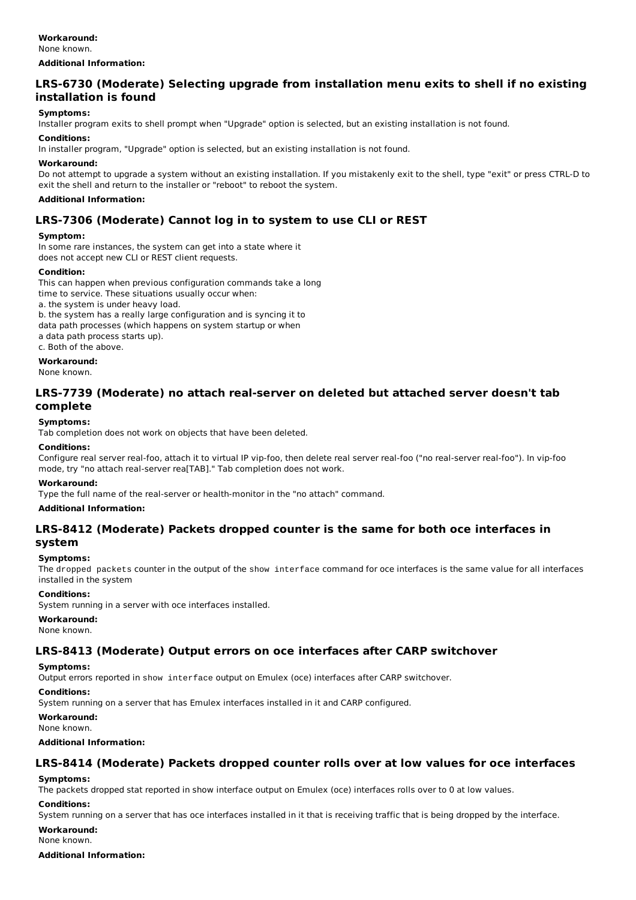### **Workaround:**

None known.

**Additional Information:**

## **LRS-6730 (Moderate) Selecting upgrade from installation menu exits to shell if no existing installation is found**

### **Symptoms:**

Installer program exits to shell prompt when "Upgrade" option is selected, but an existing installation is not found.

### **Conditions:**

In installer program, "Upgrade" option is selected, but an existing installation is not found.

### **Workaround:**

Do not attempt to upgrade a system without an existing installation. If you mistakenly exit to the shell, type "exit" or press CTRL-D to exit the shell and return to the installer or "reboot" to reboot the system.

### **Additional Information:**

## **LRS-7306 (Moderate) Cannot log in to system to use CLI or REST**

### **Symptom:**

In some rare instances, the system can get into a state where it does not accept new CLI or REST client requests.

### **Condition:**

This can happen when previous configuration commands take a long

time to service. These situations usually occur when:

a. the system is under heavy load.

b. the system has a really large configuration and is syncing it to

data path processes (which happens on system startup or when

a data path process starts up).

c. Both of the above.

**Workaround:** None known.

## **LRS-7739 (Moderate) no attach real-server on deleted but attached server doesn't tab complete**

### **Symptoms:**

Tab completion does not work on objects that have been deleted.

### **Conditions:**

Configure real server real-foo, attach it to virtual IP vip-foo, then delete real server real-foo ("no real-server real-foo"). In vip-foo mode, try "no attach real-server rea[TAB]." Tab completion does not work.

### **Workaround:**

Type the full name of the real-server or health-monitor in the "no attach" command.

#### **Additional Information:**

## **LRS-8412 (Moderate) Packets dropped counter is the same for both oce interfaces in system**

# **Symptoms:**

The dropped packets counter in the output of the show interface command for oce interfaces is the same value for all interfaces installed in the system

#### **Conditions:**

System running in a server with oce interfaces installed.

### **Workaround:**

None known.

## **LRS-8413 (Moderate) Output errors on oce interfaces after CARP switchover**

#### **Symptoms:**

Output errors reported in show interface output on Emulex (oce) interfaces after CARP switchover.

#### **Conditions:**

System running on a server that has Emulex interfaces installed in it and CARP configured.

**Workaround:**

## None known.

### **Additional Information:**

## **LRS-8414 (Moderate) Packets dropped counter rolls over at low values for oce interfaces**

### **Symptoms:**

The packets dropped stat reported in show interface output on Emulex (oce) interfaces rolls over to 0 at low values.

#### **Conditions:**

System running on a server that has oce interfaces installed in it that is receiving traffic that is being dropped by the interface.

**Workaround:** None known.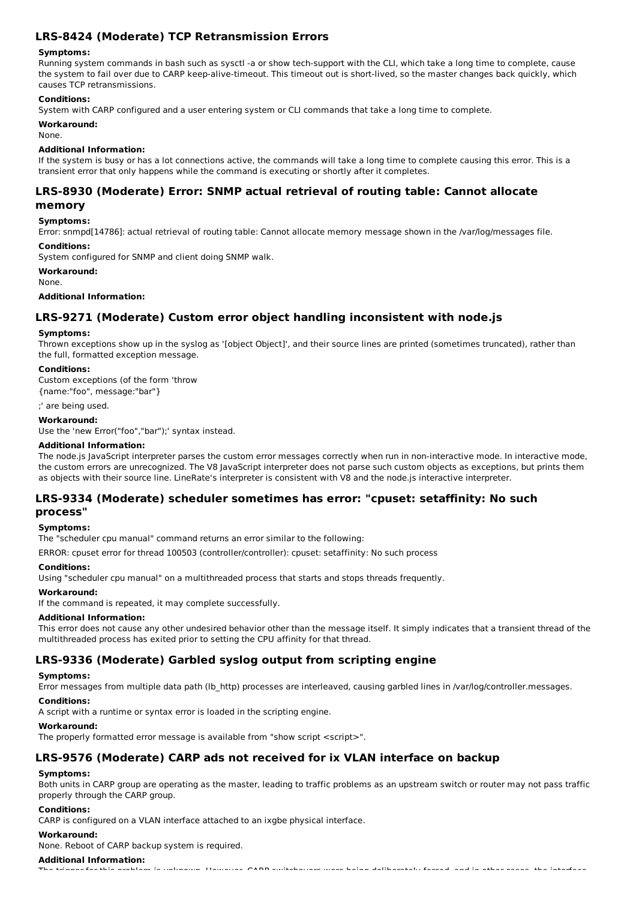## **LRS-8424 (Moderate) TCP Retransmission Errors**

### **Symptoms:**

Running system commands in bash such as sysctl -a or show tech-support with the CLI, which take a long time to complete, cause the system to fail over due to CARP keep-alive-timeout. This timeout out is short-lived, so the master changes back quickly, which causes TCP retransmissions.

### **Conditions:**

System with CARP configured and a user entering system or CLI commands that take a long time to complete.

### **Workaround:**

None.

### **Additional Information:**

If the system is busy or has a lot connections active, the commands will take a long time to complete causing this error. This is a transient error that only happens while the command is executing or shortly after it completes.

# **LRS-8930 (Moderate) Error: SNMP actual retrieval of routing table: Cannot allocate**

## **memory**

**Symptoms:**

Error: snmpd[14786]: actual retrieval of routing table: Cannot allocate memory message shown in the /var/log/messages file.

#### **Conditions:**

System configured for SNMP and client doing SNMP walk.

**Workaround:**

None.

### **Additional Information:**

## **LRS-9271 (Moderate) Custom error object handling inconsistent with node.js**

### **Symptoms:**

Thrown exceptions show up in the syslog as '[object Object]', and their source lines are printed (sometimes truncated), rather than the full, formatted exception message.

### **Conditions:**

Custom exceptions (of the form 'throw {name:"foo", message:"bar"}

;' are being used.

### **Workaround:**

Use the 'new Error("foo","bar");' syntax instead.

### **Additional Information:**

The node.js JavaScript interpreter parses the custom error messages correctly when run in non-interactive mode. In interactive mode, the custom errors are unrecognized. The V8 JavaScript interpreter does not parse such custom objects as exceptions, but prints them as objects with their source line. LineRate's interpreter is consistent with V8 and the node.js interactive interpreter.

### **LRS-9334 (Moderate) scheduler sometimes has error: "cpuset: setaffinity: No such process"**

#### **Symptoms:**

The "scheduler cpu manual" command returns an error similar to the following:

ERROR: cpuset error for thread 100503 (controller/controller): cpuset: setaffinity: No such process

#### **Conditions:**

Using "scheduler cpu manual" on a multithreaded process that starts and stops threads frequently.

## **Workaround:**

If the command is repeated, it may complete successfully.

### **Additional Information:**

This error does not cause any other undesired behavior other than the message itself. It simply indicates that a transient thread of the multithreaded process has exited prior to setting the CPU affinity for that thread.

## **LRS-9336 (Moderate) Garbled syslog output from scripting engine**

### **Symptoms:**

Error messages from multiple data path (lb\_http) processes are interleaved, causing garbled lines in /var/log/controller.messages.

### **Conditions:**

A script with a runtime or syntax error is loaded in the scripting engine.

### **Workaround:**

The properly formatted error message is available from "show script <script>".

## **LRS-9576 (Moderate) CARP ads not received for ix VLAN interface on backup**

### **Symptoms:**

Both units in CARP group are operating as the master, leading to traffic problems as an upstream switch or router may not pass traffic properly through the CARP group.

### **Conditions:**

CARP is configured on a VLAN interface attached to an ixgbe physical interface.

### **Workaround:**

None. Reboot of CARP backup system is required.

## **Additional Information:**

The trigger for this problem is unknown. However, CARP switchovers were being deliberately forced, and in other cases, the interface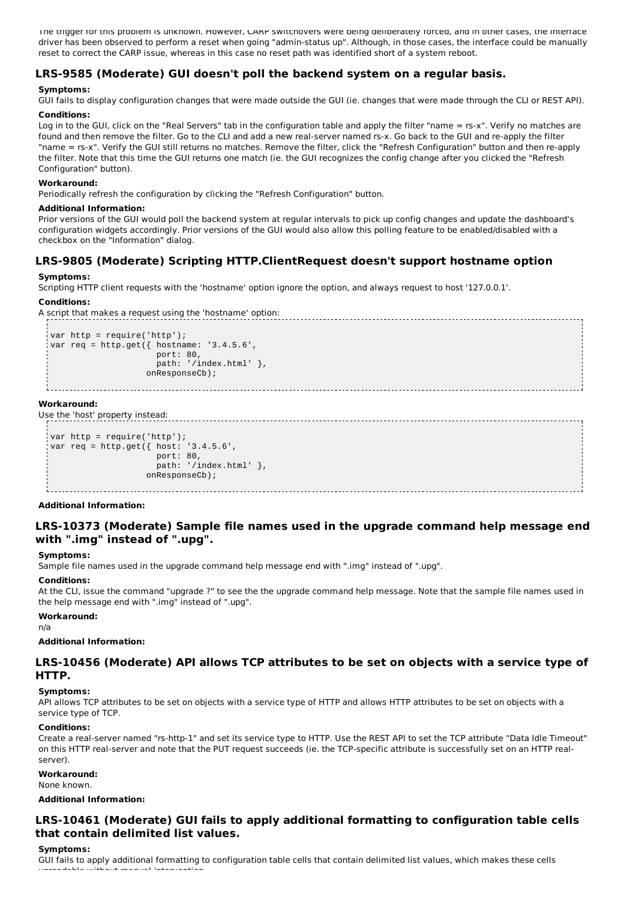The trigger for this problem is unknown. However, CARP switchovers were being deliberately forced, and in other cases, the interface driver has been observed to perform a reset when going "admin-status up". Although, in those cases, the interface could be manually reset to correct the CARP issue, whereas in this case no reset path was identified short of a system reboot.

## **LRS-9585 (Moderate) GUI doesn't poll the backend system on a regular basis.**

### **Symptoms:**

GUI fails to display configuration changes that were made outside the GUI (ie. changes that were made through the CLI or REST API).

### **Conditions:**

Log in to the GUI, click on the "Real Servers" tab in the configuration table and apply the filter "name = rs-x". Verify no matches are found and then remove the filter. Go to the CLI and add a new real-server named rs-x. Go back to the GUI and re-apply the filter "name = rs-x". Verify the GUI still returns no matches. Remove the filter, click the "Refresh Configuration" button and then re-apply the filter. Note that this time the GUI returns one match (ie. the GUI recognizes the config change after you clicked the "Refresh Configuration" button).

### **Workaround:**

Periodically refresh the configuration by clicking the "Refresh Configuration" button.

### **Additional Information:**

Prior versions of the GUI would poll the backend system at regular intervals to pick up config changes and update the dashboard's configuration widgets accordingly. Prior versions of the GUI would also allow this polling feature to be enabled/disabled with a checkbox on the "Information" dialog.

## **LRS-9805 (Moderate) Scripting HTTP.ClientRequest doesn't support hostname option**

### **Symptoms:**

Scripting HTTP client requests with the 'hostname' option ignore the option, and always request to host '127.0.0.1'.

### **Conditions:**

A script that makes a request using the 'hostname' option:

```
var http = require('http');
var req = http.get({ hostname: '3.4.5.6',
                      port: 80,
                      path: '/index.html' },
                    onResponseCb);
```
### **Workaround:**

Use the 'host' property instead:

```
var http = require('http');
var req = http.get({ host: '3.4.5.6',
                     port: 80,
                     path: '/index.html' },
                   onResponseCb);
```
#### **Additional Information:**

## **LRS-10373 (Moderate) Sample file names used in the upgrade command help message end with ".img" instead of ".upg".**

### **Symptoms:**

Sample file names used in the upgrade command help message end with ".img" instead of ".upg".

### **Conditions:**

At the CLI, issue the command "upgrade ?" to see the the upgrade command help message. Note that the sample file names used in the help message end with ".img" instead of ".upg".

### **Workaround:**

n/a

### **Additional Information:**

## **LRS-10456 (Moderate) API allows TCP attributes to be set on objects with a service type of HTTP.**

### **Symptoms:**

API allows TCP attributes to be set on objects with a service type of HTTP and allows HTTP attributes to be set on objects with a service type of TCP.

### **Conditions:**

Create a real-server named "rs-http-1" and set its service type to HTTP. Use the REST API to set the TCP attribute "Data Idle Timeout" on this HTTP real-server and note that the PUT request succeeds (ie. the TCP-specific attribute is successfully set on an HTTP realserver).

### **Workaround:**

None known.

## **Additional Information:**

## **LRS-10461 (Moderate) GUI fails to apply additional formatting to configuration table cells that contain delimited list values.**

### **Symptoms:**

GUI fails to apply additional formatting to configuration table cells that contain delimited list values, which makes these cells unreadable without manual intervention.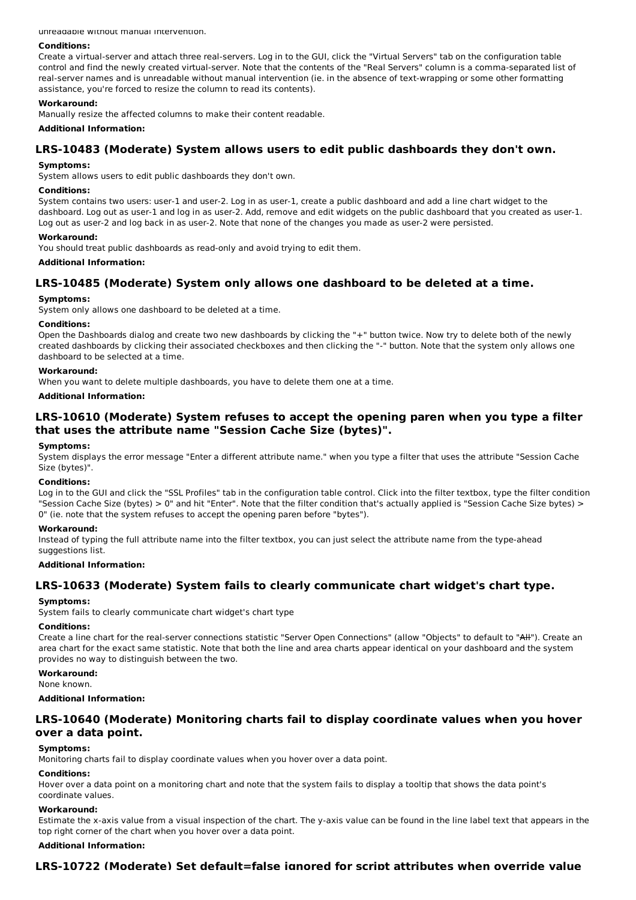unreadable without manual intervention.

#### **Conditions:**

Create a virtual-server and attach three real-servers. Log in to the GUI, click the "Virtual Servers" tab on the configuration table control and find the newly created virtual-server. Note that the contents of the "Real Servers" column is a comma-separated list of real-server names and is unreadable without manual intervention (ie. in the absence of text-wrapping or some other formatting assistance, you're forced to resize the column to read its contents).

### **Workaround:**

Manually resize the affected columns to make their content readable.

**Additional Information:**

## **LRS-10483 (Moderate) System allows users to edit public dashboards they don't own.**

#### **Symptoms:**

System allows users to edit public dashboards they don't own.

#### **Conditions:**

System contains two users: user-1 and user-2. Log in as user-1, create a public dashboard and add a line chart widget to the dashboard. Log out as user-1 and log in as user-2. Add, remove and edit widgets on the public dashboard that you created as user-1. Log out as user-2 and log back in as user-2. Note that none of the changes you made as user-2 were persisted.

#### **Workaround:**

You should treat public dashboards as read-only and avoid trying to edit them.

#### **Additional Information:**

## **LRS-10485 (Moderate) System only allows one dashboard to be deleted at a time.**

### **Symptoms:**

System only allows one dashboard to be deleted at a time.

## **Conditions:**

Open the Dashboards dialog and create two new dashboards by clicking the "+" button twice. Now try to delete both of the newly created dashboards by clicking their associated checkboxes and then clicking the "-" button. Note that the system only allows one dashboard to be selected at a time.

#### **Workaround:**

When you want to delete multiple dashboards, you have to delete them one at a time.

#### **Additional Information:**

## **LRS-10610 (Moderate) System refuses to accept the opening paren when you type a filter that uses the attribute name "Session Cache Size (bytes)".**

## **Symptoms:**

System displays the error message "Enter a different attribute name." when you type a filter that uses the attribute "Session Cache Size (bytes)".

#### **Conditions:**

Log in to the GUI and click the "SSL Profiles" tab in the configuration table control. Click into the filter textbox, type the filter condition "Session Cache Size (bytes) > 0" and hit "Enter". Note that the filter condition that's actually applied is "Session Cache Size bytes) > 0" (ie. note that the system refuses to accept the opening paren before "bytes").

#### **Workaround:**

Instead of typing the full attribute name into the filter textbox, you can just select the attribute name from the type-ahead suggestions list.

#### **Additional Information:**

## **LRS-10633 (Moderate) System fails to clearly communicate chart widget's chart type.**

#### **Symptoms:**

System fails to clearly communicate chart widget's chart type

#### **Conditions:**

Create a line chart for the real-server connections statistic "Server Open Connections" (allow "Objects" to default to "All"). Create an area chart for the exact same statistic. Note that both the line and area charts appear identical on your dashboard and the system provides no way to distinguish between the two.

### **Workaround:**

None known.

#### **Additional Information:**

## **LRS-10640 (Moderate) Monitoring charts fail to display coordinate values when you hover over a data point.**

#### **Symptoms:**

Monitoring charts fail to display coordinate values when you hover over a data point.

## **Conditions:**

Hover over a data point on a monitoring chart and note that the system fails to display a tooltip that shows the data point's coordinate values.

#### **Workaround:**

Estimate the x-axis value from a visual inspection of the chart. The y-axis value can be found in the line label text that appears in the top right corner of the chart when you hover over a data point.

#### **Additional Information:**

### **LRS-10722 (Moderate) Set default=false ignored for script attributes when override value**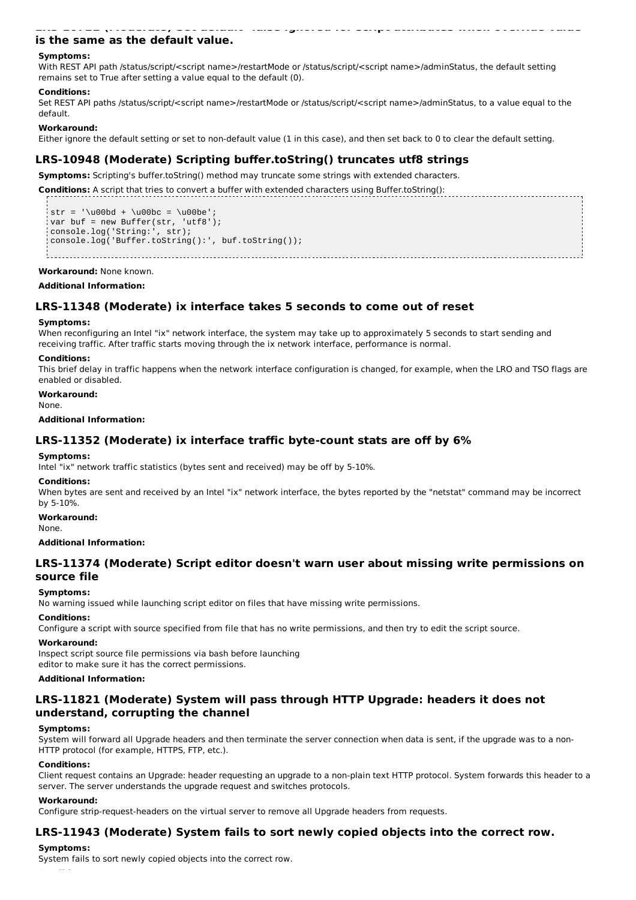## **is the same as the default value.**

#### **Symptoms:**

With REST API path /status/script/<script name>/restartMode or /status/script/<script name>/adminStatus, the default setting remains set to True after setting a value equal to the default (0).

#### **Conditions:**

Set REST API paths /status/script/<script name>/restartMode or /status/script/<script name>/adminStatus, to a value equal to the default.

**LRS-10722 (Moderate) Set default=false ignored for script attributes when override value**

#### **Workaround:**

Either ignore the default setting or set to non-default value (1 in this case), and then set back to 0 to clear the default setting.

## **LRS-10948 (Moderate) Scripting buffer.toString() truncates utf8 strings**

**Symptoms:** Scripting's buffer.toString() method may truncate some strings with extended characters.

**Conditions:** A script that tries to convert a buffer with extended characters using Buffer.toString():

str =  $' \u00bd + \u00bc = \u00be'$ ; var buf = new Buffer(str, 'utf8'); console.log('String:', str); console.log('Buffer.toString():', buf.toString());

**Workaround:** None known.

#### **Additional Information:**

### **LRS-11348 (Moderate) ix interface takes 5 seconds to come out of reset**

#### **Symptoms:**

When reconfiguring an Intel "ix" network interface, the system may take up to approximately 5 seconds to start sending and receiving traffic. After traffic starts moving through the ix network interface, performance is normal.

#### **Conditions:**

This brief delay in traffic happens when the network interface configuration is changed, for example, when the LRO and TSO flags are enabled or disabled.

**Workaround:** None.

#### **Additional Information:**

### **LRS-11352 (Moderate) ix interface traffic byte-count stats are off by 6%**

#### **Symptoms:**

Intel "ix" network traffic statistics (bytes sent and received) may be off by 5-10%.

#### **Conditions:**

When bytes are sent and received by an Intel "ix" network interface, the bytes reported by the "netstat" command may be incorrect by 5-10%.

#### **Workaround:**

None.

### **Additional Information:**

### **LRS-11374 (Moderate) Script editor doesn't warn user about missing write permissions on source file**

#### **Symptoms:**

No warning issued while launching script editor on files that have missing write permissions.

#### **Conditions:**

Configure a script with source specified from file that has no write permissions, and then try to edit the script source.

#### **Workaround:**

Inspect script source file permissions via bash before launching editor to make sure it has the correct permissions.

### **Additional Information:**

## **LRS-11821 (Moderate) System will pass through HTTP Upgrade: headers it does not understand, corrupting the channel**

#### **Symptoms:**

System will forward all Upgrade headers and then terminate the server connection when data is sent, if the upgrade was to a non-HTTP protocol (for example, HTTPS, FTP, etc.).

#### **Conditions:**

Client request contains an Upgrade: header requesting an upgrade to a non-plain text HTTP protocol. System forwards this header to a server. The server understands the upgrade request and switches protocols.

#### **Workaround:**

Configure strip-request-headers on the virtual server to remove all Upgrade headers from requests.

## **LRS-11943 (Moderate) System fails to sort newly copied objects into the correct row.**

#### **Symptoms:**

System fails to sort newly copied objects into the correct row.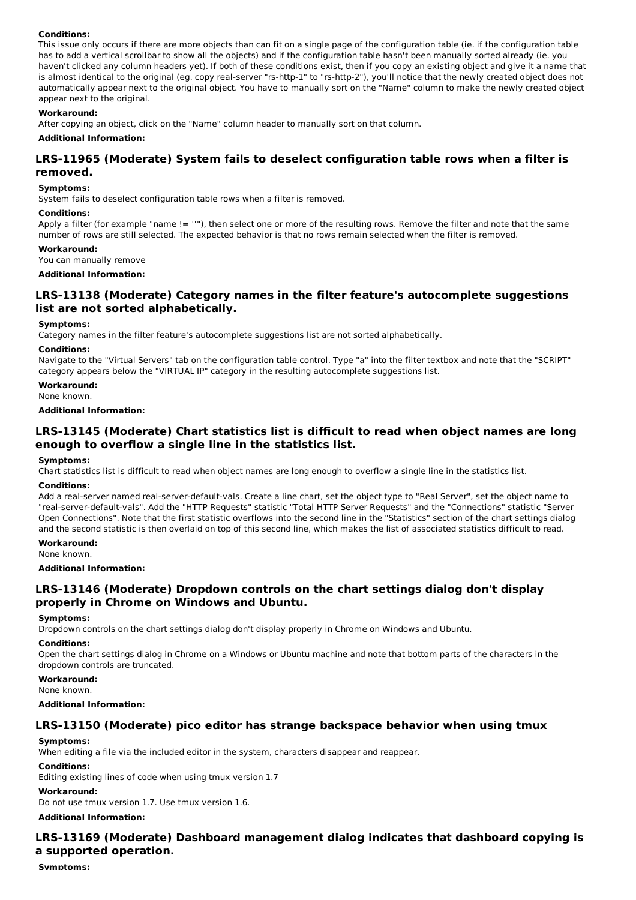### **Conditions:**

This issue only occurs if there are more objects than can fit on a single page of the configuration table (ie. if the configuration table has to add a vertical scrollbar to show all the objects) and if the configuration table hasn't been manually sorted already (ie. you haven't clicked any column headers yet). If both of these conditions exist, then if you copy an existing object and give it a name that is almost identical to the original (eg. copy real-server "rs-http-1" to "rs-http-2"), you'll notice that the newly created object does not automatically appear next to the original object. You have to manually sort on the "Name" column to make the newly created object appear next to the original.

### **Workaround:**

After copying an object, click on the "Name" column header to manually sort on that column.

### **Additional Information:**

## **LRS-11965 (Moderate) System fails to deselect configuration table rows when a filter is removed.**

#### **Symptoms:**

System fails to deselect configuration table rows when a filter is removed.

#### **Conditions:**

Apply a filter (for example "name != ''"), then select one or more of the resulting rows. Remove the filter and note that the same number of rows are still selected. The expected behavior is that no rows remain selected when the filter is removed.

#### **Workaround:**

You can manually remove

### **Additional Information:**

## **LRS-13138 (Moderate) Category names in the filter feature's autocomplete suggestions list are not sorted alphabetically.**

#### **Symptoms:**

Category names in the filter feature's autocomplete suggestions list are not sorted alphabetically.

### **Conditions:**

Navigate to the "Virtual Servers" tab on the configuration table control. Type "a" into the filter textbox and note that the "SCRIPT" category appears below the "VIRTUAL IP" category in the resulting autocomplete suggestions list.

**Workaround:**

None known.

#### **Additional Information:**

## **LRS-13145 (Moderate) Chart statistics list is difficult to read when object names are long enough to overflow a single line in the statistics list.**

#### **Symptoms:**

Chart statistics list is difficult to read when object names are long enough to overflow a single line in the statistics list.

#### **Conditions:**

Add a real-server named real-server-default-vals. Create a line chart, set the object type to "Real Server", set the object name to "real-server-default-vals". Add the "HTTP Requests" statistic "Total HTTP Server Requests" and the "Connections" statistic "Server Open Connections". Note that the first statistic overflows into the second line in the "Statistics" section of the chart settings dialog and the second statistic is then overlaid on top of this second line, which makes the list of associated statistics difficult to read.

### **Workaround:**

None known.

**Additional Information:**

## **LRS-13146 (Moderate) Dropdown controls on the chart settings dialog don't display properly in Chrome on Windows and Ubuntu.**

#### **Symptoms:**

Dropdown controls on the chart settings dialog don't display properly in Chrome on Windows and Ubuntu.

#### **Conditions:**

Open the chart settings dialog in Chrome on a Windows or Ubuntu machine and note that bottom parts of the characters in the dropdown controls are truncated.

### **Workaround:**

#### None known.

#### **Additional Information:**

### **LRS-13150 (Moderate) pico editor has strange backspace behavior when using tmux**

### **Symptoms:**

When editing a file via the included editor in the system, characters disappear and reappear.

#### **Conditions:**

Editing existing lines of code when using tmux version 1.7

#### **Workaround:**

Do not use tmux version 1.7. Use tmux version 1.6.

### **Additional Information:**

## **LRS-13169 (Moderate) Dashboard management dialog indicates that dashboard copying is a supported operation.**

**Symptoms:**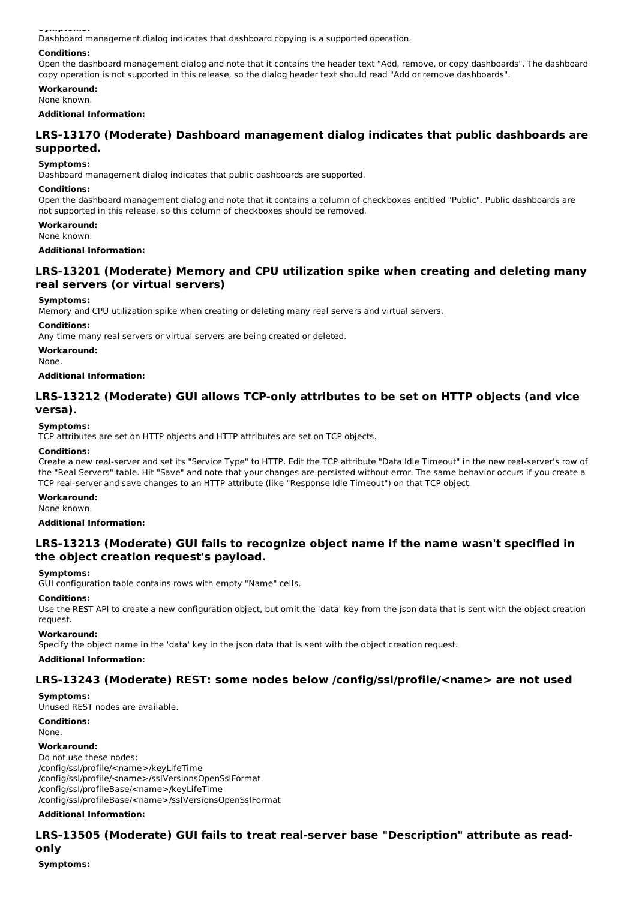**Symptoms:**

Dashboard management dialog indicates that dashboard copying is a supported operation.

### **Conditions:**

Open the dashboard management dialog and note that it contains the header text "Add, remove, or copy dashboards". The dashboard copy operation is not supported in this release, so the dialog header text should read "Add or remove dashboards".

### **Workaround:**

None known.

### **Additional Information:**

## **LRS-13170 (Moderate) Dashboard management dialog indicates that public dashboards are supported.**

## **Symptoms:**

Dashboard management dialog indicates that public dashboards are supported.

#### **Conditions:**

Open the dashboard management dialog and note that it contains a column of checkboxes entitled "Public". Public dashboards are not supported in this release, so this column of checkboxes should be removed.

## **Workaround:**

None known.

### **Additional Information:**

## **LRS-13201 (Moderate) Memory and CPU utilization spike when creating and deleting many real servers (or virtual servers)**

### **Symptoms:**

Memory and CPU utilization spike when creating or deleting many real servers and virtual servers.

### **Conditions:**

Any time many real servers or virtual servers are being created or deleted.

#### **Workaround:**

None.

#### **Additional Information:**

## **LRS-13212 (Moderate) GUI allows TCP-only attributes to be set on HTTP objects (and vice versa).**

### **Symptoms:**

TCP attributes are set on HTTP objects and HTTP attributes are set on TCP objects.

#### **Conditions:**

Create a new real-server and set its "Service Type" to HTTP. Edit the TCP attribute "Data Idle Timeout" in the new real-server's row of the "Real Servers" table. Hit "Save" and note that your changes are persisted without error. The same behavior occurs if you create a TCP real-server and save changes to an HTTP attribute (like "Response Idle Timeout") on that TCP object.

### **Workaround:**

None known.

**Additional Information:**

## **LRS-13213 (Moderate) GUI fails to recognize object name if the name wasn't specified in the object creation request's payload.**

#### **Symptoms:**

GUI configuration table contains rows with empty "Name" cells.

#### **Conditions:**

Use the REST API to create a new configuration object, but omit the 'data' key from the json data that is sent with the object creation request.

#### **Workaround:**

Specify the object name in the 'data' key in the json data that is sent with the object creation request.

### **Additional Information:**

### **LRS-13243 (Moderate) REST: some nodes below /config/ssl/profile/<name> are not used**

**Symptoms:** Unused REST nodes are available.

**Conditions:**

### None.

#### **Workaround:**

Do not use these nodes: /config/ssl/profile/<name>/keyLifeTime /config/ssl/profile/<name>/sslVersionsOpenSslFormat /config/ssl/profileBase/<name>/keyLifeTime /config/ssl/profileBase/<name>/sslVersionsOpenSslFormat

### **Additional Information:**

## **LRS-13505 (Moderate) GUI fails to treat real-server base "Description" attribute as readonly**

**Symptoms:**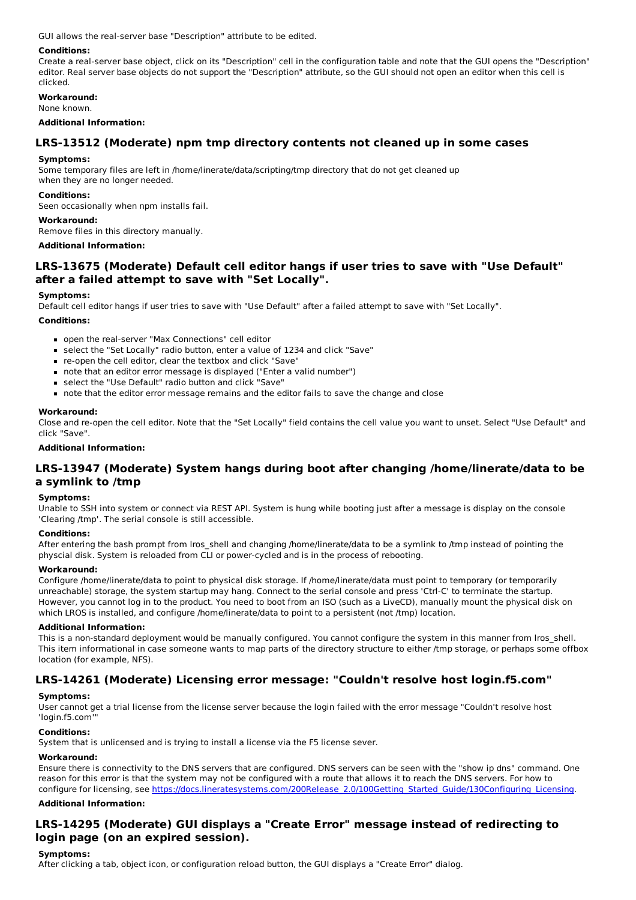GUI allows the real-server base "Description" attribute to be edited.

### **Conditions:**

Create a real-server base object, click on its "Description" cell in the configuration table and note that the GUI opens the "Description" editor. Real server base objects do not support the "Description" attribute, so the GUI should not open an editor when this cell is clicked.

**Workaround:**

#### None known.

### **Additional Information:**

## **LRS-13512 (Moderate) npm tmp directory contents not cleaned up in some cases**

#### **Symptoms:**

Some temporary files are left in /home/linerate/data/scripting/tmp directory that do not get cleaned up when they are no longer needed.

#### **Conditions:**

Seen occasionally when npm installs fail.

#### **Workaround:**

Remove files in this directory manually.

### **Additional Information:**

## **LRS-13675 (Moderate) Default cell editor hangs if user tries to save with "Use Default" after a failed attempt to save with "Set Locally".**

### **Symptoms:**

Default cell editor hangs if user tries to save with "Use Default" after a failed attempt to save with "Set Locally".

### **Conditions:**

- open the real-server "Max Connections" cell editor
- select the "Set Locally" radio button, enter a value of 1234 and click "Save"
- re-open the cell editor, clear the textbox and click "Save"
- note that an editor error message is displayed ("Enter a valid number")
- select the "Use Default" radio button and click "Save"
- note that the editor error message remains and the editor fails to save the change and close

### **Workaround:**

Close and re-open the cell editor. Note that the "Set Locally" field contains the cell value you want to unset. Select "Use Default" and click "Save".

**Additional Information:**

### **LRS-13947 (Moderate) System hangs during boot after changing /home/linerate/data to be a symlink to /tmp**

#### **Symptoms:**

Unable to SSH into system or connect via REST API. System is hung while booting just after a message is display on the console 'Clearing /tmp'. The serial console is still accessible.

#### **Conditions:**

After entering the bash prompt from Iros shell and changing /home/linerate/data to be a symlink to /tmp instead of pointing the physcial disk. System is reloaded from CLI or power-cycled and is in the process of rebooting.

#### **Workaround:**

Configure /home/linerate/data to point to physical disk storage. If /home/linerate/data must point to temporary (or temporarily unreachable) storage, the system startup may hang. Connect to the serial console and press 'Ctrl-C' to terminate the startup. However, you cannot log in to the product. You need to boot from an ISO (such as a LiveCD), manually mount the physical disk on which LROS is installed, and configure /home/linerate/data to point to a persistent (not /tmp) location.

#### **Additional Information:**

This is a non-standard deployment would be manually configured. You cannot configure the system in this manner from lros\_shell. This item informational in case someone wants to map parts of the directory structure to either /tmp storage, or perhaps some offbox location (for example, NFS).

## **LRS-14261 (Moderate) Licensing error message: "Couldn't resolve host login.f5.com"**

### **Symptoms:**

User cannot get a trial license from the license server because the login failed with the error message "Couldn't resolve host 'login.f5.com'"

#### **Conditions:**

System that is unlicensed and is trying to install a license via the F5 license sever.

### **Workaround:**

Ensure there is connectivity to the DNS servers that are configured. DNS servers can be seen with the "show ip dns" command. One reason for this error is that the system may not be configured with a route that allows it to reach the DNS servers. For how to configure for licensing, see https://docs.lineratesystems.com/200Release\_2.0/100Getting\_Started\_Guide/130Configuring\_Licensing.

### **Additional Information:**

## **LRS-14295 (Moderate) GUI displays a "Create Error" message instead of redirecting to login page (on an expired session).**

### **Symptoms:**

After clicking a tab, object icon, or configuration reload button, the GUI displays a "Create Error" dialog.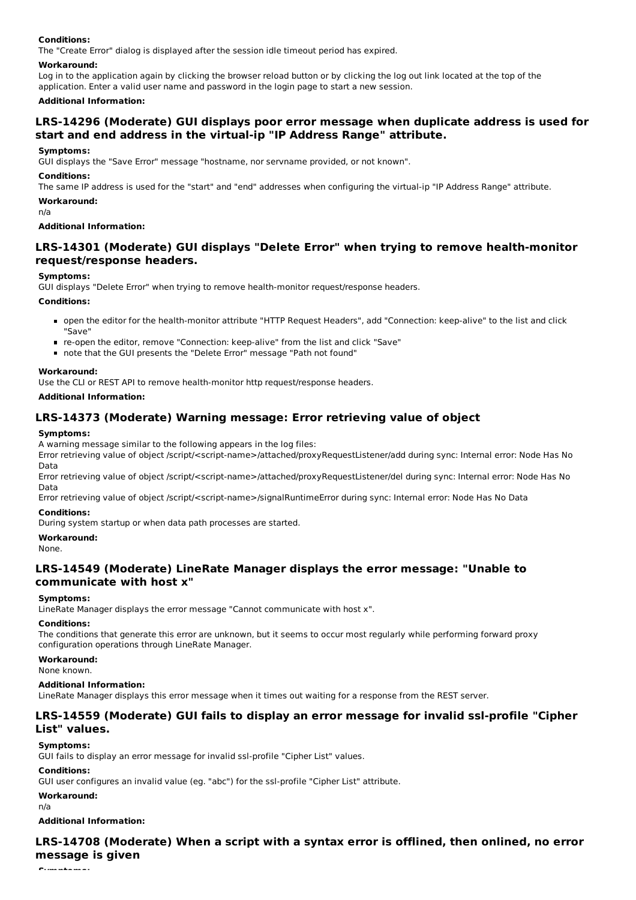#### **Conditions:**

The "Create Error" dialog is displayed after the session idle timeout period has expired.

#### **Workaround:**

Log in to the application again by clicking the browser reload button or by clicking the log out link located at the top of the application. Enter a valid user name and password in the login page to start a new session.

#### **Additional Information:**

### **LRS-14296 (Moderate) GUI displays poor error message when duplicate address is used for start and end address in the virtual-ip "IP Address Range" attribute.**

#### **Symptoms:**

GUI displays the "Save Error" message "hostname, nor servname provided, or not known".

#### **Conditions:**

The same IP address is used for the "start" and "end" addresses when configuring the virtual-ip "IP Address Range" attribute.

#### **Workaround:**

n/a

#### **Additional Information:**

## **LRS-14301 (Moderate) GUI displays "Delete Error" when trying to remove health-monitor request/response headers.**

#### **Symptoms:**

GUI displays "Delete Error" when trying to remove health-monitor request/response headers.

#### **Conditions:**

- open the editor for the health-monitor attribute "HTTP Request Headers", add "Connection: keep-alive" to the list and click "Save"
- re-open the editor, remove "Connection: keep-alive" from the list and click "Save"
- note that the GUI presents the "Delete Error" message "Path not found"

#### **Workaround:**

Use the CLI or REST API to remove health-monitor http request/response headers.

### **Additional Information:**

### **LRS-14373 (Moderate) Warning message: Error retrieving value of object**

#### **Symptoms:**

A warning message similar to the following appears in the log files:

Error retrieving value of object /script/<script-name>/attached/proxyRequestListener/add during sync: Internal error: Node Has No Data

Error retrieving value of object /script/<script-name>/attached/proxyRequestListener/del during sync: Internal error: Node Has No Data

Error retrieving value of object /script/<script-name>/signalRuntimeError during sync: Internal error: Node Has No Data

#### **Conditions:**

During system startup or when data path processes are started.

#### **Workaround:**

None.

### **LRS-14549 (Moderate) LineRate Manager displays the error message: "Unable to communicate with host x"**

#### **Symptoms:**

LineRate Manager displays the error message "Cannot communicate with host x".

#### **Conditions:**

The conditions that generate this error are unknown, but it seems to occur most regularly while performing forward proxy configuration operations through LineRate Manager.

### **Workaround:**

None known.

#### **Additional Information:**

LineRate Manager displays this error message when it times out waiting for a response from the REST server.

## **LRS-14559 (Moderate) GUI fails to display an error message for invalid ssl-profile "Cipher List" values.**

#### **Symptoms:**

GUI fails to display an error message for invalid ssl-profile "Cipher List" values.

#### **Conditions:**

GUI user configures an invalid value (eg. "abc") for the ssl-profile "Cipher List" attribute.

#### **Workaround:**

n/a

#### **Additional Information:**

**LRS-14708 (Moderate) When a script with a syntax error is offlined, then onlined, no error message is given**

**Symptoms:**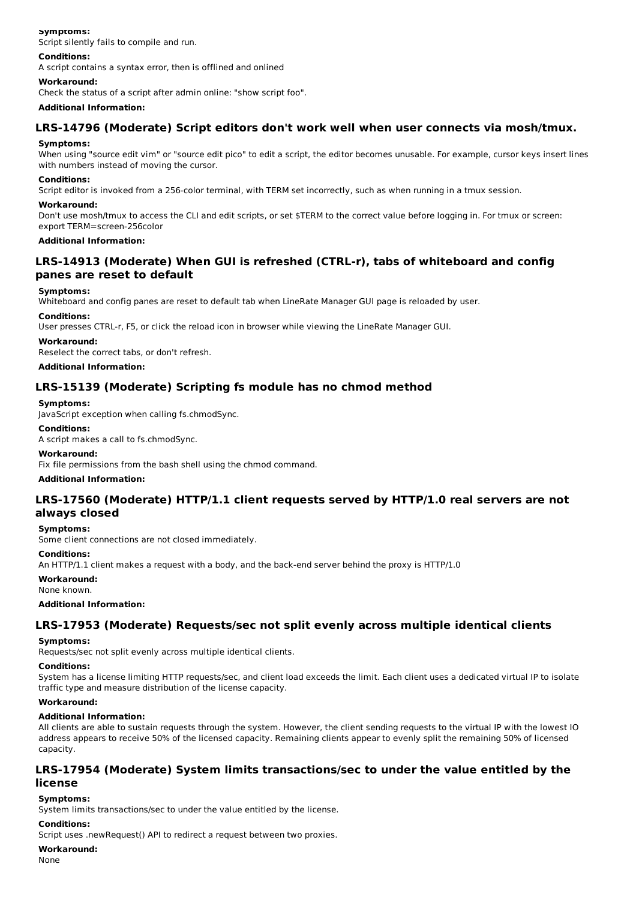### **Symptoms:**

Script silently fails to compile and run.

### **Conditions:**

A script contains a syntax error, then is offlined and onlined

### **Workaround:**

Check the status of a script after admin online: "show script foo".

### **Additional Information:**

## **LRS-14796 (Moderate) Script editors don't work well when user connects via mosh/tmux.**

### **Symptoms:**

When using "source edit vim" or "source edit pico" to edit a script, the editor becomes unusable. For example, cursor keys insert lines with numbers instead of moving the cursor.

### **Conditions:**

Script editor is invoked from a 256-color terminal, with TERM set incorrectly, such as when running in a tmux session.

### **Workaround:**

Don't use mosh/tmux to access the CLI and edit scripts, or set \$TERM to the correct value before logging in. For tmux or screen: export TERM=screen-256color

### **Additional Information:**

## **LRS-14913 (Moderate) When GUI is refreshed (CTRL-r), tabs of whiteboard and config panes are reset to default**

### **Symptoms:**

Whiteboard and config panes are reset to default tab when LineRate Manager GUI page is reloaded by user.

### **Conditions:**

User presses CTRL-r, F5, or click the reload icon in browser while viewing the LineRate Manager GUI.

### **Workaround:**

Reselect the correct tabs, or don't refresh.

### **Additional Information:**

## **LRS-15139 (Moderate) Scripting fs module has no chmod method**

### **Symptoms:**

JavaScript exception when calling fs.chmodSync.

### **Conditions:**

A script makes a call to fs.chmodSync.

### **Workaround:**

Fix file permissions from the bash shell using the chmod command.

### **Additional Information:**

## **LRS-17560 (Moderate) HTTP/1.1 client requests served by HTTP/1.0 real servers are not always closed**

### **Symptoms:**

Some client connections are not closed immediately.

### **Conditions:**

An HTTP/1.1 client makes a request with a body, and the back-end server behind the proxy is HTTP/1.0

### **Workaround:**

None known.

### **Additional Information:**

## **LRS-17953 (Moderate) Requests/sec not split evenly across multiple identical clients**

### **Symptoms:**

Requests/sec not split evenly across multiple identical clients.

## **Conditions:**

System has a license limiting HTTP requests/sec, and client load exceeds the limit. Each client uses a dedicated virtual IP to isolate traffic type and measure distribution of the license capacity.

#### **Workaround:**

### **Additional Information:**

All clients are able to sustain requests through the system. However, the client sending requests to the virtual IP with the lowest IO address appears to receive 50% of the licensed capacity. Remaining clients appear to evenly split the remaining 50% of licensed capacity.

### **LRS-17954 (Moderate) System limits transactions/sec to under the value entitled by the license**

### **Symptoms:**

System limits transactions/sec to under the value entitled by the license.

### **Conditions:**

Script uses .newRequest() API to redirect a request between two proxies.

#### **Workaround:**

None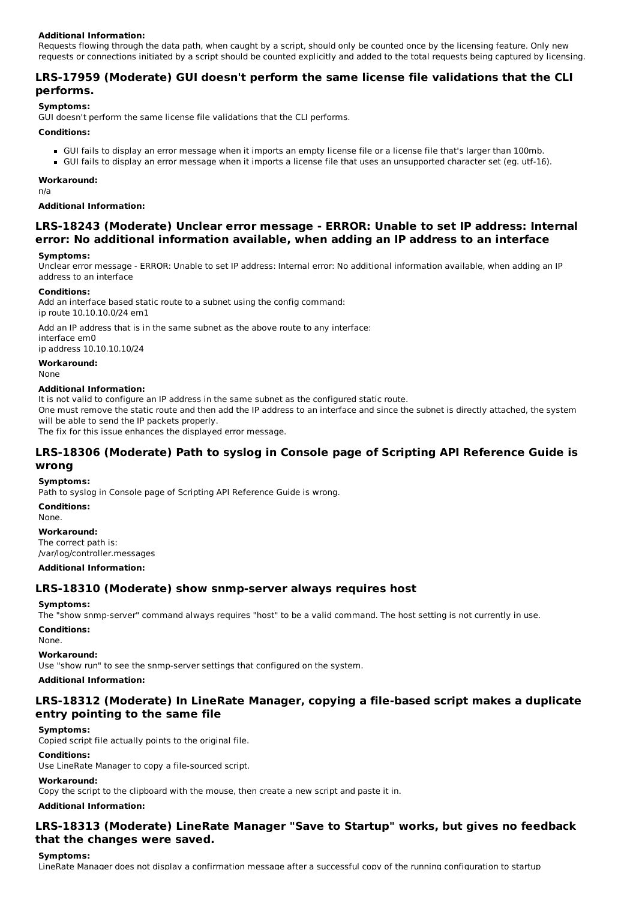### **Additional Information:**

Requests flowing through the data path, when caught by a script, should only be counted once by the licensing feature. Only new requests or connections initiated by a script should be counted explicitly and added to the total requests being captured by licensing.

## **LRS-17959 (Moderate) GUI doesn't perform the same license file validations that the CLI performs.**

### **Symptoms:**

GUI doesn't perform the same license file validations that the CLI performs.

#### **Conditions:**

- GUI fails to display an error message when it imports an empty license file or a license file that's larger than 100mb.
- GUI fails to display an error message when it imports a license file that uses an unsupported character set (eg. utf-16).

#### **Workaround:**

n/a

#### **Additional Information:**

## **LRS-18243 (Moderate) Unclear error message - ERROR: Unable to set IP address: Internal error: No additional information available, when adding an IP address to an interface**

### **Symptoms:**

Unclear error message - ERROR: Unable to set IP address: Internal error: No additional information available, when adding an IP address to an interface

### **Conditions:**

Add an interface based static route to a subnet using the config command: ip route 10.10.10.0/24 em1

Add an IP address that is in the same subnet as the above route to any interface: interface em0 ip address 10.10.10.10/24

**Workaround:** None

### **Additional Information:**

It is not valid to configure an IP address in the same subnet as the configured static route.

One must remove the static route and then add the IP address to an interface and since the subnet is directly attached, the system will be able to send the IP packets properly.

The fix for this issue enhances the displayed error message.

## **LRS-18306 (Moderate) Path to syslog in Console page of Scripting API Reference Guide is wrong**

## **Symptoms:**

Path to syslog in Console page of Scripting API Reference Guide is wrong.

**Conditions:**

None.

### **Workaround:**

The correct path is: /var/log/controller.messages

### **Additional Information:**

### **LRS-18310 (Moderate) show snmp-server always requires host**

### **Symptoms:**

The "show snmp-server" command always requires "host" to be a valid command. The host setting is not currently in use.

#### **Conditions:**

None.

#### **Workaround:**

Use "show run" to see the snmp-server settings that configured on the system.

#### **Additional Information:**

## **LRS-18312 (Moderate) In LineRate Manager, copying a file-based script makes a duplicate entry pointing to the same file**

### **Symptoms:**

Copied script file actually points to the original file.

### **Conditions:**

Use LineRate Manager to copy a file-sourced script.

### **Workaround:**

Copy the script to the clipboard with the mouse, then create a new script and paste it in.

**Additional Information:**

## **LRS-18313 (Moderate) LineRate Manager "Save to Startup" works, but gives no feedback that the changes were saved.**

### **Symptoms:**

LineRate Manager does not display a confirmation message after a successful copy of the running configuration to startup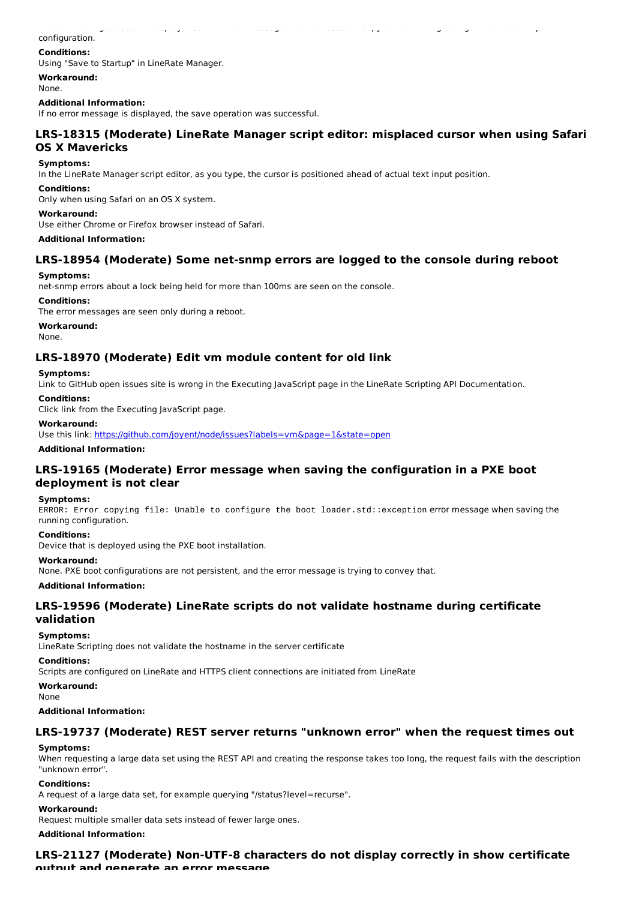## configuration.

### **Conditions:**

Using "Save to Startup" in LineRate Manager.

**Workaround:**

None.

#### **Additional Information:**

If no error message is displayed, the save operation was successful.

## **LRS-18315 (Moderate) LineRate Manager script editor: misplaced cursor when using Safari OS X Mavericks**

LineRate Manager does not display a confirmation message after a successful copy of the running configuration to startup

#### **Symptoms:**

In the LineRate Manager script editor, as you type, the cursor is positioned ahead of actual text input position.

#### **Conditions:**

Only when using Safari on an OS X system.

#### **Workaround:**

Use either Chrome or Firefox browser instead of Safari.

#### **Additional Information:**

## **LRS-18954 (Moderate) Some net-snmp errors are logged to the console during reboot**

#### **Symptoms:**

net-snmp errors about a lock being held for more than 100ms are seen on the console.

### **Conditions:**

The error messages are seen only during a reboot.

### **Workaround:**

None.

### **LRS-18970 (Moderate) Edit vm module content for old link**

### **Symptoms:**

Link to GitHub open issues site is wrong in the Executing JavaScript page in the LineRate Scripting API Documentation.

### **Conditions:**

Click link from the Executing JavaScript page.

#### **Workaround:**

Use this link: https://github.com/joyent/node/issues?labels=vm&page=1&state=open

**Additional Information:**

## **LRS-19165 (Moderate) Error message when saving the configuration in a PXE boot deployment is not clear**

#### **Symptoms:**

ERROR: Error copying file: Unable to configure the boot loader.std::exception error message when saving the running configuration.

#### **Conditions:**

Device that is deployed using the PXE boot installation.

#### **Workaround:**

None. PXE boot configurations are not persistent, and the error message is trying to convey that.

#### **Additional Information:**

## **LRS-19596 (Moderate) LineRate scripts do not validate hostname during certificate validation**

### **Symptoms:**

LineRate Scripting does not validate the hostname in the server certificate

#### **Conditions:**

Scripts are configured on LineRate and HTTPS client connections are initiated from LineRate

#### **Workaround:**

None

### **Additional Information:**

### **LRS-19737 (Moderate) REST server returns "unknown error" when the request times out**

#### **Symptoms:**

When requesting a large data set using the REST API and creating the response takes too long, the request fails with the description "unknown error".

#### **Conditions:**

A request of a large data set, for example querying "/status?level=recurse".

#### **Workaround:**

Request multiple smaller data sets instead of fewer large ones.

### **Additional Information:**

## **LRS-21127 (Moderate) Non-UTF-8 characters do not display correctly in show certificate**

**output and generate an error message**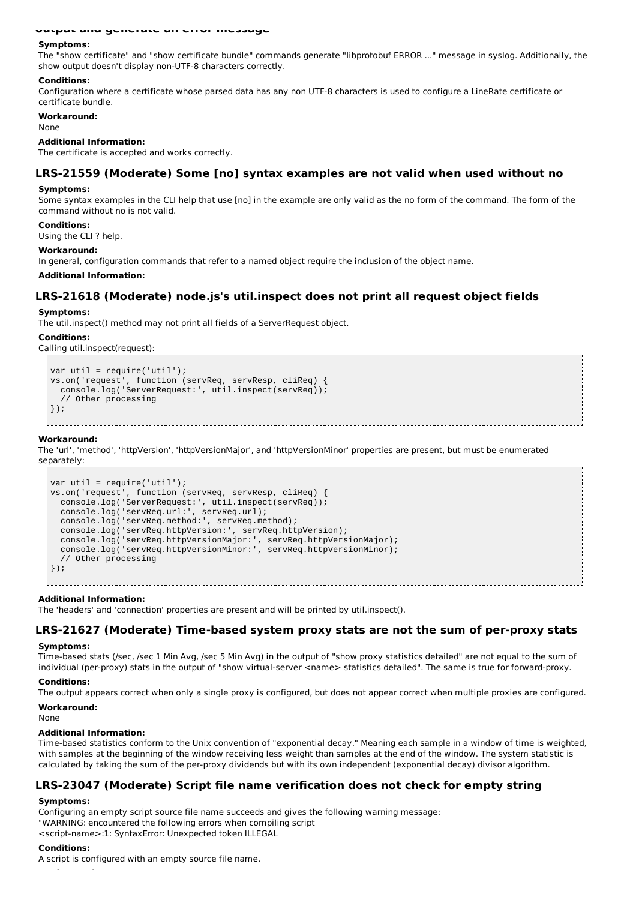#### **output and generate an error message**

#### **Symptoms:**

The "show certificate" and "show certificate bundle" commands generate "libprotobuf ERROR ..." message in syslog. Additionally, the show output doesn't display non-UTF-8 characters correctly.

#### **Conditions:**

Configuration where a certificate whose parsed data has any non UTF-8 characters is used to configure a LineRate certificate or certificate bundle.

#### **Workaround:**

**None** 

#### **Additional Information:**

The certificate is accepted and works correctly.

### **LRS-21559 (Moderate) Some [no] syntax examples are not valid when used without no**

#### **Symptoms:**

Some syntax examples in the CLI help that use [no] in the example are only valid as the no form of the command. The form of the command without no is not valid.

#### **Conditions:**

Using the CLI ? help.

#### **Workaround:**

In general, configuration commands that refer to a named object require the inclusion of the object name.

#### **Additional Information:**

### **LRS-21618 (Moderate) node.js's util.inspect does not print all request object fields**

#### **Symptoms:**

The util.inspect() method may not print all fields of a ServerRequest object.

#### **Conditions:**

Calling util.inspect(request):

```
var util = require('util');
vs.on('request', function (servReq, servResp, cliReq) {
  console.log('ServerRequest:', util.inspect(servReq));
  // Other processing
| \cdot \rangle):
```
#### **Workaround:**

The 'url', 'method', 'httpVersion', 'httpVersionMajor', and 'httpVersionMinor' properties are present, but must be enumerated

```
separately:
                          var util = require('util');
  vs.on('request', function (servReq, servResp, cliReq) {
    console.log('ServerRequest:', util.inspect(servReq));
    console.log('servReq.url:', servReq.url);
    console.log('servReq.method:', servReq.method);
   console.log('servReq.httpVersion:', servReq.httpVersion);
    console.log('servReq.httpVersionMajor:', servReq.httpVersionMajor);
    console.log('servReq.httpVersionMinor:', servReq.httpVersionMinor);
    // Other processing
 \});
```
#### **Additional Information:**

The 'headers' and 'connection' properties are present and will be printed by util.inspect().

### **LRS-21627 (Moderate) Time-based system proxy stats are not the sum of per-proxy stats**

#### **Symptoms:**

Time-based stats (/sec, /sec 1 Min Avg, /sec 5 Min Avg) in the output of "show proxy statistics detailed" are not equal to the sum of individual (per-proxy) stats in the output of "show virtual-server <name> statistics detailed". The same is true for forward-proxy.

#### **Conditions:**

The output appears correct when only a single proxy is configured, but does not appear correct when multiple proxies are configured.

#### **Workaround:**

None

#### **Additional Information:**

Time-based statistics conform to the Unix convention of "exponential decay." Meaning each sample in a window of time is weighted, with samples at the beginning of the window receiving less weight than samples at the end of the window. The system statistic is calculated by taking the sum of the per-proxy dividends but with its own independent (exponential decay) divisor algorithm.

### **LRS-23047 (Moderate) Script file name verification does not check for empty string**

#### **Symptoms:**

Configuring an empty script source file name succeeds and gives the following warning message: "WARNING: encountered the following errors when compiling script <script-name>:1: SyntaxError: Unexpected token ILLEGAL

#### **Conditions:**

A script is configured with an empty source file name.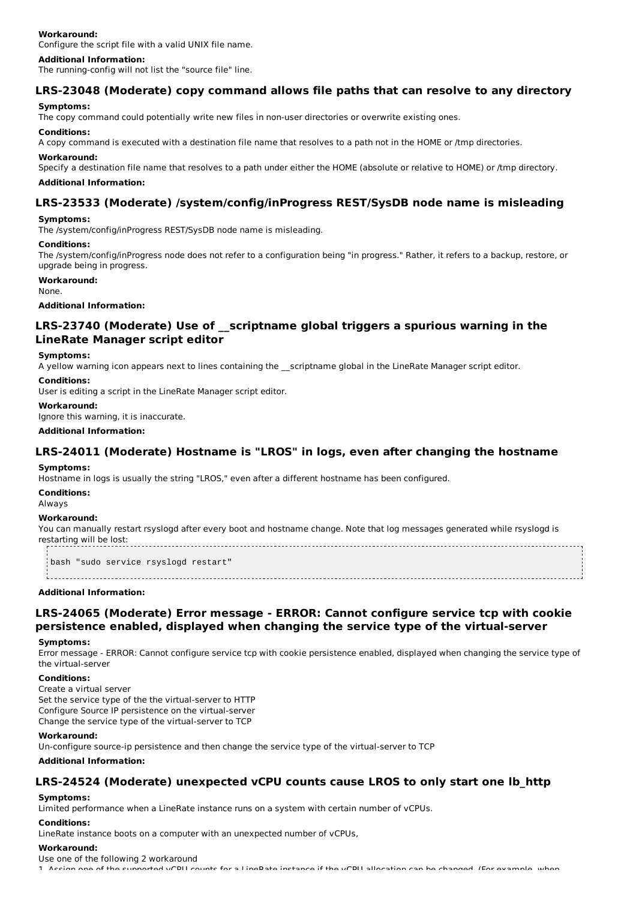### **Workaround:**

Configure the script file with a valid UNIX file name.

#### **Additional Information:**

The running-config will not list the "source file" line.

## **LRS-23048 (Moderate) copy command allows file paths that can resolve to any directory**

#### **Symptoms:**

The copy command could potentially write new files in non-user directories or overwrite existing ones.

#### **Conditions:**

A copy command is executed with a destination file name that resolves to a path not in the HOME or /tmp directories.

#### **Workaround:**

Specify a destination file name that resolves to a path under either the HOME (absolute or relative to HOME) or /tmp directory.

### **Additional Information:**

## **LRS-23533 (Moderate) /system/config/inProgress REST/SysDB node name is misleading**

#### **Symptoms:**

The /system/config/inProgress REST/SysDB node name is misleading.

#### **Conditions:**

The /system/config/inProgress node does not refer to a configuration being "in progress." Rather, it refers to a backup, restore, or upgrade being in progress.

### **Workaround:**

None.

**Additional Information:**

## **LRS-23740 (Moderate) Use of \_\_scriptname global triggers a spurious warning in the LineRate Manager script editor**

#### **Symptoms:**

A yellow warning icon appears next to lines containing the \_\_scriptname global in the LineRate Manager script editor.

#### **Conditions:**

User is editing a script in the LineRate Manager script editor.

### **Workaround:**

Ignore this warning, it is inaccurate.

**Additional Information:**

## **LRS-24011 (Moderate) Hostname is "LROS" in logs, even after changing the hostname**

#### **Symptoms:**

Hostname in logs is usually the string "LROS," even after a different hostname has been configured.

**Conditions:**

Always

### **Workaround:**

You can manually restart rsyslogd after every boot and hostname change. Note that log messages generated while rsyslogd is restarting will be lost:

bash "sudo service rsyslogd restart"

# 

## **Additional Information:**

## **LRS-24065 (Moderate) Error message - ERROR: Cannot configure service tcp with cookie persistence enabled, displayed when changing the service type of the virtual-server**

#### **Symptoms:**

Error message - ERROR: Cannot configure service tcp with cookie persistence enabled, displayed when changing the service type of the virtual-server

#### **Conditions:**

Create a virtual server Set the service type of the the virtual-server to HTTP Configure Source IP persistence on the virtual-server Change the service type of the virtual-server to TCP

#### **Workaround:**

Un-configure source-ip persistence and then change the service type of the virtual-server to TCP

#### **Additional Information:**

## **LRS-24524 (Moderate) unexpected vCPU counts cause LROS to only start one lb\_http**

### **Symptoms:**

Limited performance when a LineRate instance runs on a system with certain number of vCPUs.

### **Conditions:**

LineRate instance boots on a computer with an unexpected number of vCPUs,

#### **Workaround:**

Use one of the following 2 workaround

1. Assign one of the supported vCPU counts for a LineRate instance if the vCPU allocation can be changed. (For example, when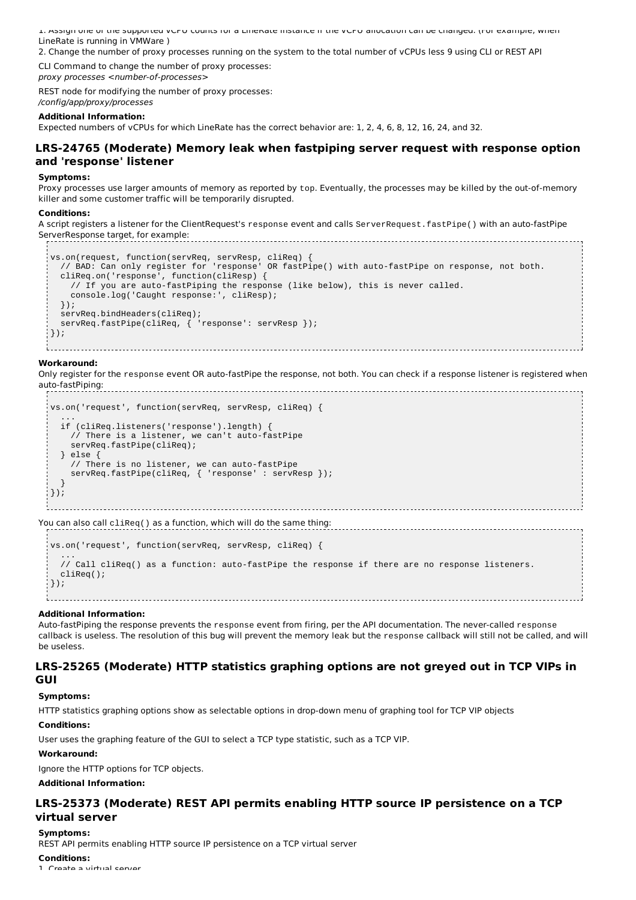1. Assign one of the supported vCPU counts for a LineRate instance if the vCPU allocation can be changed. (For example, when LineRate is running in VMWare )

2. Change the number of proxy processes running on the system to the total number of vCPUs less 9 using CLI or REST API CLI Command to change the number of proxy processes:

proxy processes <number-of-processes>

REST node for modifying the number of proxy processes: /config/app/proxy/processes

### **Additional Information:**

Expected numbers of vCPUs for which LineRate has the correct behavior are: 1, 2, 4, 6, 8, 12, 16, 24, and 32.

## **LRS-24765 (Moderate) Memory leak when fastpiping server request with response option and 'response' listener**

#### **Symptoms:**

Proxy processes use larger amounts of memory as reported by top. Eventually, the processes may be killed by the out-of-memory killer and some customer traffic will be temporarily disrupted.

#### **Conditions:**

A script registers a listener for the ClientRequest's response event and calls ServerRequest.fastPipe() with an auto-fastPipe ServerResponse target, for example:

```
vs.on(request, function(servReq, servResp, cliReq) {
   // BAD: Can only register for 'response' OR fastPipe() with auto-fastPipe on response, not both.
  cliReq.on('response', function(cliResp) {
    // If you are auto-fastPiping the response (like below), this is never called.
    console.log('Caught response:', cliResp);
  });
  servReq.bindHeaders(cliReq);<br>servReq.fastPipe(cliReq, { 'response': servResp });
  servReq.fastPipe(cliReq, {
\left| \cdot \right\rangle);
```
### **Workaround:**

Only register for the response event OR auto-fastPipe the response, not both. You can check if a response listener is registered when auto-fastPiping:

```
vs.on('request', function(servReq, servResp, cliReq) {
   ...
   if (cliReq.listeners('response').length) {
    // There is a listener, we can't auto-fastPipe
    servReq.fastPipe(cliReq);
  } else {
    // There is no listener, we can auto-fastPipe
    servReq.fastPipe(cliReq, { 'response' : servResp });
  }
\left( \ \right) ;
```
You can also call cliReq() as a function, which will do the same thing:

```
vs.on('request', function(servReq, servResp, cliReq) {
   ...
  // Call cliReq() as a function: auto-fastPipe the response if there are no response listeners.
  cliReq();
\vert \cdot \rangle ):
```
### **Additional Information:**

Auto-fastPiping the response prevents the response event from firing, per the API documentation. The never-called response callback is useless. The resolution of this bug will prevent the memory leak but the response callback will still not be called, and will be useless.

### **LRS-25265 (Moderate) HTTP statistics graphing options are not greyed out in TCP VIPs in GUI**

### **Symptoms:**

HTTP statistics graphing options show as selectable options in drop-down menu of graphing tool for TCP VIP objects

#### **Conditions:**

User uses the graphing feature of the GUI to select a TCP type statistic, such as a TCP VIP.

### **Workaround:**

Ignore the HTTP options for TCP objects.

### **Additional Information:**

## **LRS-25373 (Moderate) REST API permits enabling HTTP source IP persistence on a TCP virtual server**

#### **Symptoms:**

REST API permits enabling HTTP source IP persistence on a TCP virtual server

### **Conditions:**

1. Create a virtual server.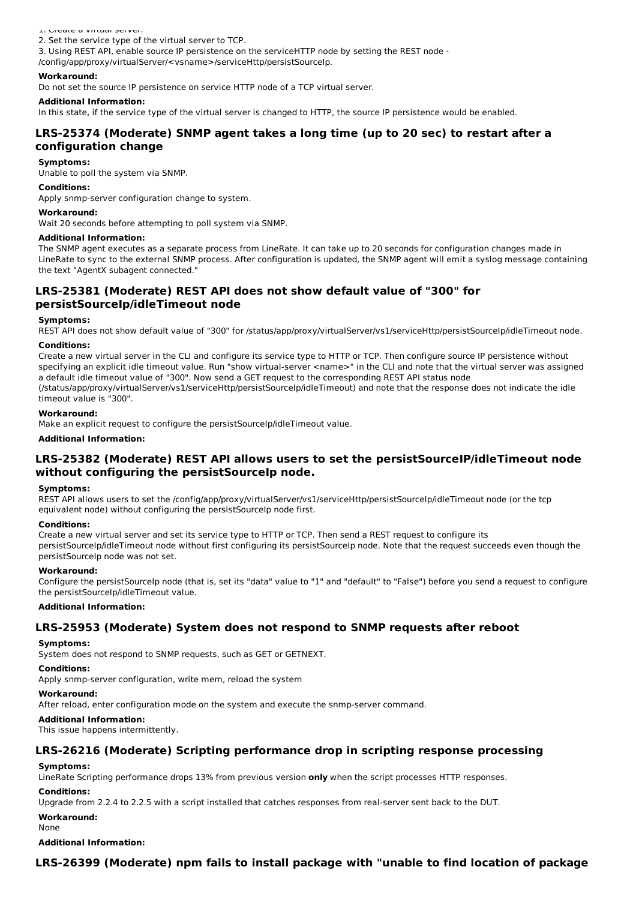1. Create a virtual server.

2. Set the service type of the virtual server to TCP.

3. Using REST API, enable source IP persistence on the serviceHTTP node by setting the REST node -

/config/app/proxy/virtualServer/<vsname>/serviceHttp/persistSourceIp.

#### **Workaround:**

Do not set the source IP persistence on service HTTP node of a TCP virtual server.

### **Additional Information:**

In this state, if the service type of the virtual server is changed to HTTP, the source IP persistence would be enabled.

## **LRS-25374 (Moderate) SNMP agent takes a long time (up to 20 sec) to restart after a configuration change**

### **Symptoms:**

Unable to poll the system via SNMP.

#### **Conditions:**

Apply snmp-server configuration change to system.

### **Workaround:**

Wait 20 seconds before attempting to poll system via SNMP.

#### **Additional Information:**

The SNMP agent executes as a separate process from LineRate. It can take up to 20 seconds for configuration changes made in LineRate to sync to the external SNMP process. After configuration is updated, the SNMP agent will emit a syslog message containing the text "AgentX subagent connected."

## **LRS-25381 (Moderate) REST API does not show default value of "300" for persistSourceIp/idleTimeout node**

#### **Symptoms:**

REST API does not show default value of "300" for /status/app/proxy/virtualServer/vs1/serviceHttp/persistSourceIp/idleTimeout node.

#### **Conditions:**

Create a new virtual server in the CLI and configure its service type to HTTP or TCP. Then configure source IP persistence without specifying an explicit idle timeout value. Run "show virtual-server <name>" in the CLI and note that the virtual server was assigned a default idle timeout value of "300". Now send a GET request to the corresponding REST API status node (/status/app/proxy/virtualServer/vs1/serviceHttp/persistSourceIp/idleTimeout) and note that the response does not indicate the idle timeout value is "300".

#### **Workaround:**

Make an explicit request to configure the persistSourceIp/idleTimeout value.

#### **Additional Information:**

## **LRS-25382 (Moderate) REST API allows users to set the persistSourceIP/idleTimeout node without configuring the persistSourceIp node.**

#### **Symptoms:**

REST API allows users to set the /config/app/proxy/virtualServer/vs1/serviceHttp/persistSourceIp/idleTimeout node (or the tcp equivalent node) without configuring the persistSourceIp node first.

#### **Conditions:**

Create a new virtual server and set its service type to HTTP or TCP. Then send a REST request to configure its persistSourceIp/idleTimeout node without first configuring its persistSourceIp node. Note that the request succeeds even though the persistSourceIp node was not set.

#### **Workaround:**

Configure the persistSourceIp node (that is, set its "data" value to "1" and "default" to "False") before you send a request to configure the persistSourceIp/idleTimeout value.

### **Additional Information:**

### **LRS-25953 (Moderate) System does not respond to SNMP requests after reboot**

### **Symptoms:**

System does not respond to SNMP requests, such as GET or GETNEXT.

## **Conditions:**

Apply snmp-server configuration, write mem, reload the system

### **Workaround:**

After reload, enter configuration mode on the system and execute the snmp-server command.

### **Additional Information:**

This issue happens intermittently.

## **LRS-26216 (Moderate) Scripting performance drop in scripting response processing**

### **Symptoms:**

LineRate Scripting performance drops 13% from previous version **only** when the script processes HTTP responses.

### **Conditions:**

Upgrade from 2.2.4 to 2.2.5 with a script installed that catches responses from real-server sent back to the DUT.

### **Workaround:**

None

**Additional Information:**

## **LRS-26399 (Moderate) npm fails to install package with "unable to find location of package**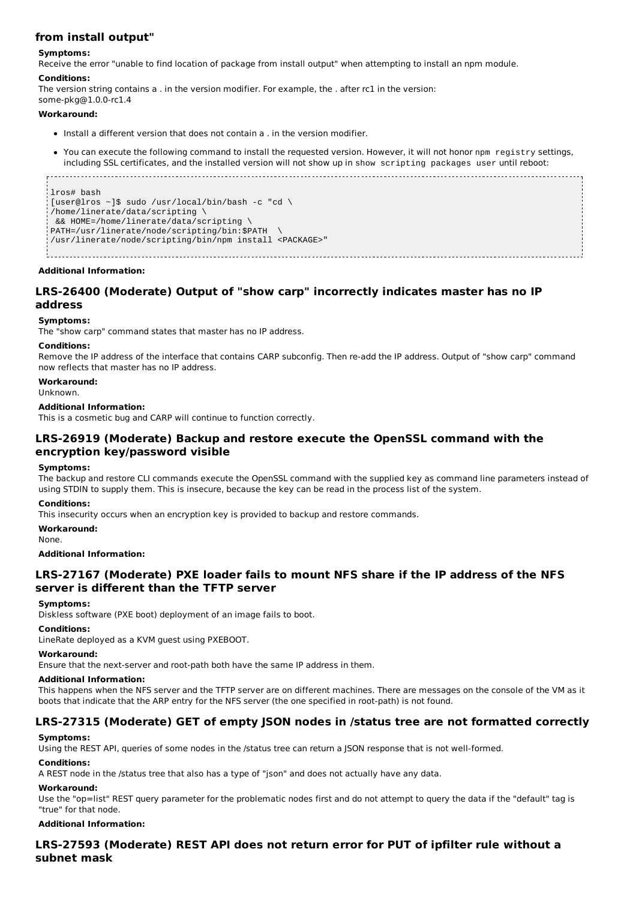## **from install output"**

### **Symptoms:**

Receive the error "unable to find location of package from install output" when attempting to install an npm module.

### **Conditions:**

The version string contains a . in the version modifier. For example, the . after rc1 in the version: some-pkg@1.0.0-rc1.4

#### **Workaround:**

- $\bullet$  Install a different version that does not contain a . in the version modifier
- You can execute the following command to install the requested version. However, it will not honor npm registry settings, including SSL certificates, and the installed version will not show up in show scripting packages user until reboot:

```
lros# bash
[user@lros ~]$ sudo /usr/local/bin/bash -c "cd \
/home/linerate/data/scripting \
 && HOME=/home/linerate/data/scripting \
PATH=/usr/linerate/node/scripting/bin:$PATH \
/usr/linerate/node/scripting/bin/npm install <PACKAGE>"
```
#### **Additional Information:**

## **LRS-26400 (Moderate) Output of "show carp" incorrectly indicates master has no IP address**

#### **Symptoms:**

The "show carp" command states that master has no IP address.

#### **Conditions:**

Remove the IP address of the interface that contains CARP subconfig. Then re-add the IP address. Output of "show carp" command now reflects that master has no IP address.

### **Workaround:**

Unknown.

#### **Additional Information:**

This is a cosmetic bug and CARP will continue to function correctly.

### **LRS-26919 (Moderate) Backup and restore execute the OpenSSL command with the encryption key/password visible**

#### **Symptoms:**

The backup and restore CLI commands execute the OpenSSL command with the supplied key as command line parameters instead of using STDIN to supply them. This is insecure, because the key can be read in the process list of the system.

#### **Conditions:**

This insecurity occurs when an encryption key is provided to backup and restore commands.

#### **Workaround:**

None.

#### **Additional Information:**

## **LRS-27167 (Moderate) PXE loader fails to mount NFS share if the IP address of the NFS server is different than the TFTP server**

#### **Symptoms:**

Diskless software (PXE boot) deployment of an image fails to boot.

#### **Conditions:**

LineRate deployed as a KVM guest using PXEBOOT.

#### **Workaround:**

Ensure that the next-server and root-path both have the same IP address in them.

#### **Additional Information:**

This happens when the NFS server and the TFTP server are on different machines. There are messages on the console of the VM as it boots that indicate that the ARP entry for the NFS server (the one specified in root-path) is not found.

## **LRS-27315 (Moderate) GET of empty JSON nodes in /status tree are not formatted correctly**

#### **Symptoms:**

Using the REST API, queries of some nodes in the /status tree can return a JSON response that is not well-formed.

#### **Conditions:**

A REST node in the /status tree that also has a type of "json" and does not actually have any data.

#### **Workaround:**

Use the "op=list" REST query parameter for the problematic nodes first and do not attempt to query the data if the "default" tag is "true" for that node.

#### **Additional Information:**

## **LRS-27593 (Moderate) REST API does not return error for PUT of ipfilter rule without a subnet mask**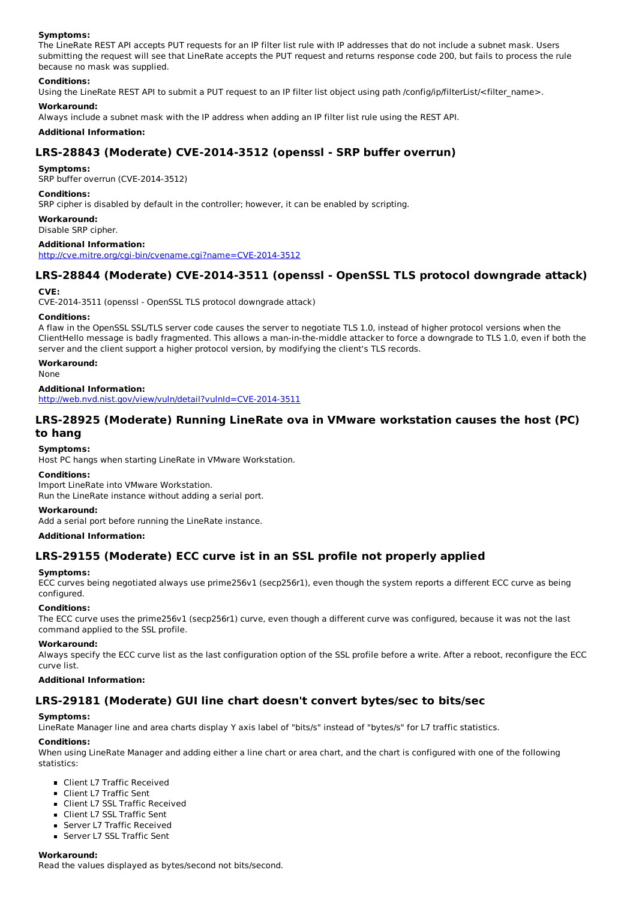### **Symptoms:**

The LineRate REST API accepts PUT requests for an IP filter list rule with IP addresses that do not include a subnet mask. Users submitting the request will see that LineRate accepts the PUT request and returns response code 200, but fails to process the rule because no mask was supplied.

### **Conditions:**

Using the LineRate REST API to submit a PUT request to an IP filter list object using path /config/ip/filterList/<filter name>.

### **Workaround:**

Always include a subnet mask with the IP address when adding an IP filter list rule using the REST API.

### **Additional Information:**

## **LRS-28843 (Moderate) CVE-2014-3512 (openssl - SRP buffer overrun)**

### **Symptoms:**

SRP buffer overrun (CVE-2014-3512)

### **Conditions:**

SRP cipher is disabled by default in the controller; however, it can be enabled by scripting.

### **Workaround:**

Disable SRP cipher.

### **Additional Information:**

http://cve.mitre.org/cgi-bin/cvename.cgi?name=CVE-2014-3512

## **LRS-28844 (Moderate) CVE-2014-3511 (openssl - OpenSSL TLS protocol downgrade attack)**

### **CVE:**

CVE-2014-3511 (openssl - OpenSSL TLS protocol downgrade attack)

### **Conditions:**

A flaw in the OpenSSL SSL/TLS server code causes the server to negotiate TLS 1.0, instead of higher protocol versions when the ClientHello message is badly fragmented. This allows a man-in-the-middle attacker to force a downgrade to TLS 1.0, even if both the server and the client support a higher protocol version, by modifying the client's TLS records.

### **Workaround:**

None

### **Additional Information:**

http://web.nvd.nist.gov/view/vuln/detail?vulnId=CVE-2014-3511

## **LRS-28925 (Moderate) Running LineRate ova in VMware workstation causes the host (PC) to hang**

### **Symptoms:**

Host PC hangs when starting LineRate in VMware Workstation.

#### **Conditions:**

Import LineRate into VMware Workstation. Run the LineRate instance without adding a serial port.

#### **Workaround:**

Add a serial port before running the LineRate instance.

#### **Additional Information:**

## **LRS-29155 (Moderate) ECC curve ist in an SSL profile not properly applied**

### **Symptoms:**

ECC curves being negotiated always use prime256v1 (secp256r1), even though the system reports a different ECC curve as being configured.

### **Conditions:**

The ECC curve uses the prime256v1 (secp256r1) curve, even though a different curve was configured, because it was not the last command applied to the SSL profile.

#### **Workaround:**

Always specify the ECC curve list as the last configuration option of the SSL profile before a write. After a reboot, reconfigure the ECC curve list.

### **Additional Information:**

### **LRS-29181 (Moderate) GUI line chart doesn't convert bytes/sec to bits/sec**

## **Symptoms:**

LineRate Manager line and area charts display Y axis label of "bits/s" instead of "bytes/s" for L7 traffic statistics.

### **Conditions:**

When using LineRate Manager and adding either a line chart or area chart, and the chart is configured with one of the following statistics:

- Client L7 Traffic Received
- Client L7 Traffic Sent
- **Client L7 SSL Traffic Received**
- Client L7 SSL Traffic Sent
- Server L7 Traffic Received
- Server L7 SSL Traffic Sent

### **Workaround:**

Read the values displayed as bytes/second not bits/second.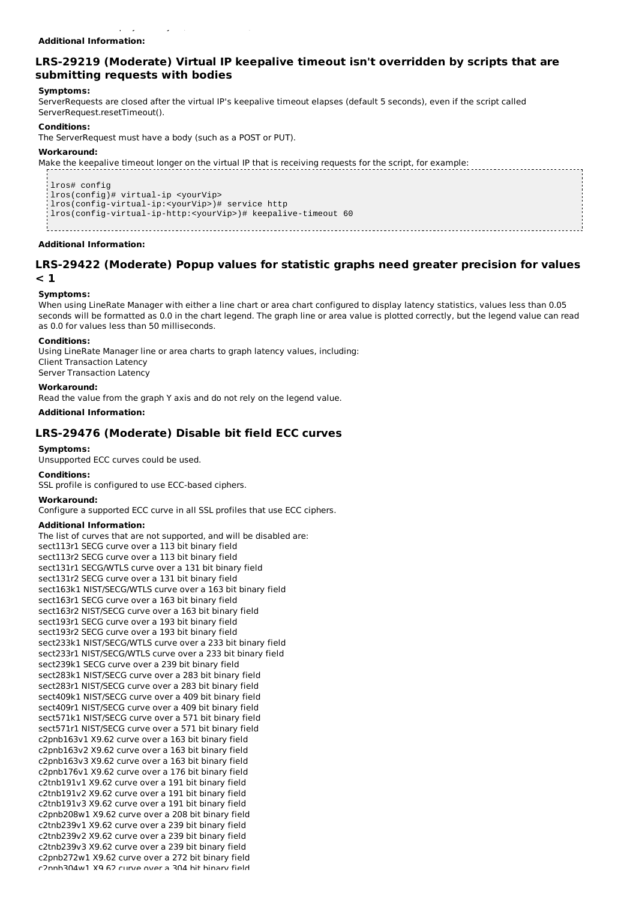# Read the values displayed as bytes/second not bits/second.

## **Additional Information:**

## **LRS-29219 (Moderate) Virtual IP keepalive timeout isn't overridden by scripts that are submitting requests with bodies**

### **Symptoms:**

ServerRequests are closed after the virtual IP's keepalive timeout elapses (default 5 seconds), even if the script called ServerRequest.resetTimeout().

#### **Conditions:**

The ServerRequest must have a body (such as a POST or PUT).

#### **Workaround:**

Make the keepalive timeout longer on the virtual IP that is receiving requests for the script, for example:

lros# config lros(config)# virtual-ip <yourVip> lros(config-virtual-ip:<yourVip>)# service http lros(config-virtual-ip-http:<yourVip>)# keepalive-timeout 60

#### **Additional Information:**

### **LRS-29422 (Moderate) Popup values for statistic graphs need greater precision for values < 1**

#### **Symptoms:**

When using LineRate Manager with either a line chart or area chart configured to display latency statistics, values less than 0.05 seconds will be formatted as 0.0 in the chart legend. The graph line or area value is plotted correctly, but the legend value can read as 0.0 for values less than 50 milliseconds.

#### **Conditions:**

Using LineRate Manager line or area charts to graph latency values, including: Client Transaction Latency Server Transaction Latency

#### **Workaround:**

Read the value from the graph Y axis and do not rely on the legend value.

**Additional Information:**

### **LRS-29476 (Moderate) Disable bit field ECC curves**

#### **Symptoms:**

Unsupported ECC curves could be used.

#### **Conditions:**

SSL profile is configured to use ECC-based ciphers.

### **Workaround:**

Configure a supported ECC curve in all SSL profiles that use ECC ciphers.

#### **Additional Information:**

The list of curves that are not supported, and will be disabled are: sect113r1 SECG curve over a 113 bit binary field sect113r2 SECG curve over a 113 bit binary field sect131r1 SECG/WTLS curve over a 131 bit binary field sect131r2 SECG curve over a 131 bit binary field sect163k1 NIST/SECG/WTLS curve over a 163 bit binary field sect163r1 SECG curve over a 163 bit binary field sect163r2 NIST/SECG curve over a 163 bit binary field sect193r1 SECG curve over a 193 bit binary field sect193r2 SECG curve over a 193 bit binary field sect233k1 NIST/SECG/WTLS curve over a 233 bit binary field sect233r1 NIST/SECG/WTLS curve over a 233 bit binary field sect239k1 SECG curve over a 239 bit binary field sect283k1 NIST/SECG curve over a 283 bit binary field sect283r1 NIST/SECG curve over a 283 bit binary field sect409k1 NIST/SECG curve over a 409 bit binary field sect409r1 NIST/SECG curve over a 409 bit binary field sect571k1 NIST/SECG curve over a 571 bit binary field sect571r1 NIST/SECG curve over a 571 bit binary field c2pnb163v1 X9.62 curve over a 163 bit binary field c2pnb163v2 X9.62 curve over a 163 bit binary field c2pnb163v3 X9.62 curve over a 163 bit binary field c2pnb176v1 X9.62 curve over a 176 bit binary field c2tnb191v1 X9.62 curve over a 191 bit binary field c2tnb191v2 X9.62 curve over a 191 bit binary field c2tnb191v3 X9.62 curve over a 191 bit binary field c2pnb208w1 X9.62 curve over a 208 bit binary field c2tnb239v1 X9.62 curve over a 239 bit binary field c2tnb239v2 X9.62 curve over a 239 bit binary field c2tnb239v3 X9.62 curve over a 239 bit binary field c2pnb272w1 X9.62 curve over a 272 bit binary field c2pnb304w1 X9.62 curve over a 304 bit binary field